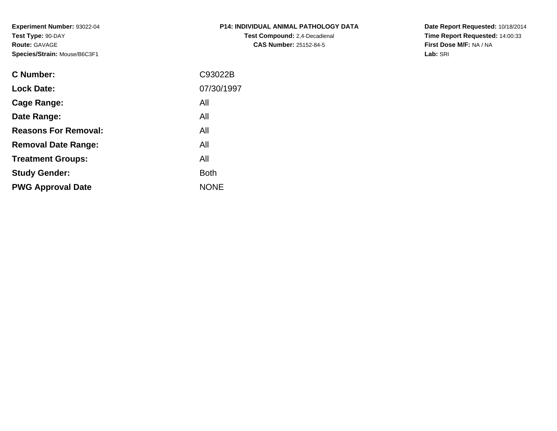**Experiment Number:** 93022-04**Test Type:** 90-DAY**Route:** GAVAGE**Species/Strain:** Mouse/B6C3F1

| P14: INDIVIDUAL ANIMAL PATHOLOGY DATA |  |
|---------------------------------------|--|
| <b>Test Compound:</b> 2,4-Decadienal  |  |
| <b>CAS Number: 25152-84-5</b>         |  |

**Date Report Requested:** 10/18/2014 **Time Report Requested:** 14:00:33**First Dose M/F:** NA / NA**Lab:** SRI

| C93022B     |
|-------------|
| 07/30/1997  |
| All         |
| All         |
| All         |
| All         |
| All         |
| <b>Both</b> |
| <b>NONE</b> |
|             |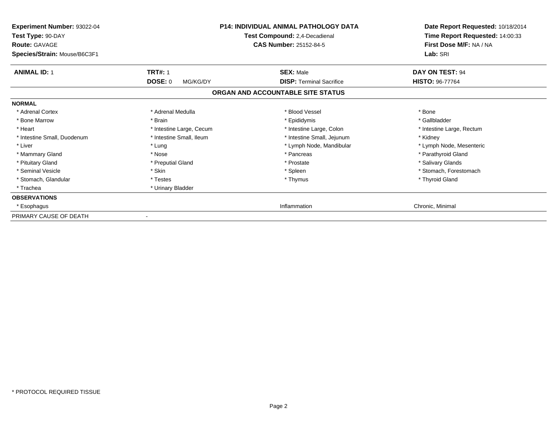| Experiment Number: 93022-04<br>Test Type: 90-DAY<br><b>Route: GAVAGE</b><br>Species/Strain: Mouse/B6C3F1 |                                              | <b>P14: INDIVIDUAL ANIMAL PATHOLOGY DATA</b><br>Test Compound: 2,4-Decadienal<br><b>CAS Number: 25152-84-5</b> | Date Report Requested: 10/18/2014<br>Time Report Requested: 14:00:33<br>First Dose M/F: NA / NA<br>Lab: SRI |
|----------------------------------------------------------------------------------------------------------|----------------------------------------------|----------------------------------------------------------------------------------------------------------------|-------------------------------------------------------------------------------------------------------------|
| <b>ANIMAL ID: 1</b>                                                                                      | <b>TRT#: 1</b><br><b>DOSE: 0</b><br>MG/KG/DY | <b>SEX: Male</b><br><b>DISP: Terminal Sacrifice</b>                                                            | DAY ON TEST: 94<br><b>HISTO: 96-77764</b>                                                                   |
|                                                                                                          |                                              | ORGAN AND ACCOUNTABLE SITE STATUS                                                                              |                                                                                                             |
| <b>NORMAL</b>                                                                                            |                                              |                                                                                                                |                                                                                                             |
| * Adrenal Cortex                                                                                         | * Adrenal Medulla                            | * Blood Vessel                                                                                                 | * Bone                                                                                                      |
| * Bone Marrow                                                                                            | * Brain                                      | * Epididymis                                                                                                   | * Gallbladder                                                                                               |
| * Heart                                                                                                  | * Intestine Large, Cecum                     | * Intestine Large, Colon                                                                                       | * Intestine Large, Rectum                                                                                   |
| * Intestine Small, Duodenum                                                                              | * Intestine Small, Ileum                     | * Intestine Small, Jejunum                                                                                     | * Kidney                                                                                                    |
| * Liver                                                                                                  | * Lung                                       | * Lymph Node, Mandibular                                                                                       | * Lymph Node, Mesenteric                                                                                    |
| * Mammary Gland                                                                                          | * Nose                                       | * Pancreas                                                                                                     | * Parathyroid Gland                                                                                         |
| * Pituitary Gland                                                                                        | * Preputial Gland                            | * Prostate                                                                                                     | * Salivary Glands                                                                                           |
| * Seminal Vesicle                                                                                        | * Skin                                       | * Spleen                                                                                                       | * Stomach, Forestomach                                                                                      |
| * Stomach, Glandular                                                                                     | * Testes                                     | * Thymus                                                                                                       | * Thyroid Gland                                                                                             |
| * Trachea                                                                                                | * Urinary Bladder                            |                                                                                                                |                                                                                                             |
| <b>OBSERVATIONS</b>                                                                                      |                                              |                                                                                                                |                                                                                                             |
| * Esophagus                                                                                              |                                              | Inflammation                                                                                                   | Chronic, Minimal                                                                                            |
| PRIMARY CAUSE OF DEATH                                                                                   |                                              |                                                                                                                |                                                                                                             |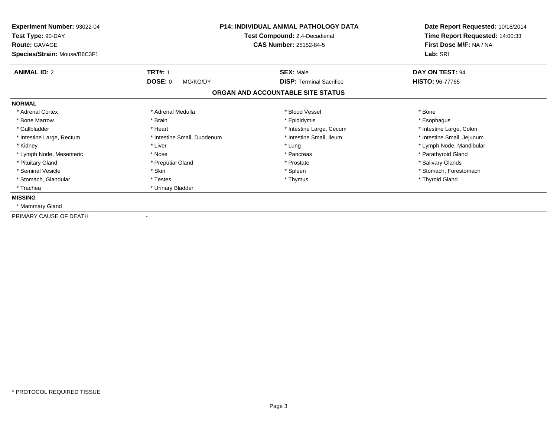| Experiment Number: 93022-04<br>Test Type: 90-DAY<br><b>Route: GAVAGE</b> | <b>P14: INDIVIDUAL ANIMAL PATHOLOGY DATA</b><br>Test Compound: 2,4-Decadienal<br><b>CAS Number: 25152-84-5</b> |                                   | Date Report Requested: 10/18/2014<br>Time Report Requested: 14:00:33<br>First Dose M/F: NA / NA |  |
|--------------------------------------------------------------------------|----------------------------------------------------------------------------------------------------------------|-----------------------------------|-------------------------------------------------------------------------------------------------|--|
| Species/Strain: Mouse/B6C3F1                                             |                                                                                                                |                                   | Lab: SRI                                                                                        |  |
| <b>ANIMAL ID: 2</b>                                                      | <b>TRT#: 1</b>                                                                                                 | <b>SEX: Male</b>                  | <b>DAY ON TEST: 94</b>                                                                          |  |
|                                                                          | DOSE: 0<br>MG/KG/DY                                                                                            | <b>DISP: Terminal Sacrifice</b>   | <b>HISTO: 96-77765</b>                                                                          |  |
|                                                                          |                                                                                                                | ORGAN AND ACCOUNTABLE SITE STATUS |                                                                                                 |  |
| <b>NORMAL</b>                                                            |                                                                                                                |                                   |                                                                                                 |  |
| * Adrenal Cortex                                                         | * Adrenal Medulla                                                                                              | * Blood Vessel                    | * Bone                                                                                          |  |
| * Bone Marrow                                                            | * Brain                                                                                                        | * Epididymis                      | * Esophagus                                                                                     |  |
| * Gallbladder                                                            | * Heart                                                                                                        | * Intestine Large, Cecum          | * Intestine Large, Colon                                                                        |  |
| * Intestine Large, Rectum                                                | * Intestine Small, Duodenum                                                                                    | * Intestine Small, Ileum          | * Intestine Small, Jejunum                                                                      |  |
| * Kidney                                                                 | * Liver                                                                                                        | * Lung                            | * Lymph Node, Mandibular                                                                        |  |
| * Lymph Node, Mesenteric                                                 | * Nose                                                                                                         | * Pancreas                        | * Parathyroid Gland                                                                             |  |
| * Pituitary Gland                                                        | * Preputial Gland                                                                                              | * Prostate                        | * Salivary Glands                                                                               |  |
| * Seminal Vesicle                                                        | * Skin                                                                                                         | * Spleen                          | * Stomach, Forestomach                                                                          |  |
| * Stomach, Glandular                                                     | * Testes                                                                                                       | * Thymus                          | * Thyroid Gland                                                                                 |  |
| * Trachea                                                                | * Urinary Bladder                                                                                              |                                   |                                                                                                 |  |
| <b>MISSING</b>                                                           |                                                                                                                |                                   |                                                                                                 |  |
| * Mammary Gland                                                          |                                                                                                                |                                   |                                                                                                 |  |
| PRIMARY CAUSE OF DEATH                                                   |                                                                                                                |                                   |                                                                                                 |  |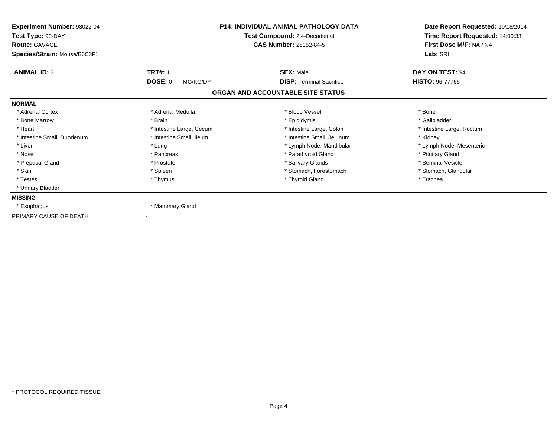| Experiment Number: 93022-04<br>Test Type: 90-DAY<br><b>Route: GAVAGE</b><br>Species/Strain: Mouse/B6C3F1 |                            | <b>P14: INDIVIDUAL ANIMAL PATHOLOGY DATA</b><br>Test Compound: 2,4-Decadienal<br><b>CAS Number: 25152-84-5</b> | Date Report Requested: 10/18/2014<br>Time Report Requested: 14:00:33<br>First Dose M/F: NA / NA<br>Lab: SRI |
|----------------------------------------------------------------------------------------------------------|----------------------------|----------------------------------------------------------------------------------------------------------------|-------------------------------------------------------------------------------------------------------------|
|                                                                                                          |                            |                                                                                                                |                                                                                                             |
| <b>ANIMAL ID: 3</b>                                                                                      | <b>TRT#: 1</b>             | <b>SEX: Male</b>                                                                                               | DAY ON TEST: 94                                                                                             |
|                                                                                                          | <b>DOSE: 0</b><br>MG/KG/DY | <b>DISP: Terminal Sacrifice</b>                                                                                | <b>HISTO: 96-77766</b>                                                                                      |
|                                                                                                          |                            | ORGAN AND ACCOUNTABLE SITE STATUS                                                                              |                                                                                                             |
| <b>NORMAL</b>                                                                                            |                            |                                                                                                                |                                                                                                             |
| * Adrenal Cortex                                                                                         | * Adrenal Medulla          | * Blood Vessel                                                                                                 | * Bone                                                                                                      |
| * Bone Marrow                                                                                            | * Brain                    | * Epididymis                                                                                                   | * Gallbladder                                                                                               |
| * Heart                                                                                                  | * Intestine Large, Cecum   | * Intestine Large, Colon                                                                                       | * Intestine Large, Rectum                                                                                   |
| * Intestine Small, Duodenum                                                                              | * Intestine Small, Ileum   | * Intestine Small, Jejunum                                                                                     | * Kidney                                                                                                    |
| * Liver                                                                                                  | * Lung                     | * Lymph Node, Mandibular                                                                                       | * Lymph Node, Mesenteric                                                                                    |
| * Nose                                                                                                   | * Pancreas                 | * Parathyroid Gland                                                                                            | * Pituitary Gland                                                                                           |
| * Preputial Gland                                                                                        | * Prostate                 | * Salivary Glands                                                                                              | * Seminal Vesicle                                                                                           |
| * Skin                                                                                                   | * Spleen                   | * Stomach. Forestomach                                                                                         | * Stomach, Glandular                                                                                        |
| * Testes                                                                                                 | * Thymus                   | * Thyroid Gland                                                                                                | * Trachea                                                                                                   |
| * Urinary Bladder                                                                                        |                            |                                                                                                                |                                                                                                             |
| <b>MISSING</b>                                                                                           |                            |                                                                                                                |                                                                                                             |
| * Esophagus                                                                                              | * Mammary Gland            |                                                                                                                |                                                                                                             |
| PRIMARY CAUSE OF DEATH                                                                                   |                            |                                                                                                                |                                                                                                             |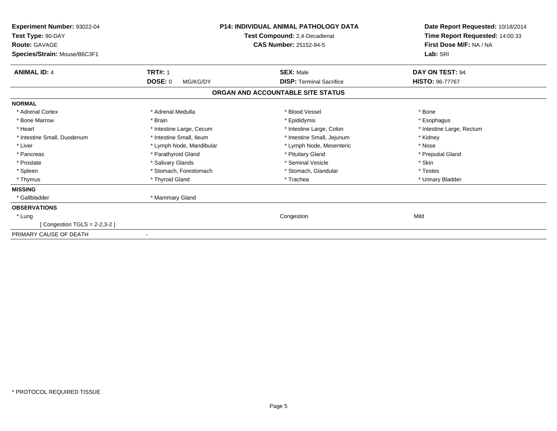| Experiment Number: 93022-04<br>Test Type: 90-DAY<br><b>Route: GAVAGE</b><br>Species/Strain: Mouse/B6C3F1 |                            | <b>P14: INDIVIDUAL ANIMAL PATHOLOGY DATA</b><br>Test Compound: 2,4-Decadienal<br>CAS Number: 25152-84-5 | Date Report Requested: 10/18/2014<br>Time Report Requested: 14:00:33<br>First Dose M/F: NA / NA<br>Lab: SRI |
|----------------------------------------------------------------------------------------------------------|----------------------------|---------------------------------------------------------------------------------------------------------|-------------------------------------------------------------------------------------------------------------|
| <b>ANIMAL ID: 4</b>                                                                                      | <b>TRT#: 1</b>             | <b>SEX: Male</b>                                                                                        | <b>DAY ON TEST: 94</b>                                                                                      |
|                                                                                                          | <b>DOSE: 0</b><br>MG/KG/DY | <b>DISP: Terminal Sacrifice</b>                                                                         | <b>HISTO: 96-77767</b>                                                                                      |
|                                                                                                          |                            | ORGAN AND ACCOUNTABLE SITE STATUS                                                                       |                                                                                                             |
| <b>NORMAL</b>                                                                                            |                            |                                                                                                         |                                                                                                             |
| * Adrenal Cortex                                                                                         | * Adrenal Medulla          | * Blood Vessel                                                                                          | * Bone                                                                                                      |
| * Bone Marrow                                                                                            | * Brain                    | * Epididymis                                                                                            | * Esophagus                                                                                                 |
| * Heart                                                                                                  | * Intestine Large, Cecum   | * Intestine Large, Colon                                                                                | * Intestine Large, Rectum                                                                                   |
| * Intestine Small, Duodenum                                                                              | * Intestine Small, Ileum   | * Intestine Small, Jejunum                                                                              | * Kidney                                                                                                    |
| * Liver                                                                                                  | * Lymph Node, Mandibular   | * Lymph Node, Mesenteric                                                                                | * Nose                                                                                                      |
| * Pancreas                                                                                               | * Parathyroid Gland        | * Pituitary Gland                                                                                       | * Preputial Gland                                                                                           |
| * Prostate                                                                                               | * Salivary Glands          | * Seminal Vesicle                                                                                       | * Skin                                                                                                      |
| * Spleen                                                                                                 | * Stomach, Forestomach     | * Stomach, Glandular                                                                                    | * Testes                                                                                                    |
| * Thymus                                                                                                 | * Thyroid Gland            | * Trachea                                                                                               | * Urinary Bladder                                                                                           |
| <b>MISSING</b>                                                                                           |                            |                                                                                                         |                                                                                                             |
| * Gallbladder                                                                                            | * Mammary Gland            |                                                                                                         |                                                                                                             |
| <b>OBSERVATIONS</b>                                                                                      |                            |                                                                                                         |                                                                                                             |
| * Lung                                                                                                   |                            | Congestion                                                                                              | Mild                                                                                                        |
| [Congestion TGLS = $2-2.3-2$ ]                                                                           |                            |                                                                                                         |                                                                                                             |
| PRIMARY CAUSE OF DEATH                                                                                   | $\overline{\phantom{a}}$   |                                                                                                         |                                                                                                             |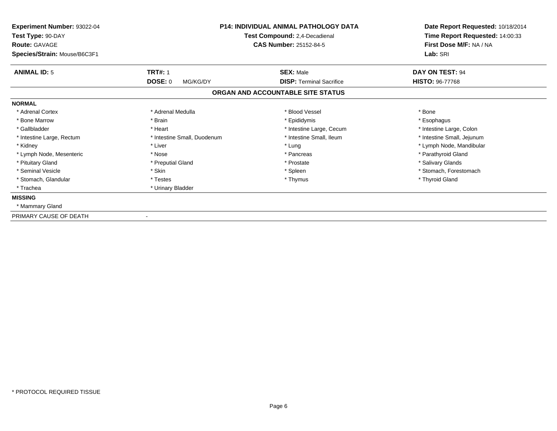| Experiment Number: 93022-04<br>Test Type: 90-DAY<br><b>Route: GAVAGE</b> | P14: INDIVIDUAL ANIMAL PATHOLOGY DATA<br>Test Compound: 2,4-Decadienal<br><b>CAS Number: 25152-84-5</b> |                                                     | Date Report Requested: 10/18/2014<br>Time Report Requested: 14:00:33<br>First Dose M/F: NA / NA<br>Lab: SRI |
|--------------------------------------------------------------------------|---------------------------------------------------------------------------------------------------------|-----------------------------------------------------|-------------------------------------------------------------------------------------------------------------|
| Species/Strain: Mouse/B6C3F1                                             |                                                                                                         |                                                     |                                                                                                             |
| <b>ANIMAL ID: 5</b>                                                      | <b>TRT#: 1</b><br><b>DOSE: 0</b><br>MG/KG/DY                                                            | <b>SEX: Male</b><br><b>DISP: Terminal Sacrifice</b> | DAY ON TEST: 94<br><b>HISTO: 96-77768</b>                                                                   |
|                                                                          |                                                                                                         | ORGAN AND ACCOUNTABLE SITE STATUS                   |                                                                                                             |
| <b>NORMAL</b>                                                            |                                                                                                         |                                                     |                                                                                                             |
| * Adrenal Cortex                                                         | * Adrenal Medulla                                                                                       | * Blood Vessel                                      | * Bone                                                                                                      |
| * Bone Marrow                                                            | * Brain                                                                                                 | * Epididymis                                        | * Esophagus                                                                                                 |
| * Gallbladder                                                            | * Heart                                                                                                 | * Intestine Large, Cecum                            | * Intestine Large, Colon                                                                                    |
| * Intestine Large, Rectum                                                | * Intestine Small, Duodenum                                                                             | * Intestine Small, Ileum                            | * Intestine Small, Jejunum                                                                                  |
| * Kidney                                                                 | * Liver                                                                                                 | * Lung                                              | * Lymph Node, Mandibular                                                                                    |
| * Lymph Node, Mesenteric                                                 | * Nose                                                                                                  | * Pancreas                                          | * Parathyroid Gland                                                                                         |
| * Pituitary Gland                                                        | * Preputial Gland                                                                                       | * Prostate                                          | * Salivary Glands                                                                                           |
| * Seminal Vesicle                                                        | * Skin                                                                                                  | * Spleen                                            | * Stomach, Forestomach                                                                                      |
| * Stomach, Glandular                                                     | * Testes                                                                                                | * Thymus                                            | * Thyroid Gland                                                                                             |
| * Trachea                                                                | * Urinary Bladder                                                                                       |                                                     |                                                                                                             |
| <b>MISSING</b>                                                           |                                                                                                         |                                                     |                                                                                                             |
| * Mammary Gland                                                          |                                                                                                         |                                                     |                                                                                                             |
| PRIMARY CAUSE OF DEATH                                                   |                                                                                                         |                                                     |                                                                                                             |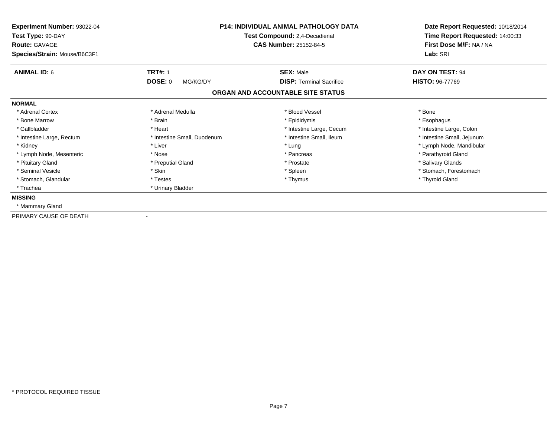| Experiment Number: 93022-04<br>Test Type: 90-DAY<br><b>Route: GAVAGE</b> | P14: INDIVIDUAL ANIMAL PATHOLOGY DATA<br>Test Compound: 2,4-Decadienal<br><b>CAS Number: 25152-84-5</b> |                                   |                            | Date Report Requested: 10/18/2014<br>Time Report Requested: 14:00:33<br>First Dose M/F: NA / NA |
|--------------------------------------------------------------------------|---------------------------------------------------------------------------------------------------------|-----------------------------------|----------------------------|-------------------------------------------------------------------------------------------------|
| Species/Strain: Mouse/B6C3F1                                             |                                                                                                         |                                   | Lab: SRI                   |                                                                                                 |
| <b>ANIMAL ID: 6</b>                                                      | <b>TRT#: 1</b>                                                                                          | <b>SEX: Male</b>                  | DAY ON TEST: 94            |                                                                                                 |
|                                                                          | <b>DOSE: 0</b><br>MG/KG/DY                                                                              | <b>DISP: Terminal Sacrifice</b>   | <b>HISTO: 96-77769</b>     |                                                                                                 |
|                                                                          |                                                                                                         | ORGAN AND ACCOUNTABLE SITE STATUS |                            |                                                                                                 |
| <b>NORMAL</b>                                                            |                                                                                                         |                                   |                            |                                                                                                 |
| * Adrenal Cortex                                                         | * Adrenal Medulla                                                                                       | * Blood Vessel                    | * Bone                     |                                                                                                 |
| * Bone Marrow                                                            | * Brain                                                                                                 | * Epididymis                      | * Esophagus                |                                                                                                 |
| * Gallbladder                                                            | * Heart                                                                                                 | * Intestine Large, Cecum          | * Intestine Large, Colon   |                                                                                                 |
| * Intestine Large, Rectum                                                | * Intestine Small, Duodenum                                                                             | * Intestine Small, Ileum          | * Intestine Small, Jejunum |                                                                                                 |
| * Kidney                                                                 | * Liver                                                                                                 | * Lung                            | * Lymph Node, Mandibular   |                                                                                                 |
| * Lymph Node, Mesenteric                                                 | * Nose                                                                                                  | * Pancreas                        | * Parathyroid Gland        |                                                                                                 |
| * Pituitary Gland                                                        | * Preputial Gland                                                                                       | * Prostate                        | * Salivary Glands          |                                                                                                 |
| * Seminal Vesicle                                                        | * Skin                                                                                                  | * Spleen                          | * Stomach, Forestomach     |                                                                                                 |
| * Stomach, Glandular                                                     | * Testes                                                                                                | * Thymus                          | * Thyroid Gland            |                                                                                                 |
| * Trachea                                                                | * Urinary Bladder                                                                                       |                                   |                            |                                                                                                 |
| <b>MISSING</b>                                                           |                                                                                                         |                                   |                            |                                                                                                 |
| * Mammary Gland                                                          |                                                                                                         |                                   |                            |                                                                                                 |
| PRIMARY CAUSE OF DEATH                                                   |                                                                                                         |                                   |                            |                                                                                                 |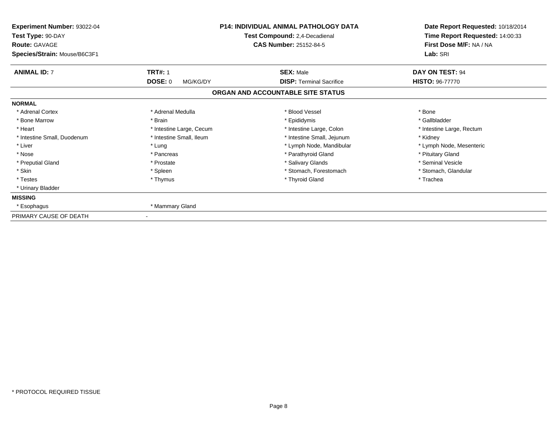| Experiment Number: 93022-04<br>Test Type: 90-DAY<br><b>Route: GAVAGE</b> | <b>P14: INDIVIDUAL ANIMAL PATHOLOGY DATA</b><br>Test Compound: 2,4-Decadienal<br><b>CAS Number: 25152-84-5</b> |                                   | Date Report Requested: 10/18/2014<br>Time Report Requested: 14:00:33<br>First Dose M/F: NA / NA |  |
|--------------------------------------------------------------------------|----------------------------------------------------------------------------------------------------------------|-----------------------------------|-------------------------------------------------------------------------------------------------|--|
| Species/Strain: Mouse/B6C3F1                                             |                                                                                                                |                                   | Lab: SRI                                                                                        |  |
| <b>ANIMAL ID: 7</b>                                                      | <b>TRT#: 1</b>                                                                                                 | <b>SEX: Male</b>                  | DAY ON TEST: 94                                                                                 |  |
|                                                                          | <b>DOSE: 0</b><br>MG/KG/DY                                                                                     | <b>DISP: Terminal Sacrifice</b>   | <b>HISTO: 96-77770</b>                                                                          |  |
|                                                                          |                                                                                                                | ORGAN AND ACCOUNTABLE SITE STATUS |                                                                                                 |  |
| <b>NORMAL</b>                                                            |                                                                                                                |                                   |                                                                                                 |  |
| * Adrenal Cortex                                                         | * Adrenal Medulla                                                                                              | * Blood Vessel                    | * Bone                                                                                          |  |
| * Bone Marrow                                                            | * Brain                                                                                                        | * Epididymis                      | * Gallbladder                                                                                   |  |
| * Heart                                                                  | * Intestine Large, Cecum                                                                                       | * Intestine Large, Colon          | * Intestine Large, Rectum                                                                       |  |
| * Intestine Small, Duodenum                                              | * Intestine Small, Ileum                                                                                       | * Intestine Small, Jejunum        | * Kidney                                                                                        |  |
| * Liver                                                                  | * Lung                                                                                                         | * Lymph Node, Mandibular          | * Lymph Node, Mesenteric                                                                        |  |
| * Nose                                                                   | * Pancreas                                                                                                     | * Parathyroid Gland               | * Pituitary Gland                                                                               |  |
| * Preputial Gland                                                        | * Prostate                                                                                                     | * Salivary Glands                 | * Seminal Vesicle                                                                               |  |
| * Skin                                                                   | * Spleen                                                                                                       | * Stomach, Forestomach            | * Stomach, Glandular                                                                            |  |
| * Testes                                                                 | * Thymus                                                                                                       | * Thyroid Gland                   | * Trachea                                                                                       |  |
| * Urinary Bladder                                                        |                                                                                                                |                                   |                                                                                                 |  |
| <b>MISSING</b>                                                           |                                                                                                                |                                   |                                                                                                 |  |
| * Esophagus                                                              | * Mammary Gland                                                                                                |                                   |                                                                                                 |  |
| PRIMARY CAUSE OF DEATH                                                   |                                                                                                                |                                   |                                                                                                 |  |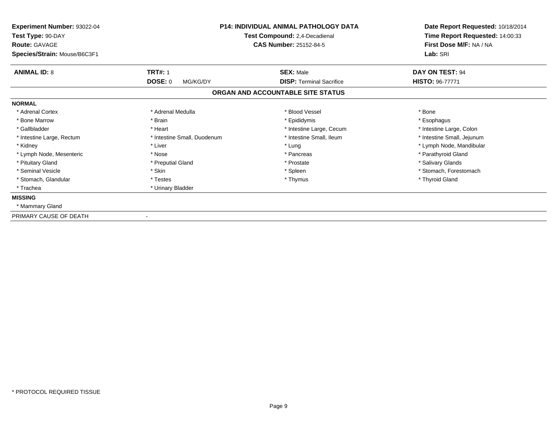| Experiment Number: 93022-04<br>Test Type: 90-DAY<br><b>Route: GAVAGE</b> | <b>P14: INDIVIDUAL ANIMAL PATHOLOGY DATA</b><br>Test Compound: 2,4-Decadienal<br><b>CAS Number: 25152-84-5</b> |                                   |                            | Date Report Requested: 10/18/2014<br>Time Report Requested: 14:00:33<br>First Dose M/F: NA / NA |
|--------------------------------------------------------------------------|----------------------------------------------------------------------------------------------------------------|-----------------------------------|----------------------------|-------------------------------------------------------------------------------------------------|
| Species/Strain: Mouse/B6C3F1                                             |                                                                                                                |                                   | Lab: SRI                   |                                                                                                 |
| <b>ANIMAL ID: 8</b>                                                      | <b>TRT#: 1</b>                                                                                                 | <b>SEX: Male</b>                  | <b>DAY ON TEST: 94</b>     |                                                                                                 |
|                                                                          | DOSE: 0<br>MG/KG/DY                                                                                            | <b>DISP: Terminal Sacrifice</b>   | <b>HISTO: 96-77771</b>     |                                                                                                 |
|                                                                          |                                                                                                                | ORGAN AND ACCOUNTABLE SITE STATUS |                            |                                                                                                 |
| <b>NORMAL</b>                                                            |                                                                                                                |                                   |                            |                                                                                                 |
| * Adrenal Cortex                                                         | * Adrenal Medulla                                                                                              | * Blood Vessel                    | * Bone                     |                                                                                                 |
| * Bone Marrow                                                            | * Brain                                                                                                        | * Epididymis                      | * Esophagus                |                                                                                                 |
| * Gallbladder                                                            | * Heart                                                                                                        | * Intestine Large, Cecum          | * Intestine Large, Colon   |                                                                                                 |
| * Intestine Large, Rectum                                                | * Intestine Small, Duodenum                                                                                    | * Intestine Small, Ileum          | * Intestine Small, Jejunum |                                                                                                 |
| * Kidney                                                                 | * Liver                                                                                                        | * Lung                            | * Lymph Node, Mandibular   |                                                                                                 |
| * Lymph Node, Mesenteric                                                 | * Nose                                                                                                         | * Pancreas                        | * Parathyroid Gland        |                                                                                                 |
| * Pituitary Gland                                                        | * Preputial Gland                                                                                              | * Prostate                        | * Salivary Glands          |                                                                                                 |
| * Seminal Vesicle                                                        | * Skin                                                                                                         | * Spleen                          | * Stomach, Forestomach     |                                                                                                 |
| * Stomach, Glandular                                                     | * Testes                                                                                                       | * Thymus                          | * Thyroid Gland            |                                                                                                 |
| * Trachea                                                                | * Urinary Bladder                                                                                              |                                   |                            |                                                                                                 |
| <b>MISSING</b>                                                           |                                                                                                                |                                   |                            |                                                                                                 |
| * Mammary Gland                                                          |                                                                                                                |                                   |                            |                                                                                                 |
| PRIMARY CAUSE OF DEATH                                                   |                                                                                                                |                                   |                            |                                                                                                 |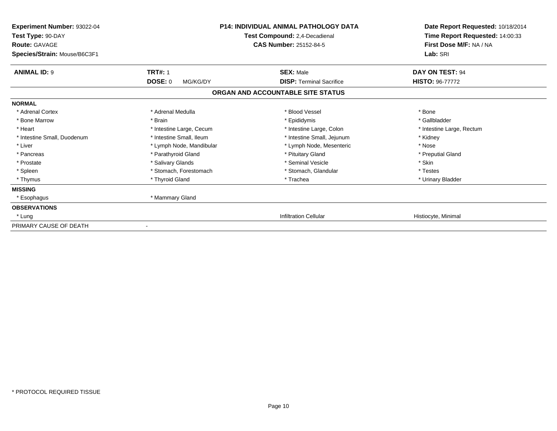| Experiment Number: 93022-04<br>Test Type: 90-DAY<br>Route: GAVAGE<br>Species/Strain: Mouse/B6C3F1 |                            | <b>P14: INDIVIDUAL ANIMAL PATHOLOGY DATA</b><br>Test Compound: 2,4-Decadienal<br><b>CAS Number: 25152-84-5</b> | Date Report Requested: 10/18/2014<br>Time Report Requested: 14:00:33<br>First Dose M/F: NA / NA<br>Lab: SRI |
|---------------------------------------------------------------------------------------------------|----------------------------|----------------------------------------------------------------------------------------------------------------|-------------------------------------------------------------------------------------------------------------|
| <b>ANIMAL ID: 9</b>                                                                               | <b>TRT#: 1</b>             | <b>SEX: Male</b><br><b>DISP: Terminal Sacrifice</b>                                                            | DAY ON TEST: 94                                                                                             |
|                                                                                                   | <b>DOSE: 0</b><br>MG/KG/DY | ORGAN AND ACCOUNTABLE SITE STATUS                                                                              | HISTO: 96-77772                                                                                             |
| <b>NORMAL</b>                                                                                     |                            |                                                                                                                |                                                                                                             |
| * Adrenal Cortex                                                                                  | * Adrenal Medulla          | * Blood Vessel                                                                                                 | * Bone                                                                                                      |
| * Bone Marrow                                                                                     | * Brain                    | * Epididymis                                                                                                   | * Gallbladder                                                                                               |
| * Heart                                                                                           | * Intestine Large, Cecum   | * Intestine Large, Colon                                                                                       | * Intestine Large, Rectum                                                                                   |
| * Intestine Small, Duodenum                                                                       | * Intestine Small, Ileum   | * Intestine Small, Jejunum                                                                                     | * Kidney                                                                                                    |
| * Liver                                                                                           | * Lymph Node, Mandibular   | * Lymph Node, Mesenteric                                                                                       | * Nose                                                                                                      |
| * Pancreas                                                                                        | * Parathyroid Gland        | * Pituitary Gland                                                                                              | * Preputial Gland                                                                                           |
| * Prostate                                                                                        | * Salivary Glands          | * Seminal Vesicle                                                                                              | * Skin                                                                                                      |
| * Spleen                                                                                          | * Stomach, Forestomach     | * Stomach, Glandular                                                                                           | * Testes                                                                                                    |
| * Thymus                                                                                          | * Thyroid Gland            | * Trachea                                                                                                      | * Urinary Bladder                                                                                           |
| <b>MISSING</b>                                                                                    |                            |                                                                                                                |                                                                                                             |
| * Esophagus                                                                                       | * Mammary Gland            |                                                                                                                |                                                                                                             |
| <b>OBSERVATIONS</b>                                                                               |                            |                                                                                                                |                                                                                                             |
| * Lung                                                                                            |                            | <b>Infiltration Cellular</b>                                                                                   | Histiocyte, Minimal                                                                                         |
| PRIMARY CAUSE OF DEATH                                                                            |                            |                                                                                                                |                                                                                                             |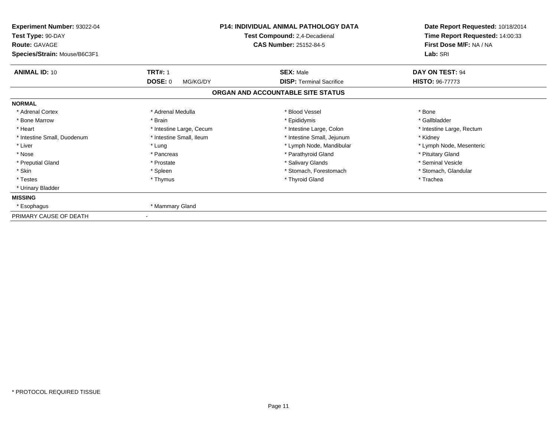| Experiment Number: 93022-04<br>Test Type: 90-DAY     | <b>P14: INDIVIDUAL ANIMAL PATHOLOGY DATA</b><br>Test Compound: 2,4-Decadienal |                                   | Date Report Requested: 10/18/2014<br>Time Report Requested: 14:00:33 |  |
|------------------------------------------------------|-------------------------------------------------------------------------------|-----------------------------------|----------------------------------------------------------------------|--|
| <b>Route: GAVAGE</b><br>Species/Strain: Mouse/B6C3F1 |                                                                               | <b>CAS Number: 25152-84-5</b>     | First Dose M/F: NA / NA<br>Lab: SRI                                  |  |
| <b>ANIMAL ID: 10</b>                                 | <b>TRT#: 1</b>                                                                | <b>SEX: Male</b>                  | DAY ON TEST: 94                                                      |  |
|                                                      | <b>DOSE: 0</b><br>MG/KG/DY                                                    | <b>DISP: Terminal Sacrifice</b>   | <b>HISTO: 96-77773</b>                                               |  |
|                                                      |                                                                               | ORGAN AND ACCOUNTABLE SITE STATUS |                                                                      |  |
| <b>NORMAL</b>                                        |                                                                               |                                   |                                                                      |  |
| * Adrenal Cortex                                     | * Adrenal Medulla                                                             | * Blood Vessel                    | * Bone                                                               |  |
| * Bone Marrow                                        | * Brain                                                                       | * Epididymis                      | * Gallbladder                                                        |  |
| * Heart                                              | * Intestine Large, Cecum                                                      | * Intestine Large, Colon          | * Intestine Large, Rectum                                            |  |
| * Intestine Small, Duodenum                          | * Intestine Small, Ileum                                                      | * Intestine Small, Jejunum        | * Kidney                                                             |  |
| * Liver                                              | * Lung                                                                        | * Lymph Node, Mandibular          | * Lymph Node, Mesenteric                                             |  |
| * Nose                                               | * Pancreas                                                                    | * Parathyroid Gland               | * Pituitary Gland                                                    |  |
| * Preputial Gland                                    | * Prostate                                                                    | * Salivary Glands                 | * Seminal Vesicle                                                    |  |
| * Skin                                               | * Spleen                                                                      | * Stomach, Forestomach            | * Stomach, Glandular                                                 |  |
| * Testes                                             | * Thymus                                                                      | * Thyroid Gland                   | * Trachea                                                            |  |
| * Urinary Bladder                                    |                                                                               |                                   |                                                                      |  |
| <b>MISSING</b>                                       |                                                                               |                                   |                                                                      |  |
| * Esophagus                                          | * Mammary Gland                                                               |                                   |                                                                      |  |
| PRIMARY CAUSE OF DEATH                               |                                                                               |                                   |                                                                      |  |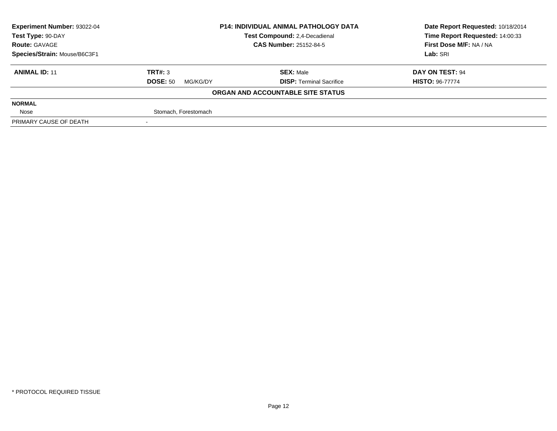| Experiment Number: 93022-04  | <b>P14: INDIVIDUAL ANIMAL PATHOLOGY DATA</b> |                                   | Date Report Requested: 10/18/2014 |
|------------------------------|----------------------------------------------|-----------------------------------|-----------------------------------|
| Test Type: 90-DAY            |                                              | Test Compound: 2,4-Decadienal     | Time Report Requested: 14:00:33   |
| <b>Route: GAVAGE</b>         |                                              | <b>CAS Number: 25152-84-5</b>     | First Dose M/F: NA / NA           |
| Species/Strain: Mouse/B6C3F1 |                                              | Lab: SRI                          |                                   |
| <b>ANIMAL ID: 11</b>         | TRT#: 3                                      | <b>SEX: Male</b>                  | DAY ON TEST: 94                   |
|                              | <b>DOSE: 50</b><br>MG/KG/DY                  | <b>DISP: Terminal Sacrifice</b>   | <b>HISTO: 96-77774</b>            |
|                              |                                              | ORGAN AND ACCOUNTABLE SITE STATUS |                                   |
| <b>NORMAL</b>                |                                              |                                   |                                   |
| Nose                         | Stomach, Forestomach                         |                                   |                                   |
| PRIMARY CAUSE OF DEATH       |                                              |                                   |                                   |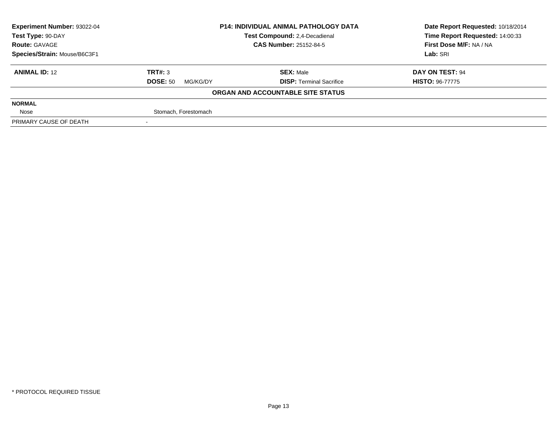| <b>Experiment Number: 93022-04</b> | <b>P14: INDIVIDUAL ANIMAL PATHOLOGY DATA</b><br>Test Compound: 2,4-Decadienal |                                   | Date Report Requested: 10/18/2014 |
|------------------------------------|-------------------------------------------------------------------------------|-----------------------------------|-----------------------------------|
| Test Type: 90-DAY                  |                                                                               |                                   | Time Report Requested: 14:00:33   |
| <b>Route: GAVAGE</b>               |                                                                               | <b>CAS Number: 25152-84-5</b>     | First Dose M/F: NA / NA           |
| Species/Strain: Mouse/B6C3F1       |                                                                               |                                   | Lab: SRI                          |
| <b>ANIMAL ID: 12</b>               | TRT#: 3                                                                       | <b>SEX: Male</b>                  | DAY ON TEST: 94                   |
|                                    | <b>DOSE: 50</b><br>MG/KG/DY                                                   | <b>DISP: Terminal Sacrifice</b>   | <b>HISTO: 96-77775</b>            |
|                                    |                                                                               | ORGAN AND ACCOUNTABLE SITE STATUS |                                   |
| <b>NORMAL</b>                      |                                                                               |                                   |                                   |
| Nose                               | Stomach, Forestomach                                                          |                                   |                                   |
| PRIMARY CAUSE OF DEATH             |                                                                               |                                   |                                   |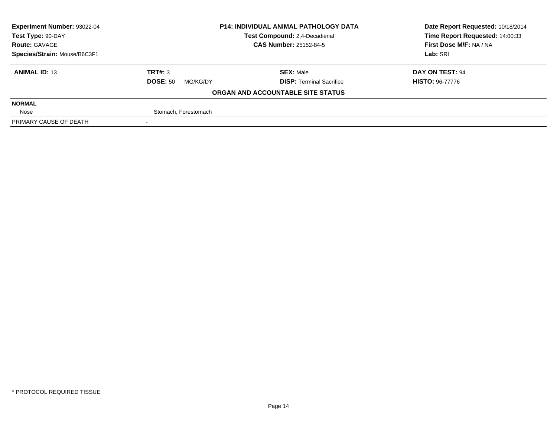| <b>Experiment Number: 93022-04</b> | <b>P14: INDIVIDUAL ANIMAL PATHOLOGY DATA</b><br>Test Compound: 2,4-Decadienal |                                   | Date Report Requested: 10/18/2014 |
|------------------------------------|-------------------------------------------------------------------------------|-----------------------------------|-----------------------------------|
| Test Type: 90-DAY                  |                                                                               |                                   | Time Report Requested: 14:00:33   |
| <b>Route: GAVAGE</b>               |                                                                               | <b>CAS Number: 25152-84-5</b>     | First Dose M/F: NA / NA           |
| Species/Strain: Mouse/B6C3F1       |                                                                               |                                   | Lab: SRI                          |
| <b>ANIMAL ID: 13</b>               | TRT#: 3                                                                       | <b>SEX: Male</b>                  | DAY ON TEST: 94                   |
|                                    | <b>DOSE: 50</b><br>MG/KG/DY                                                   | <b>DISP: Terminal Sacrifice</b>   | <b>HISTO: 96-77776</b>            |
|                                    |                                                                               | ORGAN AND ACCOUNTABLE SITE STATUS |                                   |
| <b>NORMAL</b>                      |                                                                               |                                   |                                   |
| Nose                               | Stomach, Forestomach                                                          |                                   |                                   |
| PRIMARY CAUSE OF DEATH             |                                                                               |                                   |                                   |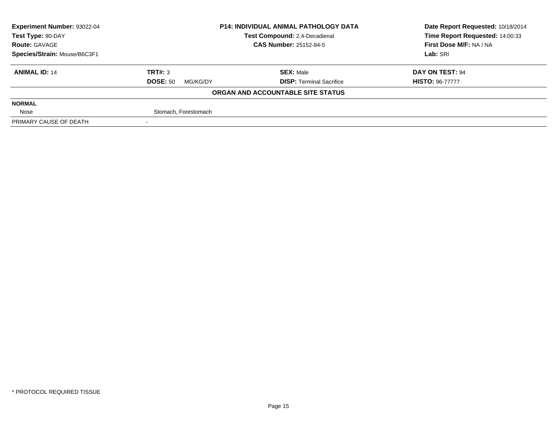| <b>Experiment Number: 93022-04</b> | <b>P14: INDIVIDUAL ANIMAL PATHOLOGY DATA</b><br>Test Compound: 2,4-Decadienal |                                   | Date Report Requested: 10/18/2014 |
|------------------------------------|-------------------------------------------------------------------------------|-----------------------------------|-----------------------------------|
| Test Type: 90-DAY                  |                                                                               |                                   | Time Report Requested: 14:00:33   |
| <b>Route: GAVAGE</b>               |                                                                               | <b>CAS Number: 25152-84-5</b>     | First Dose M/F: NA / NA           |
| Species/Strain: Mouse/B6C3F1       |                                                                               |                                   | Lab: SRI                          |
| <b>ANIMAL ID: 14</b>               | TRT#: 3                                                                       | <b>SEX: Male</b>                  | DAY ON TEST: 94                   |
|                                    | <b>DOSE: 50</b><br>MG/KG/DY                                                   | <b>DISP: Terminal Sacrifice</b>   | <b>HISTO: 96-77777</b>            |
|                                    |                                                                               | ORGAN AND ACCOUNTABLE SITE STATUS |                                   |
| <b>NORMAL</b>                      |                                                                               |                                   |                                   |
| Nose                               | Stomach, Forestomach                                                          |                                   |                                   |
| PRIMARY CAUSE OF DEATH             |                                                                               |                                   |                                   |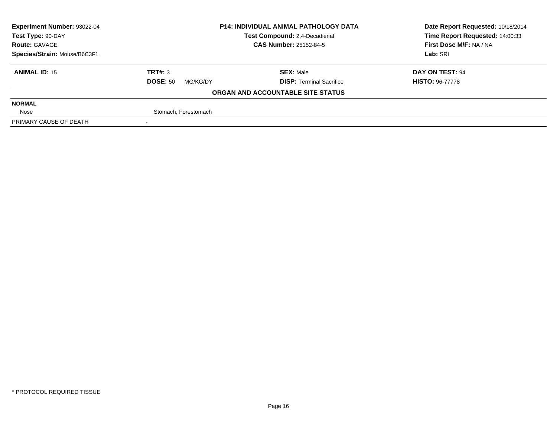| <b>Experiment Number: 93022-04</b> | <b>P14: INDIVIDUAL ANIMAL PATHOLOGY DATA</b><br>Test Compound: 2,4-Decadienal<br><b>CAS Number: 25152-84-5</b> |                                   | Date Report Requested: 10/18/2014 |
|------------------------------------|----------------------------------------------------------------------------------------------------------------|-----------------------------------|-----------------------------------|
| Test Type: 90-DAY                  |                                                                                                                |                                   | Time Report Requested: 14:00:33   |
| <b>Route: GAVAGE</b>               |                                                                                                                |                                   | First Dose M/F: NA / NA           |
| Species/Strain: Mouse/B6C3F1       |                                                                                                                |                                   | Lab: SRI                          |
| <b>ANIMAL ID: 15</b>               | TRT#: 3                                                                                                        | <b>SEX: Male</b>                  | DAY ON TEST: 94                   |
|                                    | <b>DOSE: 50</b><br>MG/KG/DY                                                                                    | <b>DISP: Terminal Sacrifice</b>   | <b>HISTO: 96-77778</b>            |
|                                    |                                                                                                                | ORGAN AND ACCOUNTABLE SITE STATUS |                                   |
| <b>NORMAL</b>                      |                                                                                                                |                                   |                                   |
| Nose                               | Stomach, Forestomach                                                                                           |                                   |                                   |
| PRIMARY CAUSE OF DEATH             |                                                                                                                |                                   |                                   |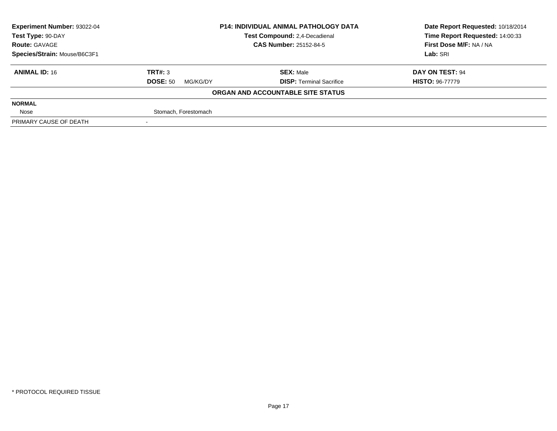| <b>Experiment Number: 93022-04</b> | <b>P14: INDIVIDUAL ANIMAL PATHOLOGY DATA</b><br>Test Compound: 2,4-Decadienal |                                   | Date Report Requested: 10/18/2014 |
|------------------------------------|-------------------------------------------------------------------------------|-----------------------------------|-----------------------------------|
| Test Type: 90-DAY                  |                                                                               |                                   | Time Report Requested: 14:00:33   |
| <b>Route: GAVAGE</b>               |                                                                               | <b>CAS Number: 25152-84-5</b>     | First Dose M/F: NA / NA           |
| Species/Strain: Mouse/B6C3F1       |                                                                               |                                   | Lab: SRI                          |
| <b>ANIMAL ID: 16</b>               | TRT#: 3                                                                       | <b>SEX: Male</b>                  | DAY ON TEST: 94                   |
|                                    | <b>DOSE: 50</b><br>MG/KG/DY                                                   | <b>DISP: Terminal Sacrifice</b>   | <b>HISTO: 96-77779</b>            |
|                                    |                                                                               | ORGAN AND ACCOUNTABLE SITE STATUS |                                   |
| <b>NORMAL</b>                      |                                                                               |                                   |                                   |
| Nose                               | Stomach, Forestomach                                                          |                                   |                                   |
| PRIMARY CAUSE OF DEATH             |                                                                               |                                   |                                   |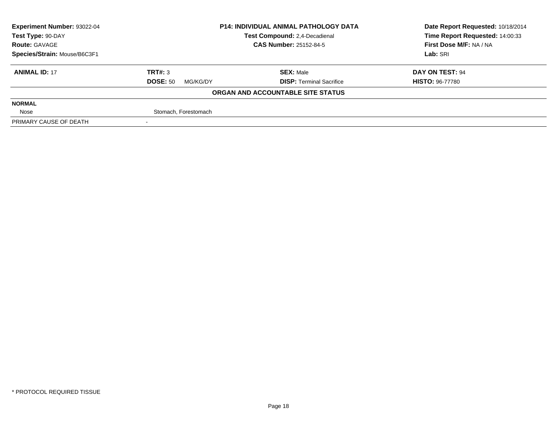| <b>Experiment Number: 93022-04</b> | <b>P14: INDIVIDUAL ANIMAL PATHOLOGY DATA</b><br><b>Test Compound: 2.4-Decadienal</b> |                                   | Date Report Requested: 10/18/2014 |
|------------------------------------|--------------------------------------------------------------------------------------|-----------------------------------|-----------------------------------|
| Test Type: 90-DAY                  |                                                                                      |                                   | Time Report Requested: 14:00:33   |
| <b>Route: GAVAGE</b>               |                                                                                      | <b>CAS Number: 25152-84-5</b>     | First Dose M/F: NA / NA           |
| Species/Strain: Mouse/B6C3F1       |                                                                                      |                                   | Lab: SRI                          |
| <b>ANIMAL ID: 17</b>               | TRT#: 3                                                                              | <b>SEX: Male</b>                  | DAY ON TEST: 94                   |
|                                    | <b>DOSE: 50</b><br>MG/KG/DY                                                          | <b>DISP: Terminal Sacrifice</b>   | <b>HISTO: 96-77780</b>            |
|                                    |                                                                                      | ORGAN AND ACCOUNTABLE SITE STATUS |                                   |
| <b>NORMAL</b>                      |                                                                                      |                                   |                                   |
| Nose                               | Stomach, Forestomach                                                                 |                                   |                                   |
| PRIMARY CAUSE OF DEATH             |                                                                                      |                                   |                                   |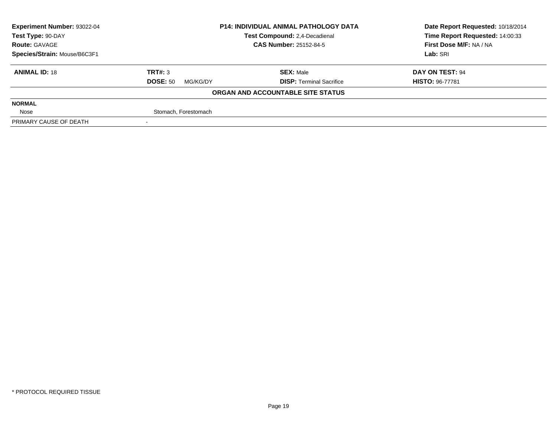| Experiment Number: 93022-04  | <b>P14: INDIVIDUAL ANIMAL PATHOLOGY DATA</b><br>Test Compound: 2,4-Decadienal |                                   | Date Report Requested: 10/18/2014 |
|------------------------------|-------------------------------------------------------------------------------|-----------------------------------|-----------------------------------|
| Test Type: 90-DAY            |                                                                               |                                   | Time Report Requested: 14:00:33   |
| <b>Route: GAVAGE</b>         |                                                                               | <b>CAS Number: 25152-84-5</b>     | First Dose M/F: NA / NA           |
| Species/Strain: Mouse/B6C3F1 |                                                                               |                                   | Lab: SRI                          |
| <b>ANIMAL ID: 18</b>         | TRT#: 3                                                                       | <b>SEX: Male</b>                  | DAY ON TEST: 94                   |
|                              | <b>DOSE: 50</b><br>MG/KG/DY                                                   | <b>DISP: Terminal Sacrifice</b>   | <b>HISTO: 96-77781</b>            |
|                              |                                                                               | ORGAN AND ACCOUNTABLE SITE STATUS |                                   |
| <b>NORMAL</b>                |                                                                               |                                   |                                   |
| Nose                         | Stomach, Forestomach                                                          |                                   |                                   |
| PRIMARY CAUSE OF DEATH       |                                                                               |                                   |                                   |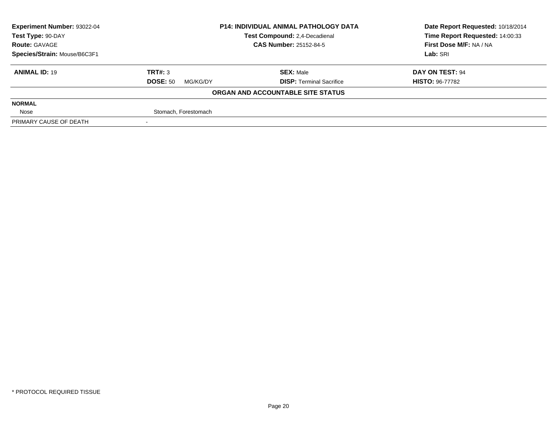| <b>Experiment Number: 93022-04</b> | <b>P14: INDIVIDUAL ANIMAL PATHOLOGY DATA</b><br>Test Compound: 2,4-Decadienal |                                   | Date Report Requested: 10/18/2014 |
|------------------------------------|-------------------------------------------------------------------------------|-----------------------------------|-----------------------------------|
| Test Type: 90-DAY                  |                                                                               |                                   | Time Report Requested: 14:00:33   |
| <b>Route: GAVAGE</b>               |                                                                               | <b>CAS Number: 25152-84-5</b>     | First Dose M/F: NA / NA           |
| Species/Strain: Mouse/B6C3F1       |                                                                               |                                   | Lab: SRI                          |
| <b>ANIMAL ID: 19</b>               | TRT#: 3                                                                       | <b>SEX: Male</b>                  | DAY ON TEST: 94                   |
|                                    | <b>DOSE: 50</b><br>MG/KG/DY                                                   | <b>DISP: Terminal Sacrifice</b>   | <b>HISTO: 96-77782</b>            |
|                                    |                                                                               | ORGAN AND ACCOUNTABLE SITE STATUS |                                   |
| <b>NORMAL</b>                      |                                                                               |                                   |                                   |
| Nose                               | Stomach, Forestomach                                                          |                                   |                                   |
| PRIMARY CAUSE OF DEATH             |                                                                               |                                   |                                   |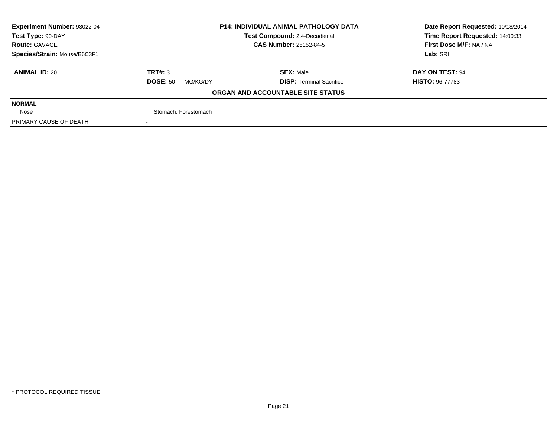| <b>Experiment Number: 93022-04</b> | <b>P14: INDIVIDUAL ANIMAL PATHOLOGY DATA</b><br>Test Compound: 2,4-Decadienal |                                   | Date Report Requested: 10/18/2014 |
|------------------------------------|-------------------------------------------------------------------------------|-----------------------------------|-----------------------------------|
| Test Type: 90-DAY                  |                                                                               |                                   | Time Report Requested: 14:00:33   |
| <b>Route: GAVAGE</b>               |                                                                               | <b>CAS Number: 25152-84-5</b>     | First Dose M/F: NA / NA           |
| Species/Strain: Mouse/B6C3F1       |                                                                               |                                   | Lab: SRI                          |
| <b>ANIMAL ID: 20</b>               | TRT#: 3                                                                       | <b>SEX: Male</b>                  | DAY ON TEST: 94                   |
|                                    | <b>DOSE: 50</b><br>MG/KG/DY                                                   | <b>DISP: Terminal Sacrifice</b>   | <b>HISTO: 96-77783</b>            |
|                                    |                                                                               | ORGAN AND ACCOUNTABLE SITE STATUS |                                   |
| <b>NORMAL</b>                      |                                                                               |                                   |                                   |
| Nose                               | Stomach, Forestomach                                                          |                                   |                                   |
| PRIMARY CAUSE OF DEATH             |                                                                               |                                   |                                   |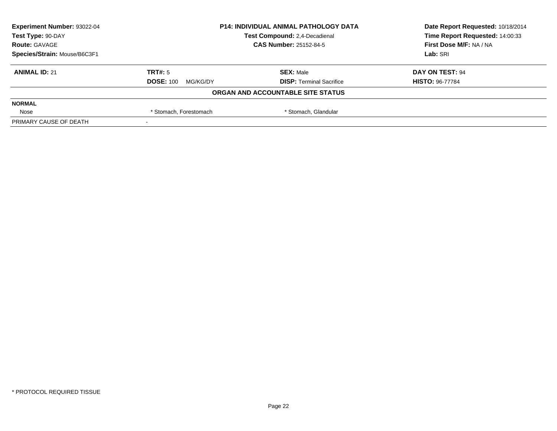| <b>Experiment Number: 93022-04</b> | <b>P14: INDIVIDUAL ANIMAL PATHOLOGY DATA</b><br>Test Compound: 2,4-Decadienal |                                   | Date Report Requested: 10/18/2014 |
|------------------------------------|-------------------------------------------------------------------------------|-----------------------------------|-----------------------------------|
| Test Type: 90-DAY                  |                                                                               |                                   | Time Report Requested: 14:00:33   |
| <b>Route: GAVAGE</b>               |                                                                               | <b>CAS Number: 25152-84-5</b>     | First Dose M/F: NA / NA           |
| Species/Strain: Mouse/B6C3F1       |                                                                               |                                   | Lab: SRI                          |
| <b>ANIMAL ID: 21</b>               | TRT#: 5                                                                       | <b>SEX: Male</b>                  | DAY ON TEST: 94                   |
|                                    | <b>DOSE: 100</b><br>MG/KG/DY                                                  | <b>DISP: Terminal Sacrifice</b>   | <b>HISTO: 96-77784</b>            |
|                                    |                                                                               | ORGAN AND ACCOUNTABLE SITE STATUS |                                   |
| <b>NORMAL</b>                      |                                                                               |                                   |                                   |
| Nose                               | * Stomach, Glandular<br>* Stomach, Forestomach                                |                                   |                                   |
| PRIMARY CAUSE OF DEATH             |                                                                               |                                   |                                   |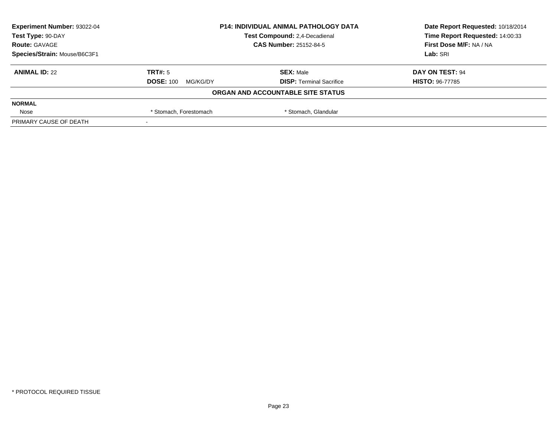| <b>Experiment Number: 93022-04</b> | <b>P14: INDIVIDUAL ANIMAL PATHOLOGY DATA</b><br>Test Compound: 2,4-Decadienal |                                   | Date Report Requested: 10/18/2014 |
|------------------------------------|-------------------------------------------------------------------------------|-----------------------------------|-----------------------------------|
| Test Type: 90-DAY                  |                                                                               |                                   | Time Report Requested: 14:00:33   |
| <b>Route: GAVAGE</b>               |                                                                               | <b>CAS Number: 25152-84-5</b>     | First Dose M/F: NA / NA           |
| Species/Strain: Mouse/B6C3F1       |                                                                               |                                   | Lab: SRI                          |
| <b>ANIMAL ID: 22</b>               | TRT#: 5                                                                       | <b>SEX: Male</b>                  | DAY ON TEST: 94                   |
|                                    | <b>DOSE: 100</b><br>MG/KG/DY                                                  | <b>DISP: Terminal Sacrifice</b>   | <b>HISTO: 96-77785</b>            |
|                                    |                                                                               | ORGAN AND ACCOUNTABLE SITE STATUS |                                   |
| <b>NORMAL</b>                      |                                                                               |                                   |                                   |
| Nose                               | * Stomach, Glandular<br>* Stomach, Forestomach                                |                                   |                                   |
| PRIMARY CAUSE OF DEATH             |                                                                               |                                   |                                   |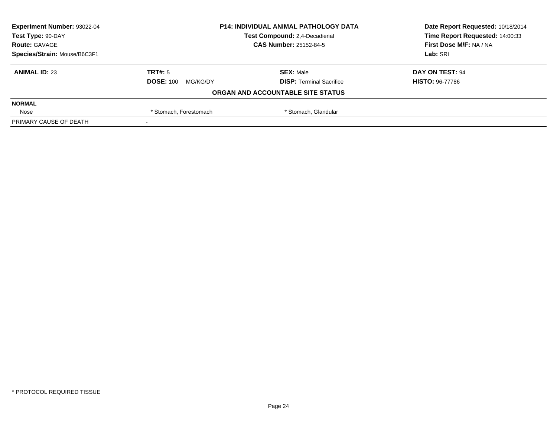| Experiment Number: 93022-04  | <b>P14: INDIVIDUAL ANIMAL PATHOLOGY DATA</b><br>Test Compound: 2,4-Decadienal<br><b>CAS Number: 25152-84-5</b> |                                   | Date Report Requested: 10/18/2014 |
|------------------------------|----------------------------------------------------------------------------------------------------------------|-----------------------------------|-----------------------------------|
| Test Type: 90-DAY            |                                                                                                                |                                   | Time Report Requested: 14:00:33   |
| <b>Route: GAVAGE</b>         |                                                                                                                |                                   | First Dose M/F: NA / NA           |
| Species/Strain: Mouse/B6C3F1 |                                                                                                                |                                   | Lab: SRI                          |
| <b>ANIMAL ID: 23</b>         | TRT#: 5                                                                                                        | <b>SEX: Male</b>                  | DAY ON TEST: 94                   |
|                              | <b>DOSE: 100</b><br>MG/KG/DY                                                                                   | <b>DISP: Terminal Sacrifice</b>   | <b>HISTO: 96-77786</b>            |
|                              |                                                                                                                | ORGAN AND ACCOUNTABLE SITE STATUS |                                   |
| <b>NORMAL</b>                |                                                                                                                |                                   |                                   |
| Nose                         | * Stomach, Glandular<br>* Stomach, Forestomach                                                                 |                                   |                                   |
| PRIMARY CAUSE OF DEATH       |                                                                                                                |                                   |                                   |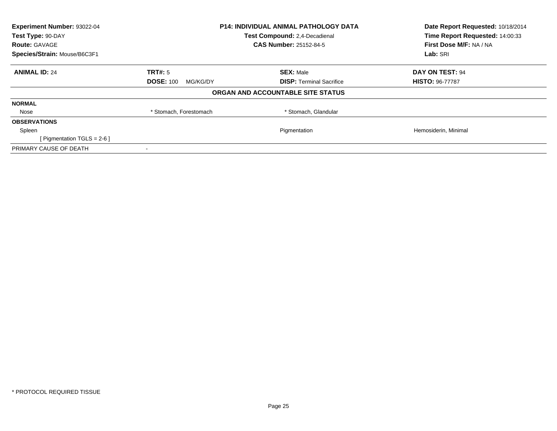| Experiment Number: 93022-04<br>Test Type: 90-DAY | <b>P14: INDIVIDUAL ANIMAL PATHOLOGY DATA</b><br>Test Compound: 2,4-Decadienal |                                   | Date Report Requested: 10/18/2014<br>Time Report Requested: 14:00:33 |  |
|--------------------------------------------------|-------------------------------------------------------------------------------|-----------------------------------|----------------------------------------------------------------------|--|
| <b>Route: GAVAGE</b>                             |                                                                               | <b>CAS Number: 25152-84-5</b>     | First Dose M/F: NA / NA                                              |  |
| Species/Strain: Mouse/B6C3F1                     |                                                                               |                                   | Lab: SRI                                                             |  |
| <b>ANIMAL ID: 24</b>                             | TRT#: 5                                                                       | <b>SEX: Male</b>                  | DAY ON TEST: 94                                                      |  |
|                                                  | <b>DOSE: 100</b><br>MG/KG/DY                                                  | <b>DISP:</b> Terminal Sacrifice   | <b>HISTO: 96-77787</b>                                               |  |
|                                                  |                                                                               | ORGAN AND ACCOUNTABLE SITE STATUS |                                                                      |  |
| <b>NORMAL</b>                                    |                                                                               |                                   |                                                                      |  |
| Nose                                             | * Stomach, Forestomach                                                        | * Stomach, Glandular              |                                                                      |  |
| <b>OBSERVATIONS</b>                              |                                                                               |                                   |                                                                      |  |
| Spleen                                           |                                                                               | Pigmentation                      | Hemosiderin, Minimal                                                 |  |
| [ Pigmentation TGLS = $2-6$ ]                    |                                                                               |                                   |                                                                      |  |
| PRIMARY CAUSE OF DEATH                           |                                                                               |                                   |                                                                      |  |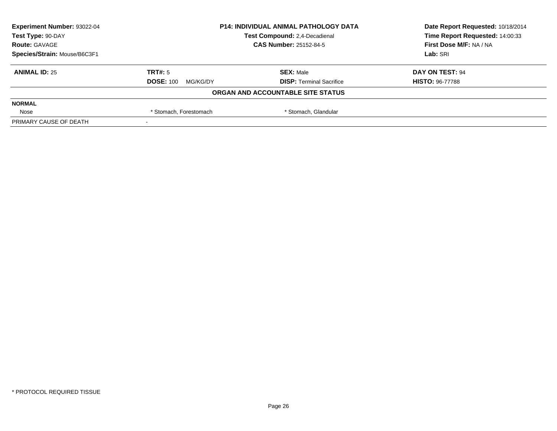| Experiment Number: 93022-04  | <b>P14: INDIVIDUAL ANIMAL PATHOLOGY DATA</b><br>Test Compound: 2,4-Decadienal |                                   | Date Report Requested: 10/18/2014 |
|------------------------------|-------------------------------------------------------------------------------|-----------------------------------|-----------------------------------|
| Test Type: 90-DAY            |                                                                               |                                   | Time Report Requested: 14:00:33   |
| <b>Route: GAVAGE</b>         |                                                                               | <b>CAS Number: 25152-84-5</b>     | First Dose M/F: NA / NA           |
| Species/Strain: Mouse/B6C3F1 |                                                                               |                                   | Lab: SRI                          |
| <b>ANIMAL ID: 25</b>         | TRT#: 5                                                                       | <b>SEX: Male</b>                  | DAY ON TEST: 94                   |
|                              | <b>DOSE: 100</b><br>MG/KG/DY                                                  | <b>DISP: Terminal Sacrifice</b>   | <b>HISTO: 96-77788</b>            |
|                              |                                                                               | ORGAN AND ACCOUNTABLE SITE STATUS |                                   |
| <b>NORMAL</b>                |                                                                               |                                   |                                   |
| Nose                         | * Stomach, Glandular<br>* Stomach, Forestomach                                |                                   |                                   |
| PRIMARY CAUSE OF DEATH       |                                                                               |                                   |                                   |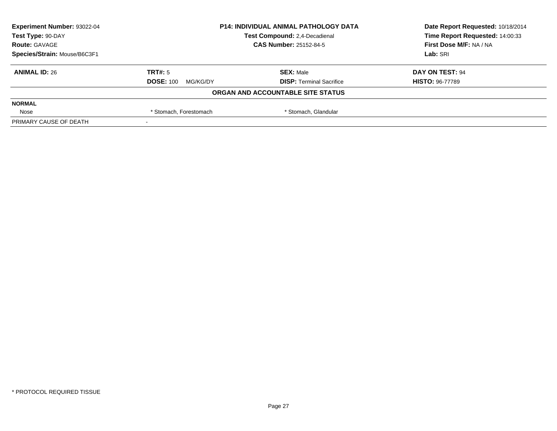| Experiment Number: 93022-04  | <b>P14: INDIVIDUAL ANIMAL PATHOLOGY DATA</b><br>Test Compound: 2,4-Decadienal |                                   | Date Report Requested: 10/18/2014 |
|------------------------------|-------------------------------------------------------------------------------|-----------------------------------|-----------------------------------|
| Test Type: 90-DAY            |                                                                               |                                   | Time Report Requested: 14:00:33   |
| <b>Route: GAVAGE</b>         |                                                                               | <b>CAS Number: 25152-84-5</b>     | First Dose M/F: NA / NA           |
| Species/Strain: Mouse/B6C3F1 |                                                                               |                                   | Lab: SRI                          |
| <b>ANIMAL ID: 26</b>         | TRT#: 5                                                                       | <b>SEX: Male</b>                  | DAY ON TEST: 94                   |
|                              | <b>DOSE: 100</b><br>MG/KG/DY                                                  | <b>DISP: Terminal Sacrifice</b>   | <b>HISTO: 96-77789</b>            |
|                              |                                                                               | ORGAN AND ACCOUNTABLE SITE STATUS |                                   |
| <b>NORMAL</b>                |                                                                               |                                   |                                   |
| Nose                         | * Stomach, Glandular<br>* Stomach, Forestomach                                |                                   |                                   |
| PRIMARY CAUSE OF DEATH       |                                                                               |                                   |                                   |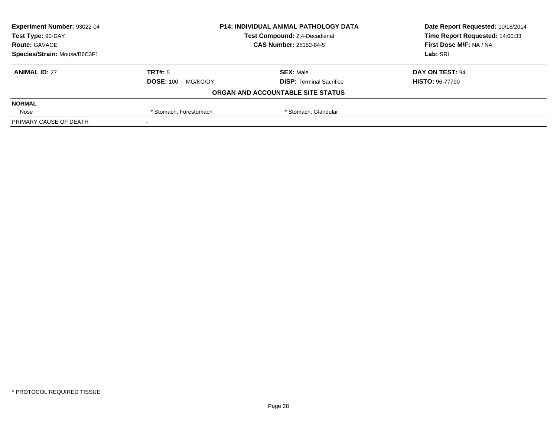| Experiment Number: 93022-04  | <b>P14: INDIVIDUAL ANIMAL PATHOLOGY DATA</b><br>Test Compound: 2,4-Decadienal |                                   | Date Report Requested: 10/18/2014 |
|------------------------------|-------------------------------------------------------------------------------|-----------------------------------|-----------------------------------|
| Test Type: 90-DAY            |                                                                               |                                   | Time Report Requested: 14:00:33   |
| <b>Route: GAVAGE</b>         |                                                                               | <b>CAS Number: 25152-84-5</b>     | First Dose M/F: NA / NA           |
| Species/Strain: Mouse/B6C3F1 |                                                                               |                                   | Lab: SRI                          |
| <b>ANIMAL ID: 27</b>         | TRT#: 5                                                                       | <b>SEX: Male</b>                  | DAY ON TEST: 94                   |
|                              | <b>DOSE: 100</b><br>MG/KG/DY                                                  | <b>DISP: Terminal Sacrifice</b>   | <b>HISTO: 96-77790</b>            |
|                              |                                                                               | ORGAN AND ACCOUNTABLE SITE STATUS |                                   |
| <b>NORMAL</b>                |                                                                               |                                   |                                   |
| Nose                         | * Stomach, Glandular<br>* Stomach, Forestomach                                |                                   |                                   |
| PRIMARY CAUSE OF DEATH       |                                                                               |                                   |                                   |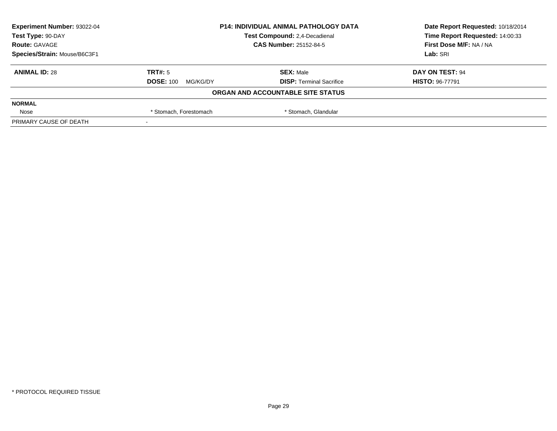| <b>Experiment Number: 93022-04</b> | <b>P14: INDIVIDUAL ANIMAL PATHOLOGY DATA</b><br>Test Compound: 2,4-Decadienal |                                   | Date Report Requested: 10/18/2014 |
|------------------------------------|-------------------------------------------------------------------------------|-----------------------------------|-----------------------------------|
| Test Type: 90-DAY                  |                                                                               |                                   | Time Report Requested: 14:00:33   |
| <b>Route: GAVAGE</b>               |                                                                               | <b>CAS Number: 25152-84-5</b>     | First Dose M/F: NA / NA           |
| Species/Strain: Mouse/B6C3F1       |                                                                               |                                   | Lab: SRI                          |
| <b>ANIMAL ID: 28</b>               | TRT#: 5                                                                       | <b>SEX: Male</b>                  | DAY ON TEST: 94                   |
|                                    | <b>DOSE: 100</b><br>MG/KG/DY                                                  | <b>DISP: Terminal Sacrifice</b>   | <b>HISTO: 96-77791</b>            |
|                                    |                                                                               | ORGAN AND ACCOUNTABLE SITE STATUS |                                   |
| <b>NORMAL</b>                      |                                                                               |                                   |                                   |
| Nose                               | * Stomach, Glandular<br>* Stomach, Forestomach                                |                                   |                                   |
| PRIMARY CAUSE OF DEATH             |                                                                               |                                   |                                   |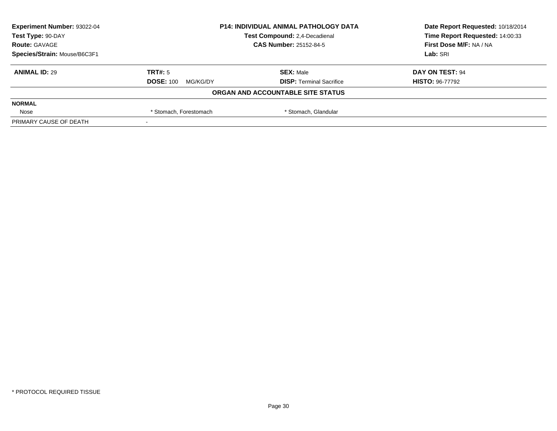| Experiment Number: 93022-04  | <b>P14: INDIVIDUAL ANIMAL PATHOLOGY DATA</b><br>Test Compound: 2,4-Decadienal |                                   | Date Report Requested: 10/18/2014 |
|------------------------------|-------------------------------------------------------------------------------|-----------------------------------|-----------------------------------|
| Test Type: 90-DAY            |                                                                               |                                   | Time Report Requested: 14:00:33   |
| <b>Route: GAVAGE</b>         |                                                                               | <b>CAS Number: 25152-84-5</b>     | First Dose M/F: NA / NA           |
| Species/Strain: Mouse/B6C3F1 |                                                                               |                                   | Lab: SRI                          |
| <b>ANIMAL ID: 29</b>         | TRT#: 5                                                                       | <b>SEX: Male</b>                  | DAY ON TEST: 94                   |
|                              | <b>DOSE: 100</b><br>MG/KG/DY                                                  | <b>DISP: Terminal Sacrifice</b>   | <b>HISTO: 96-77792</b>            |
|                              |                                                                               | ORGAN AND ACCOUNTABLE SITE STATUS |                                   |
| <b>NORMAL</b>                |                                                                               |                                   |                                   |
| Nose                         | * Stomach, Glandular<br>* Stomach, Forestomach                                |                                   |                                   |
| PRIMARY CAUSE OF DEATH       |                                                                               |                                   |                                   |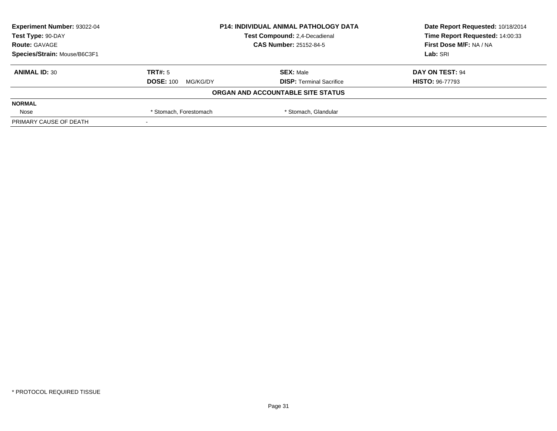| Experiment Number: 93022-04  | <b>P14: INDIVIDUAL ANIMAL PATHOLOGY DATA</b><br>Test Compound: 2,4-Decadienal |                                   | Date Report Requested: 10/18/2014 |
|------------------------------|-------------------------------------------------------------------------------|-----------------------------------|-----------------------------------|
| Test Type: 90-DAY            |                                                                               |                                   | Time Report Requested: 14:00:33   |
| <b>Route: GAVAGE</b>         |                                                                               | <b>CAS Number: 25152-84-5</b>     | First Dose M/F: NA / NA           |
| Species/Strain: Mouse/B6C3F1 |                                                                               |                                   | Lab: SRI                          |
| <b>ANIMAL ID: 30</b>         | TRT#: 5                                                                       | <b>SEX: Male</b>                  | DAY ON TEST: 94                   |
|                              | <b>DOSE: 100</b><br>MG/KG/DY                                                  | <b>DISP: Terminal Sacrifice</b>   | <b>HISTO: 96-77793</b>            |
|                              |                                                                               | ORGAN AND ACCOUNTABLE SITE STATUS |                                   |
| <b>NORMAL</b>                |                                                                               |                                   |                                   |
| Nose                         | * Stomach, Glandular<br>* Stomach, Forestomach                                |                                   |                                   |
| PRIMARY CAUSE OF DEATH       |                                                                               |                                   |                                   |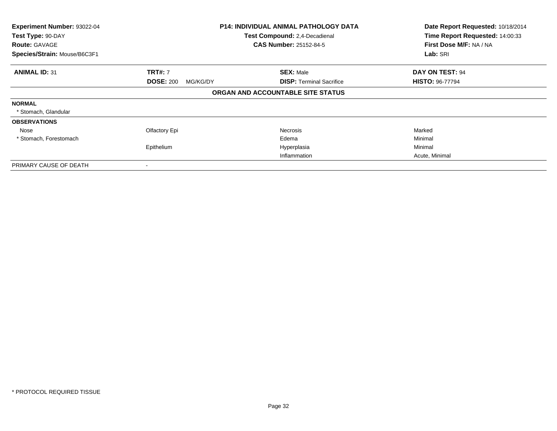| Experiment Number: 93022-04<br>Test Type: 90-DAY<br><b>Route: GAVAGE</b> |                              | <b>P14: INDIVIDUAL ANIMAL PATHOLOGY DATA</b><br>Test Compound: 2,4-Decadienal<br><b>CAS Number: 25152-84-5</b> | Date Report Requested: 10/18/2014<br>Time Report Requested: 14:00:33<br>First Dose M/F: NA / NA<br>Lab: SRI |
|--------------------------------------------------------------------------|------------------------------|----------------------------------------------------------------------------------------------------------------|-------------------------------------------------------------------------------------------------------------|
| Species/Strain: Mouse/B6C3F1                                             |                              |                                                                                                                |                                                                                                             |
| <b>ANIMAL ID: 31</b>                                                     | <b>TRT#: 7</b>               | <b>SEX: Male</b>                                                                                               | DAY ON TEST: 94                                                                                             |
|                                                                          | <b>DOSE: 200</b><br>MG/KG/DY | <b>DISP:</b> Terminal Sacrifice                                                                                | <b>HISTO: 96-77794</b>                                                                                      |
|                                                                          |                              | ORGAN AND ACCOUNTABLE SITE STATUS                                                                              |                                                                                                             |
| <b>NORMAL</b>                                                            |                              |                                                                                                                |                                                                                                             |
| * Stomach, Glandular                                                     |                              |                                                                                                                |                                                                                                             |
| <b>OBSERVATIONS</b>                                                      |                              |                                                                                                                |                                                                                                             |
| Nose                                                                     | Olfactory Epi                | <b>Necrosis</b>                                                                                                | Marked                                                                                                      |
| * Stomach, Forestomach                                                   |                              | Edema                                                                                                          | Minimal                                                                                                     |
|                                                                          | Epithelium                   | Hyperplasia                                                                                                    | Minimal                                                                                                     |
|                                                                          |                              | Inflammation                                                                                                   | Acute, Minimal                                                                                              |
| PRIMARY CAUSE OF DEATH                                                   |                              |                                                                                                                |                                                                                                             |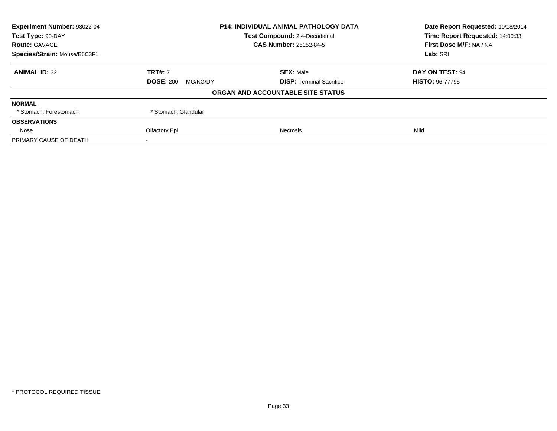| Experiment Number: 93022-04                        | <b>P14: INDIVIDUAL ANIMAL PATHOLOGY DATA</b> |                                   | Date Report Requested: 10/18/2014<br>Time Report Requested: 14:00:33 |
|----------------------------------------------------|----------------------------------------------|-----------------------------------|----------------------------------------------------------------------|
| Test Type: 90-DAY<br>Test Compound: 2,4-Decadienal |                                              |                                   |                                                                      |
| <b>Route: GAVAGE</b>                               |                                              | <b>CAS Number: 25152-84-5</b>     | First Dose M/F: NA / NA                                              |
| Species/Strain: Mouse/B6C3F1                       |                                              |                                   | Lab: SRI                                                             |
| <b>ANIMAL ID: 32</b>                               | <b>TRT#: 7</b>                               | <b>SEX: Male</b>                  | <b>DAY ON TEST: 94</b>                                               |
|                                                    | <b>DOSE: 200</b><br>MG/KG/DY                 | <b>DISP:</b> Terminal Sacrifice   | <b>HISTO: 96-77795</b>                                               |
|                                                    |                                              | ORGAN AND ACCOUNTABLE SITE STATUS |                                                                      |
| <b>NORMAL</b>                                      |                                              |                                   |                                                                      |
| * Stomach, Forestomach                             | * Stomach, Glandular                         |                                   |                                                                      |
| <b>OBSERVATIONS</b>                                |                                              |                                   |                                                                      |
| Nose                                               | Olfactory Epi                                | <b>Necrosis</b>                   | Mild                                                                 |
| PRIMARY CAUSE OF DEATH                             |                                              |                                   |                                                                      |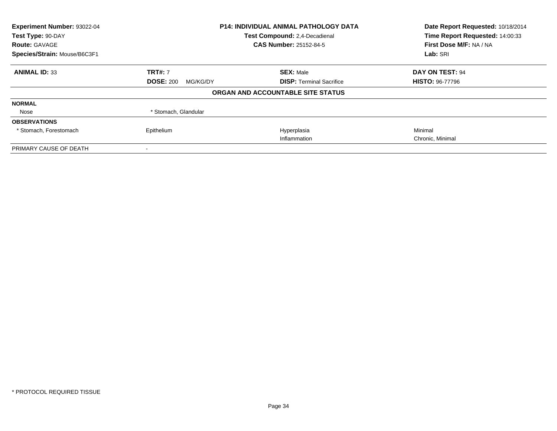| Experiment Number: 93022-04<br>Test Type: 90-DAY<br><b>Route: GAVAGE</b> | <b>P14: INDIVIDUAL ANIMAL PATHOLOGY DATA</b><br>Test Compound: 2,4-Decadienal<br><b>CAS Number: 25152-84-5</b> |                                   | Date Report Requested: 10/18/2014<br>Time Report Requested: 14:00:33<br>First Dose M/F: NA / NA |
|--------------------------------------------------------------------------|----------------------------------------------------------------------------------------------------------------|-----------------------------------|-------------------------------------------------------------------------------------------------|
| Species/Strain: Mouse/B6C3F1                                             |                                                                                                                |                                   | Lab: SRI                                                                                        |
| <b>ANIMAL ID: 33</b>                                                     | <b>TRT#: 7</b>                                                                                                 | <b>SEX: Male</b>                  | DAY ON TEST: 94                                                                                 |
|                                                                          | <b>DOSE: 200</b><br>MG/KG/DY                                                                                   | <b>DISP:</b> Terminal Sacrifice   | <b>HISTO: 96-77796</b>                                                                          |
|                                                                          |                                                                                                                | ORGAN AND ACCOUNTABLE SITE STATUS |                                                                                                 |
| <b>NORMAL</b>                                                            |                                                                                                                |                                   |                                                                                                 |
| Nose                                                                     | * Stomach, Glandular                                                                                           |                                   |                                                                                                 |
| <b>OBSERVATIONS</b>                                                      |                                                                                                                |                                   |                                                                                                 |
| * Stomach, Forestomach                                                   | Epithelium                                                                                                     | Hyperplasia                       | Minimal                                                                                         |
|                                                                          |                                                                                                                | Inflammation                      | Chronic, Minimal                                                                                |
| PRIMARY CAUSE OF DEATH                                                   |                                                                                                                |                                   |                                                                                                 |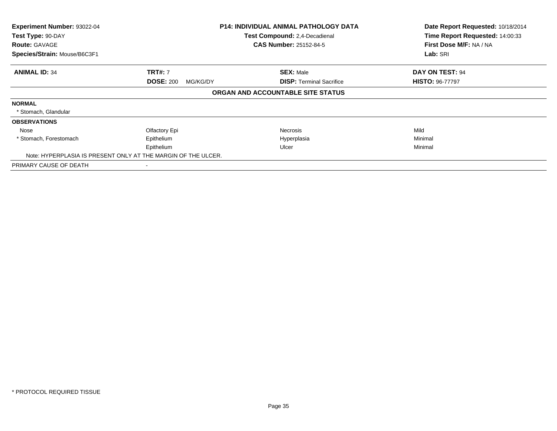| Experiment Number: 93022-04<br>Test Type: 90-DAY |                                                               | <b>P14: INDIVIDUAL ANIMAL PATHOLOGY DATA</b><br>Test Compound: 2,4-Decadienal | Date Report Requested: 10/18/2014<br>Time Report Requested: 14:00:33 |
|--------------------------------------------------|---------------------------------------------------------------|-------------------------------------------------------------------------------|----------------------------------------------------------------------|
| <b>Route: GAVAGE</b>                             |                                                               | <b>CAS Number: 25152-84-5</b>                                                 | First Dose M/F: NA / NA                                              |
| Species/Strain: Mouse/B6C3F1                     |                                                               |                                                                               | Lab: SRI                                                             |
| <b>ANIMAL ID: 34</b>                             | <b>TRT#: 7</b>                                                | <b>SEX: Male</b>                                                              | DAY ON TEST: 94                                                      |
|                                                  | <b>DOSE: 200</b><br>MG/KG/DY                                  | <b>DISP: Terminal Sacrifice</b>                                               | <b>HISTO: 96-77797</b>                                               |
|                                                  |                                                               | ORGAN AND ACCOUNTABLE SITE STATUS                                             |                                                                      |
| <b>NORMAL</b>                                    |                                                               |                                                                               |                                                                      |
| * Stomach, Glandular                             |                                                               |                                                                               |                                                                      |
| <b>OBSERVATIONS</b>                              |                                                               |                                                                               |                                                                      |
| Nose                                             | Olfactory Epi                                                 | <b>Necrosis</b>                                                               | Mild                                                                 |
| * Stomach, Forestomach                           | Epithelium                                                    | Hyperplasia                                                                   | Minimal                                                              |
|                                                  | Epithelium                                                    | Ulcer                                                                         | Minimal                                                              |
|                                                  | Note: HYPERPLASIA IS PRESENT ONLY AT THE MARGIN OF THE ULCER. |                                                                               |                                                                      |
| PRIMARY CAUSE OF DEATH                           |                                                               |                                                                               |                                                                      |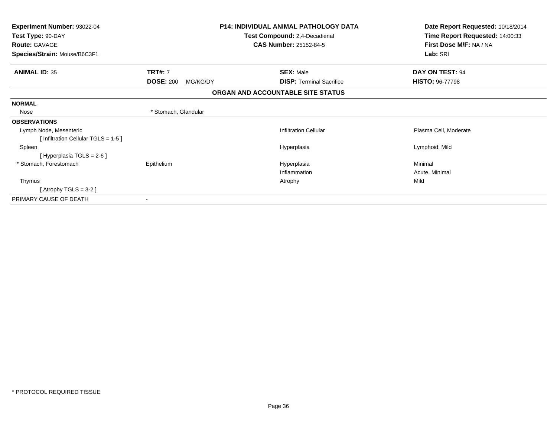| Experiment Number: 93022-04        |                              | <b>P14: INDIVIDUAL ANIMAL PATHOLOGY DATA</b> | Date Report Requested: 10/18/2014 |
|------------------------------------|------------------------------|----------------------------------------------|-----------------------------------|
| Test Type: 90-DAY                  |                              | Test Compound: 2,4-Decadienal                | Time Report Requested: 14:00:33   |
| <b>Route: GAVAGE</b>               |                              | <b>CAS Number: 25152-84-5</b>                | First Dose M/F: NA / NA           |
| Species/Strain: Mouse/B6C3F1       |                              |                                              | Lab: SRI                          |
| <b>ANIMAL ID: 35</b>               | <b>TRT#: 7</b>               | <b>SEX: Male</b>                             | DAY ON TEST: 94                   |
|                                    | <b>DOSE: 200</b><br>MG/KG/DY | <b>DISP: Terminal Sacrifice</b>              | <b>HISTO: 96-77798</b>            |
|                                    |                              | ORGAN AND ACCOUNTABLE SITE STATUS            |                                   |
| <b>NORMAL</b>                      |                              |                                              |                                   |
| Nose                               | * Stomach, Glandular         |                                              |                                   |
| <b>OBSERVATIONS</b>                |                              |                                              |                                   |
| Lymph Node, Mesenteric             |                              | <b>Infiltration Cellular</b>                 | Plasma Cell, Moderate             |
| [Infiltration Cellular TGLS = 1-5] |                              |                                              |                                   |
| Spleen                             |                              | Hyperplasia                                  | Lymphoid, Mild                    |
| [Hyperplasia TGLS = $2-6$ ]        |                              |                                              |                                   |
| * Stomach, Forestomach             | Epithelium                   | Hyperplasia                                  | Minimal                           |
|                                    |                              | Inflammation                                 | Acute, Minimal                    |
| Thymus                             |                              | Atrophy                                      | Mild                              |
| [Atrophy TGLS = 3-2 ]              |                              |                                              |                                   |
| PRIMARY CAUSE OF DEATH             |                              |                                              |                                   |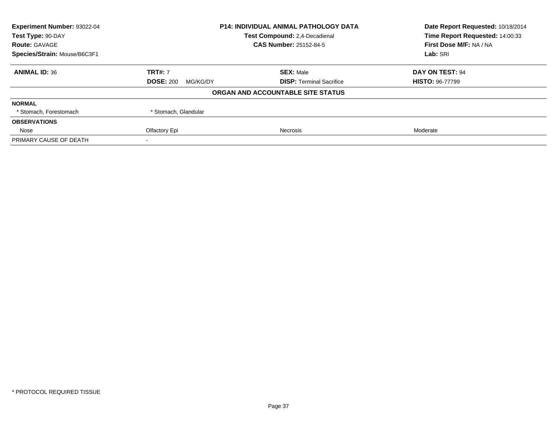| Experiment Number: 93022-04<br><b>P14: INDIVIDUAL ANIMAL PATHOLOGY DATA</b> |                              | Date Report Requested: 10/18/2014    |                         |
|-----------------------------------------------------------------------------|------------------------------|--------------------------------------|-------------------------|
| Test Type: 90-DAY                                                           |                              | <b>Test Compound: 2.4-Decadienal</b> |                         |
| <b>Route: GAVAGE</b>                                                        |                              | <b>CAS Number: 25152-84-5</b>        | First Dose M/F: NA / NA |
| Species/Strain: Mouse/B6C3F1                                                |                              |                                      | Lab: SRI                |
| <b>ANIMAL ID: 36</b>                                                        | <b>TRT#: 7</b>               | <b>SEX: Male</b>                     | DAY ON TEST: 94         |
|                                                                             | <b>DOSE: 200</b><br>MG/KG/DY | <b>DISP:</b> Terminal Sacrifice      | <b>HISTO: 96-77799</b>  |
|                                                                             |                              | ORGAN AND ACCOUNTABLE SITE STATUS    |                         |
| <b>NORMAL</b>                                                               |                              |                                      |                         |
| * Stomach, Forestomach                                                      | * Stomach, Glandular         |                                      |                         |
| <b>OBSERVATIONS</b>                                                         |                              |                                      |                         |
| Nose                                                                        | Olfactory Epi                | Necrosis                             | Moderate                |
| PRIMARY CAUSE OF DEATH                                                      |                              |                                      |                         |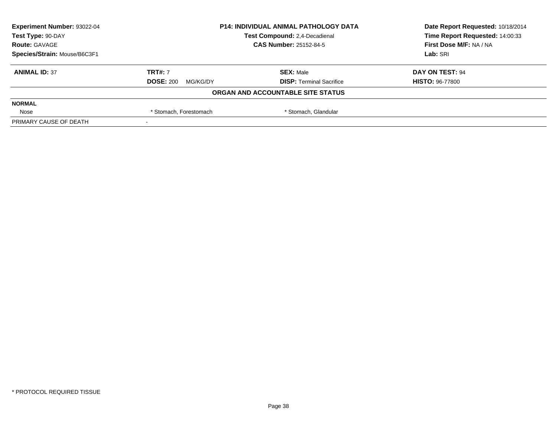| Experiment Number: 93022-04  |                                                | <b>P14: INDIVIDUAL ANIMAL PATHOLOGY DATA</b> |                                 |
|------------------------------|------------------------------------------------|----------------------------------------------|---------------------------------|
| Test Type: 90-DAY            |                                                | Test Compound: 2,4-Decadienal                | Time Report Requested: 14:00:33 |
| <b>Route: GAVAGE</b>         |                                                | <b>CAS Number: 25152-84-5</b>                | First Dose M/F: NA / NA         |
| Species/Strain: Mouse/B6C3F1 |                                                |                                              | Lab: SRI                        |
| <b>ANIMAL ID: 37</b>         | <b>TRT#: 7</b>                                 | <b>SEX: Male</b>                             | DAY ON TEST: 94                 |
|                              | <b>DOSE: 200</b><br>MG/KG/DY                   | <b>DISP: Terminal Sacrifice</b>              | <b>HISTO: 96-77800</b>          |
|                              |                                                | ORGAN AND ACCOUNTABLE SITE STATUS            |                                 |
| <b>NORMAL</b>                |                                                |                                              |                                 |
| Nose                         | * Stomach, Glandular<br>* Stomach, Forestomach |                                              |                                 |
| PRIMARY CAUSE OF DEATH       |                                                |                                              |                                 |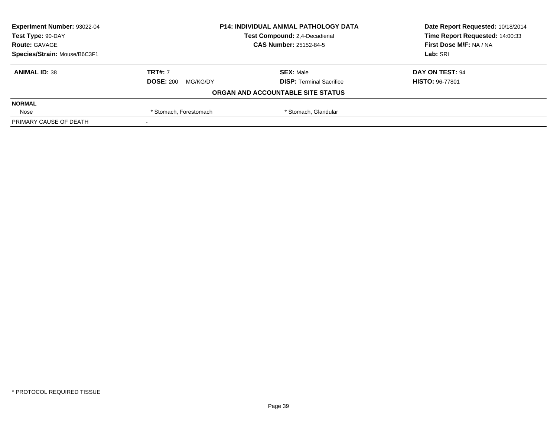| Experiment Number: 93022-04  |                                                | <b>P14: INDIVIDUAL ANIMAL PATHOLOGY DATA</b> | Date Report Requested: 10/18/2014 |
|------------------------------|------------------------------------------------|----------------------------------------------|-----------------------------------|
| Test Type: 90-DAY            |                                                | Test Compound: 2,4-Decadienal                | Time Report Requested: 14:00:33   |
| <b>Route: GAVAGE</b>         |                                                | <b>CAS Number: 25152-84-5</b>                | First Dose M/F: NA / NA           |
| Species/Strain: Mouse/B6C3F1 |                                                |                                              | Lab: SRI                          |
| <b>ANIMAL ID: 38</b>         | <b>TRT#: 7</b>                                 | <b>SEX: Male</b>                             | DAY ON TEST: 94                   |
|                              | <b>DOSE: 200</b><br>MG/KG/DY                   | <b>DISP: Terminal Sacrifice</b>              | <b>HISTO: 96-77801</b>            |
|                              |                                                | ORGAN AND ACCOUNTABLE SITE STATUS            |                                   |
| <b>NORMAL</b>                |                                                |                                              |                                   |
| Nose                         | * Stomach, Glandular<br>* Stomach, Forestomach |                                              |                                   |
| PRIMARY CAUSE OF DEATH       |                                                |                                              |                                   |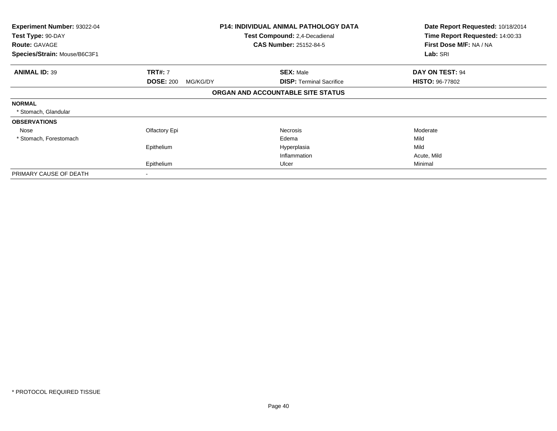| Experiment Number: 93022-04<br>Test Type: 90-DAY |                              | <b>P14: INDIVIDUAL ANIMAL PATHOLOGY DATA</b><br><b>Test Compound: 2,4-Decadienal</b> | Date Report Requested: 10/18/2014<br>Time Report Requested: 14:00:33 |
|--------------------------------------------------|------------------------------|--------------------------------------------------------------------------------------|----------------------------------------------------------------------|
| <b>Route: GAVAGE</b>                             |                              | <b>CAS Number: 25152-84-5</b>                                                        | First Dose M/F: NA / NA                                              |
| Species/Strain: Mouse/B6C3F1                     |                              |                                                                                      | Lab: SRI                                                             |
| <b>ANIMAL ID: 39</b>                             | <b>TRT#: 7</b>               | <b>SEX: Male</b>                                                                     | DAY ON TEST: 94                                                      |
|                                                  | <b>DOSE: 200</b><br>MG/KG/DY | <b>DISP:</b> Terminal Sacrifice                                                      | <b>HISTO: 96-77802</b>                                               |
|                                                  |                              | ORGAN AND ACCOUNTABLE SITE STATUS                                                    |                                                                      |
| <b>NORMAL</b>                                    |                              |                                                                                      |                                                                      |
| * Stomach, Glandular                             |                              |                                                                                      |                                                                      |
| <b>OBSERVATIONS</b>                              |                              |                                                                                      |                                                                      |
| Nose                                             | Olfactory Epi                | Necrosis                                                                             | Moderate                                                             |
| * Stomach, Forestomach                           |                              | Edema                                                                                | Mild                                                                 |
|                                                  | Epithelium                   | Hyperplasia                                                                          | Mild                                                                 |
|                                                  |                              | Inflammation                                                                         | Acute, Mild                                                          |
|                                                  | Epithelium                   | Ulcer                                                                                | Minimal                                                              |
| PRIMARY CAUSE OF DEATH                           | $\blacksquare$               |                                                                                      |                                                                      |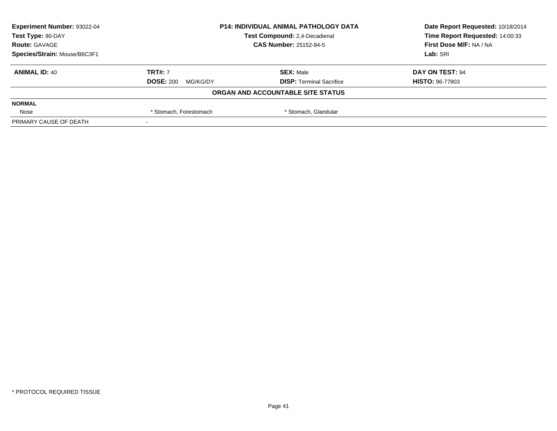| Experiment Number: 93022-04  | <b>P14: INDIVIDUAL ANIMAL PATHOLOGY DATA</b>   |                                   | Date Report Requested: 10/18/2014 |
|------------------------------|------------------------------------------------|-----------------------------------|-----------------------------------|
| Test Type: 90-DAY            |                                                | Test Compound: 2,4-Decadienal     | Time Report Requested: 14:00:33   |
| <b>Route: GAVAGE</b>         |                                                | <b>CAS Number: 25152-84-5</b>     | First Dose M/F: NA / NA           |
| Species/Strain: Mouse/B6C3F1 |                                                |                                   | Lab: SRI                          |
| <b>ANIMAL ID: 40</b>         | <b>TRT#: 7</b>                                 | <b>SEX: Male</b>                  | DAY ON TEST: 94                   |
|                              | <b>DOSE: 200</b><br>MG/KG/DY                   | <b>DISP:</b> Terminal Sacrifice   | <b>HISTO: 96-77803</b>            |
|                              |                                                | ORGAN AND ACCOUNTABLE SITE STATUS |                                   |
| <b>NORMAL</b>                |                                                |                                   |                                   |
| Nose                         | * Stomach, Forestomach<br>* Stomach, Glandular |                                   |                                   |
| PRIMARY CAUSE OF DEATH       |                                                |                                   |                                   |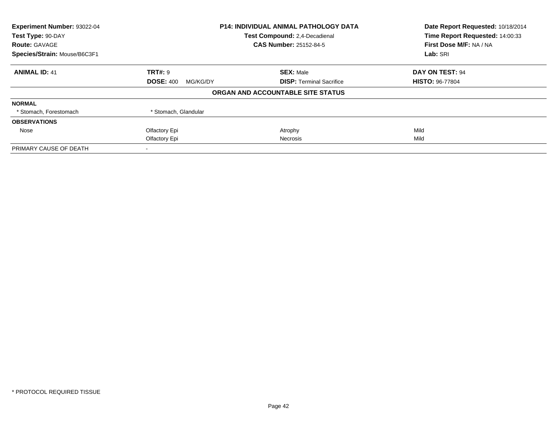| Experiment Number: 93022-04  | P14: INDIVIDUAL ANIMAL PATHOLOGY DATA |                                   | Date Report Requested: 10/18/2014 |
|------------------------------|---------------------------------------|-----------------------------------|-----------------------------------|
| Test Type: 90-DAY            |                                       | Test Compound: 2,4-Decadienal     |                                   |
| <b>Route: GAVAGE</b>         |                                       | <b>CAS Number: 25152-84-5</b>     | First Dose M/F: NA / NA           |
| Species/Strain: Mouse/B6C3F1 |                                       |                                   | Lab: SRI                          |
| <b>ANIMAL ID: 41</b>         | <b>TRT#: 9</b>                        | <b>SEX: Male</b>                  | DAY ON TEST: 94                   |
|                              | <b>DOSE: 400</b><br>MG/KG/DY          | <b>DISP:</b> Terminal Sacrifice   | <b>HISTO: 96-77804</b>            |
|                              |                                       | ORGAN AND ACCOUNTABLE SITE STATUS |                                   |
| <b>NORMAL</b>                |                                       |                                   |                                   |
| * Stomach, Forestomach       | * Stomach, Glandular                  |                                   |                                   |
| <b>OBSERVATIONS</b>          |                                       |                                   |                                   |
| Nose                         | Olfactory Epi                         | Atrophy                           | Mild                              |
|                              | Olfactory Epi                         | Necrosis                          | Mild                              |
| PRIMARY CAUSE OF DEATH       |                                       |                                   |                                   |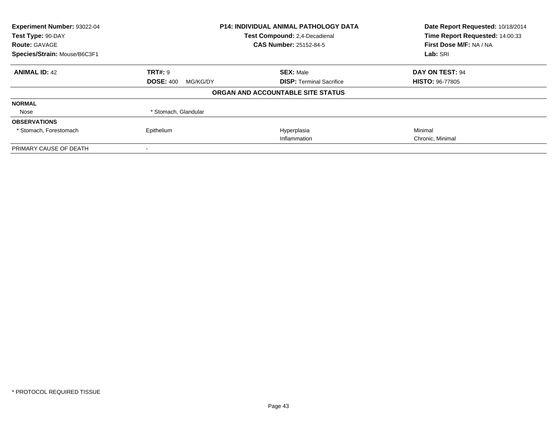| Experiment Number: 93022-04<br>Test Type: 90-DAY<br><b>Route: GAVAGE</b> | <b>P14: INDIVIDUAL ANIMAL PATHOLOGY DATA</b><br>Test Compound: 2,4-Decadienal<br><b>CAS Number: 25152-84-5</b> |                                   | Date Report Requested: 10/18/2014<br>Time Report Requested: 14:00:33<br>First Dose M/F: NA / NA |  |
|--------------------------------------------------------------------------|----------------------------------------------------------------------------------------------------------------|-----------------------------------|-------------------------------------------------------------------------------------------------|--|
| Species/Strain: Mouse/B6C3F1                                             |                                                                                                                |                                   | Lab: SRI                                                                                        |  |
| <b>ANIMAL ID: 42</b>                                                     | TRT#: 9                                                                                                        | <b>SEX: Male</b>                  | <b>DAY ON TEST: 94</b>                                                                          |  |
|                                                                          | <b>DOSE: 400</b><br>MG/KG/DY                                                                                   | <b>DISP:</b> Terminal Sacrifice   | <b>HISTO: 96-77805</b>                                                                          |  |
|                                                                          |                                                                                                                | ORGAN AND ACCOUNTABLE SITE STATUS |                                                                                                 |  |
| <b>NORMAL</b>                                                            |                                                                                                                |                                   |                                                                                                 |  |
| Nose                                                                     | * Stomach, Glandular                                                                                           |                                   |                                                                                                 |  |
| <b>OBSERVATIONS</b>                                                      |                                                                                                                |                                   |                                                                                                 |  |
| * Stomach, Forestomach                                                   | Epithelium                                                                                                     | Hyperplasia                       | Minimal                                                                                         |  |
|                                                                          |                                                                                                                | Inflammation                      | Chronic, Minimal                                                                                |  |
| PRIMARY CAUSE OF DEATH                                                   |                                                                                                                |                                   |                                                                                                 |  |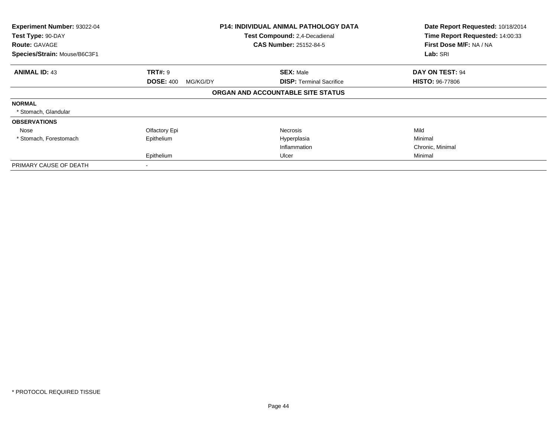| Experiment Number: 93022-04<br>Test Type: 90-DAY<br><b>Route: GAVAGE</b> |                              | <b>P14: INDIVIDUAL ANIMAL PATHOLOGY DATA</b><br>Test Compound: 2,4-Decadienal<br><b>CAS Number: 25152-84-5</b> | Date Report Requested: 10/18/2014<br>Time Report Requested: 14:00:33<br>First Dose M/F: NA / NA<br>Lab: SRI |
|--------------------------------------------------------------------------|------------------------------|----------------------------------------------------------------------------------------------------------------|-------------------------------------------------------------------------------------------------------------|
| Species/Strain: Mouse/B6C3F1                                             |                              |                                                                                                                |                                                                                                             |
| <b>ANIMAL ID: 43</b>                                                     | <b>TRT#: 9</b>               | <b>SEX: Male</b>                                                                                               | DAY ON TEST: 94                                                                                             |
|                                                                          | <b>DOSE: 400</b><br>MG/KG/DY | <b>DISP: Terminal Sacrifice</b>                                                                                | <b>HISTO: 96-77806</b>                                                                                      |
|                                                                          |                              | ORGAN AND ACCOUNTABLE SITE STATUS                                                                              |                                                                                                             |
| <b>NORMAL</b>                                                            |                              |                                                                                                                |                                                                                                             |
| * Stomach, Glandular                                                     |                              |                                                                                                                |                                                                                                             |
| <b>OBSERVATIONS</b>                                                      |                              |                                                                                                                |                                                                                                             |
| Nose                                                                     | Olfactory Epi                | <b>Necrosis</b>                                                                                                | Mild                                                                                                        |
| * Stomach, Forestomach                                                   | Epithelium                   | Hyperplasia                                                                                                    | Minimal                                                                                                     |
|                                                                          |                              | Inflammation                                                                                                   | Chronic, Minimal                                                                                            |
|                                                                          | Epithelium                   | Ulcer                                                                                                          | Minimal                                                                                                     |
| PRIMARY CAUSE OF DEATH                                                   |                              |                                                                                                                |                                                                                                             |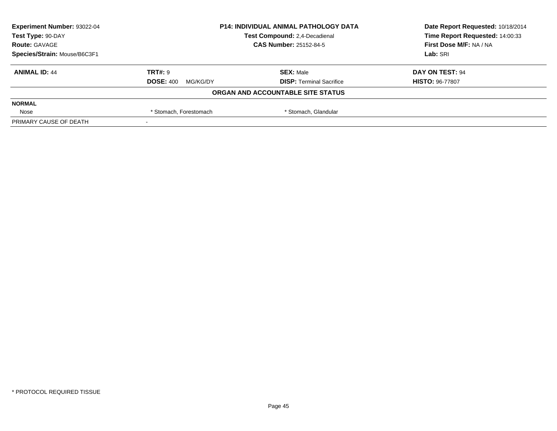| Experiment Number: 93022-04  |                                                | <b>P14: INDIVIDUAL ANIMAL PATHOLOGY DATA</b> |                                 |
|------------------------------|------------------------------------------------|----------------------------------------------|---------------------------------|
| Test Type: 90-DAY            |                                                | Test Compound: 2,4-Decadienal                | Time Report Requested: 14:00:33 |
| <b>Route: GAVAGE</b>         |                                                | <b>CAS Number: 25152-84-5</b>                | First Dose M/F: NA / NA         |
| Species/Strain: Mouse/B6C3F1 |                                                |                                              | Lab: SRI                        |
| <b>ANIMAL ID: 44</b>         | TRT#: 9                                        | <b>SEX: Male</b>                             | DAY ON TEST: 94                 |
|                              | <b>DOSE: 400</b><br>MG/KG/DY                   | <b>DISP: Terminal Sacrifice</b>              | <b>HISTO: 96-77807</b>          |
|                              |                                                | ORGAN AND ACCOUNTABLE SITE STATUS            |                                 |
| <b>NORMAL</b>                |                                                |                                              |                                 |
| Nose                         | * Stomach, Glandular<br>* Stomach, Forestomach |                                              |                                 |
| PRIMARY CAUSE OF DEATH       |                                                |                                              |                                 |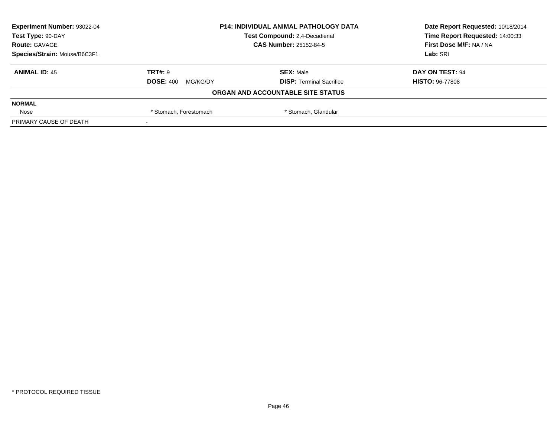| Experiment Number: 93022-04  | <b>P14: INDIVIDUAL ANIMAL PATHOLOGY DATA</b>   |                                   | Date Report Requested: 10/18/2014 |
|------------------------------|------------------------------------------------|-----------------------------------|-----------------------------------|
| Test Type: 90-DAY            |                                                | Test Compound: 2,4-Decadienal     | Time Report Requested: 14:00:33   |
| <b>Route: GAVAGE</b>         | <b>CAS Number: 25152-84-5</b>                  |                                   | First Dose M/F: NA / NA           |
| Species/Strain: Mouse/B6C3F1 |                                                |                                   | Lab: SRI                          |
| <b>ANIMAL ID: 45</b>         | TRT#: 9                                        | <b>SEX: Male</b>                  | DAY ON TEST: 94                   |
|                              | <b>DOSE: 400</b><br>MG/KG/DY                   | <b>DISP: Terminal Sacrifice</b>   | <b>HISTO: 96-77808</b>            |
|                              |                                                | ORGAN AND ACCOUNTABLE SITE STATUS |                                   |
| <b>NORMAL</b>                |                                                |                                   |                                   |
| Nose                         | * Stomach, Glandular<br>* Stomach, Forestomach |                                   |                                   |
| PRIMARY CAUSE OF DEATH       |                                                |                                   |                                   |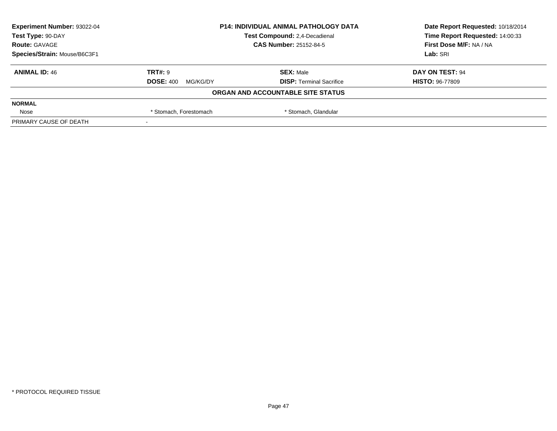| Experiment Number: 93022-04  |                                                | <b>P14: INDIVIDUAL ANIMAL PATHOLOGY DATA</b> | Date Report Requested: 10/18/2014 |
|------------------------------|------------------------------------------------|----------------------------------------------|-----------------------------------|
| Test Type: 90-DAY            |                                                | Test Compound: 2,4-Decadienal                | Time Report Requested: 14:00:33   |
| <b>Route: GAVAGE</b>         |                                                | <b>CAS Number: 25152-84-5</b>                | First Dose M/F: NA / NA           |
| Species/Strain: Mouse/B6C3F1 |                                                |                                              | Lab: SRI                          |
| <b>ANIMAL ID: 46</b>         | TRT#: 9                                        | <b>SEX: Male</b>                             | DAY ON TEST: 94                   |
|                              | <b>DOSE: 400</b><br>MG/KG/DY                   | <b>DISP: Terminal Sacrifice</b>              | <b>HISTO: 96-77809</b>            |
|                              |                                                | ORGAN AND ACCOUNTABLE SITE STATUS            |                                   |
| <b>NORMAL</b>                |                                                |                                              |                                   |
| Nose                         | * Stomach, Glandular<br>* Stomach, Forestomach |                                              |                                   |
| PRIMARY CAUSE OF DEATH       |                                                |                                              |                                   |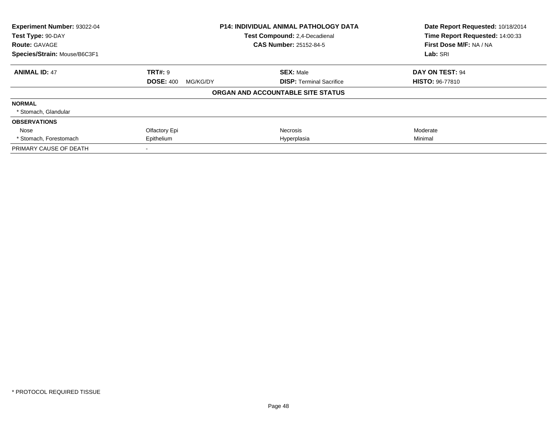| Experiment Number: 93022-04  |                               | <b>P14: INDIVIDUAL ANIMAL PATHOLOGY DATA</b> | Date Report Requested: 10/18/2014 |
|------------------------------|-------------------------------|----------------------------------------------|-----------------------------------|
| Test Type: 90-DAY            | Test Compound: 2,4-Decadienal |                                              | Time Report Requested: 14:00:33   |
| <b>Route: GAVAGE</b>         |                               | <b>CAS Number: 25152-84-5</b>                | First Dose M/F: NA / NA           |
| Species/Strain: Mouse/B6C3F1 |                               |                                              | Lab: SRI                          |
| <b>ANIMAL ID: 47</b>         | TRT#: 9                       | <b>SEX: Male</b>                             | <b>DAY ON TEST: 94</b>            |
|                              | <b>DOSE: 400</b><br>MG/KG/DY  | <b>DISP:</b> Terminal Sacrifice              | <b>HISTO: 96-77810</b>            |
|                              |                               | ORGAN AND ACCOUNTABLE SITE STATUS            |                                   |
| <b>NORMAL</b>                |                               |                                              |                                   |
| * Stomach, Glandular         |                               |                                              |                                   |
| <b>OBSERVATIONS</b>          |                               |                                              |                                   |
| Nose                         | Olfactory Epi                 | <b>Necrosis</b>                              | Moderate                          |
| * Stomach, Forestomach       | Epithelium                    | Hyperplasia                                  | Minimal                           |
| PRIMARY CAUSE OF DEATH       |                               |                                              |                                   |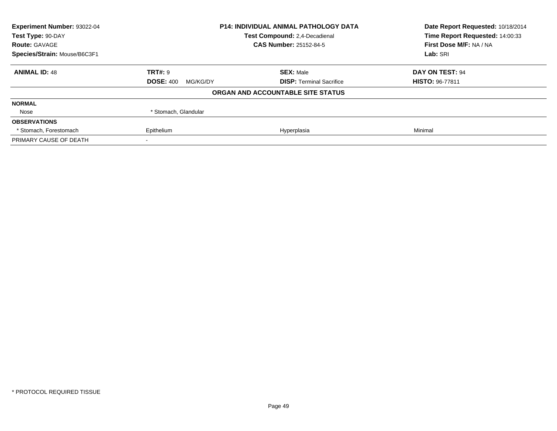| <b>Experiment Number: 93022-04</b>                 |                              | <b>P14: INDIVIDUAL ANIMAL PATHOLOGY DATA</b> | Date Report Requested: 10/18/2014 |
|----------------------------------------------------|------------------------------|----------------------------------------------|-----------------------------------|
| Test Type: 90-DAY<br>Test Compound: 2,4-Decadienal |                              | Time Report Requested: 14:00:33              |                                   |
| <b>Route: GAVAGE</b>                               |                              | <b>CAS Number: 25152-84-5</b>                | First Dose M/F: NA / NA           |
| Species/Strain: Mouse/B6C3F1                       |                              |                                              | Lab: SRI                          |
| <b>ANIMAL ID: 48</b>                               | <b>TRT#: 9</b>               | <b>SEX: Male</b>                             | <b>DAY ON TEST: 94</b>            |
|                                                    | <b>DOSE: 400</b><br>MG/KG/DY | <b>DISP:</b> Terminal Sacrifice              | <b>HISTO: 96-77811</b>            |
|                                                    |                              | ORGAN AND ACCOUNTABLE SITE STATUS            |                                   |
| <b>NORMAL</b>                                      |                              |                                              |                                   |
| Nose                                               | * Stomach, Glandular         |                                              |                                   |
| <b>OBSERVATIONS</b>                                |                              |                                              |                                   |
| * Stomach, Forestomach                             | Epithelium                   | Hyperplasia                                  | Minimal                           |
| PRIMARY CAUSE OF DEATH                             |                              |                                              |                                   |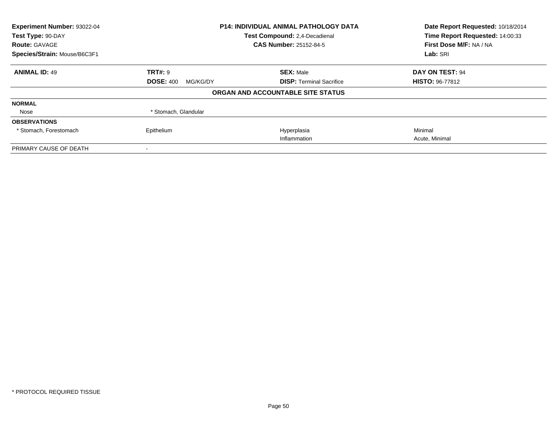| Experiment Number: 93022-04<br>Test Type: 90-DAY<br><b>Route: GAVAGE</b> | <b>P14: INDIVIDUAL ANIMAL PATHOLOGY DATA</b><br>Test Compound: 2,4-Decadienal<br><b>CAS Number: 25152-84-5</b> |                                   | Date Report Requested: 10/18/2014<br>Time Report Requested: 14:00:33<br>First Dose M/F: NA / NA |
|--------------------------------------------------------------------------|----------------------------------------------------------------------------------------------------------------|-----------------------------------|-------------------------------------------------------------------------------------------------|
| Species/Strain: Mouse/B6C3F1                                             |                                                                                                                |                                   | Lab: SRI                                                                                        |
| <b>ANIMAL ID: 49</b>                                                     | TRT#: 9                                                                                                        | <b>SEX: Male</b>                  | <b>DAY ON TEST: 94</b>                                                                          |
|                                                                          | <b>DOSE: 400</b><br>MG/KG/DY                                                                                   | <b>DISP:</b> Terminal Sacrifice   | <b>HISTO: 96-77812</b>                                                                          |
|                                                                          |                                                                                                                | ORGAN AND ACCOUNTABLE SITE STATUS |                                                                                                 |
| <b>NORMAL</b>                                                            |                                                                                                                |                                   |                                                                                                 |
| Nose                                                                     | * Stomach, Glandular                                                                                           |                                   |                                                                                                 |
| <b>OBSERVATIONS</b>                                                      |                                                                                                                |                                   |                                                                                                 |
| * Stomach, Forestomach                                                   | Epithelium                                                                                                     | Hyperplasia                       | Minimal                                                                                         |
|                                                                          |                                                                                                                | Inflammation                      | Acute, Minimal                                                                                  |
| PRIMARY CAUSE OF DEATH                                                   |                                                                                                                |                                   |                                                                                                 |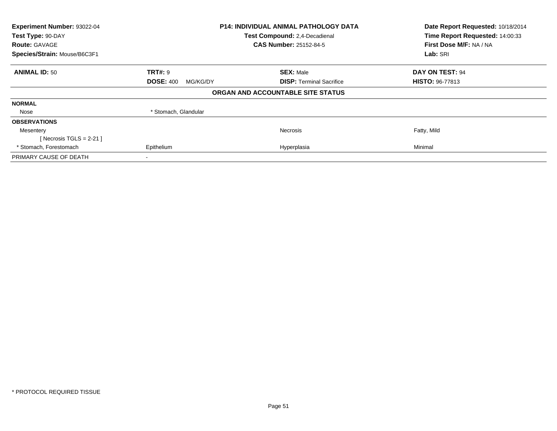| Experiment Number: 93022-04<br>Test Type: 90-DAY<br><b>Route: GAVAGE</b> | <b>P14: INDIVIDUAL ANIMAL PATHOLOGY DATA</b><br>Test Compound: 2,4-Decadienal<br><b>CAS Number: 25152-84-5</b> |                                   | Date Report Requested: 10/18/2014<br>Time Report Requested: 14:00:33<br>First Dose M/F: NA / NA |
|--------------------------------------------------------------------------|----------------------------------------------------------------------------------------------------------------|-----------------------------------|-------------------------------------------------------------------------------------------------|
| Species/Strain: Mouse/B6C3F1                                             |                                                                                                                |                                   | Lab: SRI                                                                                        |
| <b>ANIMAL ID: 50</b>                                                     | <b>TRT#: 9</b>                                                                                                 | <b>SEX: Male</b>                  | DAY ON TEST: 94                                                                                 |
|                                                                          | <b>DOSE: 400</b><br>MG/KG/DY                                                                                   | <b>DISP:</b> Terminal Sacrifice   | <b>HISTO: 96-77813</b>                                                                          |
|                                                                          |                                                                                                                | ORGAN AND ACCOUNTABLE SITE STATUS |                                                                                                 |
| <b>NORMAL</b>                                                            |                                                                                                                |                                   |                                                                                                 |
| Nose                                                                     | * Stomach, Glandular                                                                                           |                                   |                                                                                                 |
| <b>OBSERVATIONS</b>                                                      |                                                                                                                |                                   |                                                                                                 |
| Mesentery                                                                |                                                                                                                | <b>Necrosis</b>                   | Fatty, Mild                                                                                     |
| [Necrosis TGLS = 2-21]                                                   |                                                                                                                |                                   |                                                                                                 |
| * Stomach, Forestomach                                                   | Epithelium                                                                                                     | Hyperplasia                       | Minimal                                                                                         |
| PRIMARY CAUSE OF DEATH                                                   |                                                                                                                |                                   |                                                                                                 |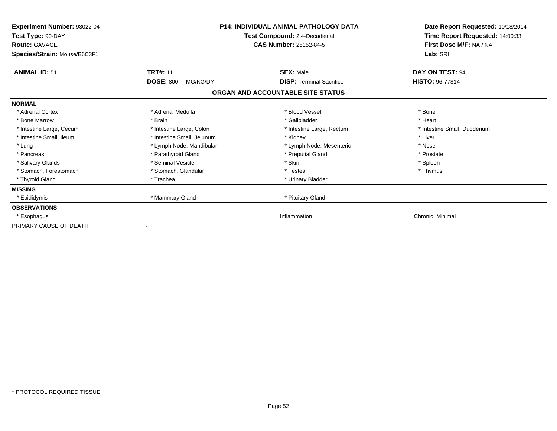| Experiment Number: 93022-04<br>Test Type: 90-DAY<br><b>Route: GAVAGE</b><br>Species/Strain: Mouse/B6C3F1 | <b>P14: INDIVIDUAL ANIMAL PATHOLOGY DATA</b><br>Test Compound: 2,4-Decadienal<br><b>CAS Number: 25152-84-5</b> |                                                                      | Date Report Requested: 10/18/2014<br>Time Report Requested: 14:00:33<br>First Dose M/F: NA / NA<br>Lab: SRI |
|----------------------------------------------------------------------------------------------------------|----------------------------------------------------------------------------------------------------------------|----------------------------------------------------------------------|-------------------------------------------------------------------------------------------------------------|
| <b>ANIMAL ID: 51</b>                                                                                     | <b>TRT#: 11</b>                                                                                                | <b>SEX: Male</b>                                                     | DAY ON TEST: 94                                                                                             |
|                                                                                                          | <b>DOSE: 800</b><br>MG/KG/DY                                                                                   | <b>DISP: Terminal Sacrifice</b><br>ORGAN AND ACCOUNTABLE SITE STATUS | HISTO: 96-77814                                                                                             |
| <b>NORMAL</b>                                                                                            |                                                                                                                |                                                                      |                                                                                                             |
| * Adrenal Cortex                                                                                         | * Adrenal Medulla                                                                                              | * Blood Vessel                                                       | * Bone                                                                                                      |
| * Bone Marrow                                                                                            | * Brain                                                                                                        | * Gallbladder                                                        | * Heart                                                                                                     |
| * Intestine Large, Cecum                                                                                 | * Intestine Large, Colon                                                                                       | * Intestine Large, Rectum                                            | * Intestine Small, Duodenum                                                                                 |
| * Intestine Small, Ileum                                                                                 | * Intestine Small, Jejunum                                                                                     | * Kidney                                                             | * Liver                                                                                                     |
| * Lung                                                                                                   | * Lymph Node, Mandibular                                                                                       | * Lymph Node, Mesenteric                                             | * Nose                                                                                                      |
| * Pancreas                                                                                               | * Parathyroid Gland                                                                                            | * Preputial Gland                                                    | * Prostate                                                                                                  |
| * Salivary Glands                                                                                        | * Seminal Vesicle                                                                                              | * Skin                                                               | * Spleen                                                                                                    |
| * Stomach, Forestomach                                                                                   | * Stomach, Glandular                                                                                           | * Testes                                                             | * Thymus                                                                                                    |
| * Thyroid Gland                                                                                          | * Trachea                                                                                                      | * Urinary Bladder                                                    |                                                                                                             |
| <b>MISSING</b>                                                                                           |                                                                                                                |                                                                      |                                                                                                             |
| * Epididymis                                                                                             | * Mammary Gland                                                                                                | * Pituitary Gland                                                    |                                                                                                             |
| <b>OBSERVATIONS</b>                                                                                      |                                                                                                                |                                                                      |                                                                                                             |
| * Esophagus                                                                                              |                                                                                                                | Inflammation                                                         | Chronic, Minimal                                                                                            |
| PRIMARY CAUSE OF DEATH                                                                                   |                                                                                                                |                                                                      |                                                                                                             |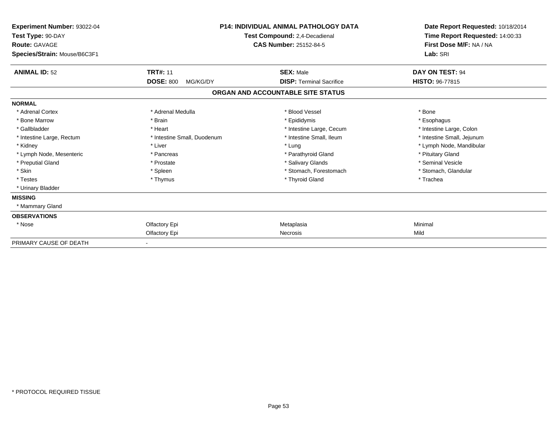| Experiment Number: 93022-04<br>Test Type: 90-DAY<br><b>Route: GAVAGE</b><br>Species/Strain: Mouse/B6C3F1 |                              | <b>P14: INDIVIDUAL ANIMAL PATHOLOGY DATA</b><br>Test Compound: 2,4-Decadienal<br><b>CAS Number: 25152-84-5</b> | Date Report Requested: 10/18/2014<br>Time Report Requested: 14:00:33<br>First Dose M/F: NA / NA<br>Lab: SRI |
|----------------------------------------------------------------------------------------------------------|------------------------------|----------------------------------------------------------------------------------------------------------------|-------------------------------------------------------------------------------------------------------------|
| <b>ANIMAL ID: 52</b>                                                                                     | <b>TRT#: 11</b>              | <b>SEX: Male</b>                                                                                               | DAY ON TEST: 94                                                                                             |
|                                                                                                          | <b>DOSE: 800</b><br>MG/KG/DY | <b>DISP: Terminal Sacrifice</b>                                                                                | <b>HISTO: 96-77815</b>                                                                                      |
|                                                                                                          |                              | ORGAN AND ACCOUNTABLE SITE STATUS                                                                              |                                                                                                             |
| <b>NORMAL</b>                                                                                            |                              |                                                                                                                |                                                                                                             |
| * Adrenal Cortex                                                                                         | * Adrenal Medulla            | * Blood Vessel                                                                                                 | * Bone                                                                                                      |
| * Bone Marrow                                                                                            | * Brain                      | * Epididymis                                                                                                   | * Esophagus                                                                                                 |
| * Gallbladder                                                                                            | * Heart                      | * Intestine Large, Cecum                                                                                       | * Intestine Large, Colon                                                                                    |
| * Intestine Large, Rectum                                                                                | * Intestine Small, Duodenum  | * Intestine Small, Ileum                                                                                       | * Intestine Small, Jejunum                                                                                  |
| * Kidney                                                                                                 | * Liver                      | * Lung                                                                                                         | * Lymph Node, Mandibular                                                                                    |
| * Lymph Node, Mesenteric                                                                                 | * Pancreas                   | * Parathyroid Gland                                                                                            | * Pituitary Gland                                                                                           |
| * Preputial Gland                                                                                        | * Prostate                   | * Salivary Glands                                                                                              | * Seminal Vesicle                                                                                           |
| * Skin                                                                                                   | * Spleen                     | * Stomach, Forestomach                                                                                         | * Stomach, Glandular                                                                                        |
| * Testes                                                                                                 | * Thymus                     | * Thyroid Gland                                                                                                | * Trachea                                                                                                   |
| * Urinary Bladder                                                                                        |                              |                                                                                                                |                                                                                                             |
| <b>MISSING</b>                                                                                           |                              |                                                                                                                |                                                                                                             |
| * Mammary Gland                                                                                          |                              |                                                                                                                |                                                                                                             |
| <b>OBSERVATIONS</b>                                                                                      |                              |                                                                                                                |                                                                                                             |
| * Nose                                                                                                   | Olfactory Epi                | Metaplasia                                                                                                     | Minimal                                                                                                     |
|                                                                                                          | Olfactory Epi                | Necrosis                                                                                                       | Mild                                                                                                        |
| PRIMARY CAUSE OF DEATH                                                                                   |                              |                                                                                                                |                                                                                                             |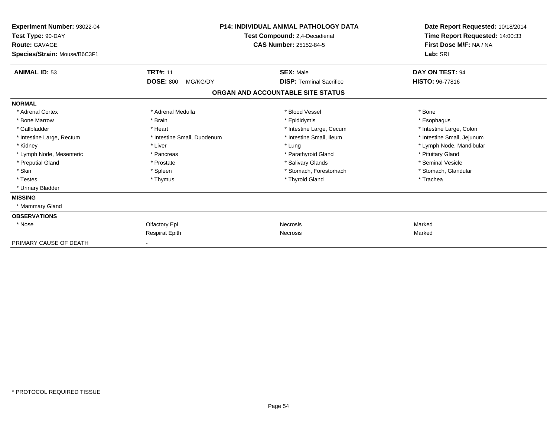| Experiment Number: 93022-04<br>Test Type: 90-DAY<br><b>Route: GAVAGE</b><br>Species/Strain: Mouse/B6C3F1 | <b>P14: INDIVIDUAL ANIMAL PATHOLOGY DATA</b><br>Test Compound: 2,4-Decadienal<br><b>CAS Number: 25152-84-5</b> |                                   | Date Report Requested: 10/18/2014<br>Time Report Requested: 14:00:33<br>First Dose M/F: NA / NA<br>Lab: SRI |
|----------------------------------------------------------------------------------------------------------|----------------------------------------------------------------------------------------------------------------|-----------------------------------|-------------------------------------------------------------------------------------------------------------|
| <b>ANIMAL ID: 53</b>                                                                                     | <b>TRT#: 11</b>                                                                                                | <b>SEX: Male</b>                  | DAY ON TEST: 94                                                                                             |
|                                                                                                          | <b>DOSE: 800</b><br>MG/KG/DY                                                                                   | <b>DISP: Terminal Sacrifice</b>   | <b>HISTO: 96-77816</b>                                                                                      |
|                                                                                                          |                                                                                                                | ORGAN AND ACCOUNTABLE SITE STATUS |                                                                                                             |
| <b>NORMAL</b>                                                                                            |                                                                                                                |                                   |                                                                                                             |
| * Adrenal Cortex                                                                                         | * Adrenal Medulla                                                                                              | * Blood Vessel                    | * Bone                                                                                                      |
| * Bone Marrow                                                                                            | * Brain                                                                                                        | * Epididymis                      | * Esophagus                                                                                                 |
| * Gallbladder                                                                                            | * Heart                                                                                                        | * Intestine Large, Cecum          | * Intestine Large, Colon                                                                                    |
| * Intestine Large, Rectum                                                                                | * Intestine Small, Duodenum                                                                                    | * Intestine Small, Ileum          | * Intestine Small, Jejunum                                                                                  |
| * Kidney                                                                                                 | * Liver                                                                                                        | * Lung                            | * Lymph Node, Mandibular                                                                                    |
| * Lymph Node, Mesenteric                                                                                 | * Pancreas                                                                                                     | * Parathyroid Gland               | * Pituitary Gland                                                                                           |
| * Preputial Gland                                                                                        | * Prostate                                                                                                     | * Salivary Glands                 | * Seminal Vesicle                                                                                           |
| * Skin                                                                                                   | * Spleen                                                                                                       | * Stomach, Forestomach            | * Stomach, Glandular                                                                                        |
| * Testes                                                                                                 | * Thymus                                                                                                       | * Thyroid Gland                   | * Trachea                                                                                                   |
| * Urinary Bladder                                                                                        |                                                                                                                |                                   |                                                                                                             |
| <b>MISSING</b>                                                                                           |                                                                                                                |                                   |                                                                                                             |
| * Mammary Gland                                                                                          |                                                                                                                |                                   |                                                                                                             |
| <b>OBSERVATIONS</b>                                                                                      |                                                                                                                |                                   |                                                                                                             |
| * Nose                                                                                                   | Olfactory Epi                                                                                                  | Necrosis                          | Marked                                                                                                      |
|                                                                                                          | <b>Respirat Epith</b>                                                                                          | Necrosis                          | Marked                                                                                                      |
| PRIMARY CAUSE OF DEATH                                                                                   |                                                                                                                |                                   |                                                                                                             |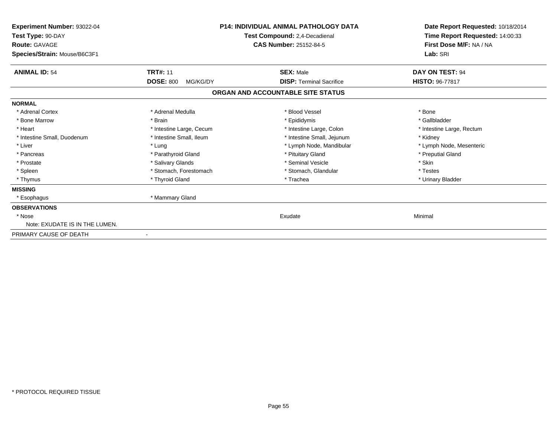| Experiment Number: 93022-04<br>Test Type: 90-DAY<br>Route: GAVAGE<br>Species/Strain: Mouse/B6C3F1 | <b>P14: INDIVIDUAL ANIMAL PATHOLOGY DATA</b><br>Test Compound: 2,4-Decadienal<br><b>CAS Number: 25152-84-5</b> |                                   | Date Report Requested: 10/18/2014<br>Time Report Requested: 14:00:33<br>First Dose M/F: NA / NA<br>Lab: SRI |
|---------------------------------------------------------------------------------------------------|----------------------------------------------------------------------------------------------------------------|-----------------------------------|-------------------------------------------------------------------------------------------------------------|
| <b>ANIMAL ID: 54</b>                                                                              | <b>TRT#: 11</b>                                                                                                | <b>SEX: Male</b>                  | DAY ON TEST: 94                                                                                             |
|                                                                                                   | <b>DOSE: 800</b><br>MG/KG/DY                                                                                   | <b>DISP: Terminal Sacrifice</b>   | <b>HISTO: 96-77817</b>                                                                                      |
|                                                                                                   |                                                                                                                | ORGAN AND ACCOUNTABLE SITE STATUS |                                                                                                             |
| <b>NORMAL</b>                                                                                     |                                                                                                                |                                   |                                                                                                             |
| * Adrenal Cortex                                                                                  | * Adrenal Medulla                                                                                              | * Blood Vessel                    | * Bone                                                                                                      |
| * Bone Marrow                                                                                     | * Brain                                                                                                        | * Epididymis                      | * Gallbladder                                                                                               |
| * Heart                                                                                           | * Intestine Large, Cecum                                                                                       | * Intestine Large, Colon          | * Intestine Large, Rectum                                                                                   |
| * Intestine Small, Duodenum                                                                       | * Intestine Small, Ileum                                                                                       | * Intestine Small, Jejunum        | * Kidney                                                                                                    |
| * Liver                                                                                           | * Lung                                                                                                         | * Lymph Node, Mandibular          | * Lymph Node, Mesenteric                                                                                    |
| * Pancreas                                                                                        | * Parathyroid Gland                                                                                            | * Pituitary Gland                 | * Preputial Gland                                                                                           |
| * Prostate                                                                                        | * Salivary Glands                                                                                              | * Seminal Vesicle                 | * Skin                                                                                                      |
| * Spleen                                                                                          | * Stomach, Forestomach                                                                                         | * Stomach, Glandular              | * Testes                                                                                                    |
| * Thymus                                                                                          | * Thyroid Gland                                                                                                | * Trachea                         | * Urinary Bladder                                                                                           |
| <b>MISSING</b>                                                                                    |                                                                                                                |                                   |                                                                                                             |
| * Esophagus                                                                                       | * Mammary Gland                                                                                                |                                   |                                                                                                             |
| <b>OBSERVATIONS</b>                                                                               |                                                                                                                |                                   |                                                                                                             |
| * Nose                                                                                            |                                                                                                                | Exudate                           | Minimal                                                                                                     |
| Note: EXUDATE IS IN THE LUMEN.                                                                    |                                                                                                                |                                   |                                                                                                             |
| PRIMARY CAUSE OF DEATH                                                                            | $\overline{\phantom{a}}$                                                                                       |                                   |                                                                                                             |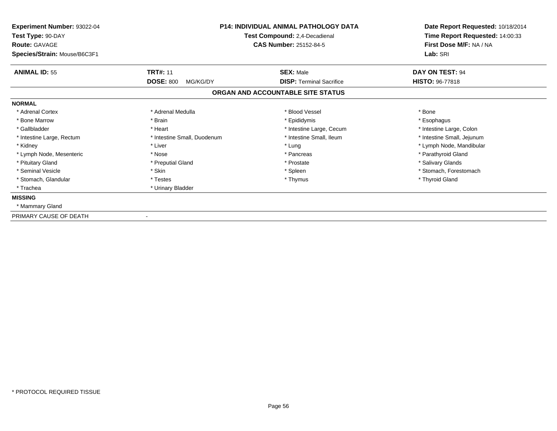| Experiment Number: 93022-04<br>Test Type: 90-DAY<br><b>Route: GAVAGE</b><br>Species/Strain: Mouse/B6C3F1 | <b>P14: INDIVIDUAL ANIMAL PATHOLOGY DATA</b><br>Test Compound: 2,4-Decadienal<br><b>CAS Number: 25152-84-5</b> |                                   | Date Report Requested: 10/18/2014<br>Time Report Requested: 14:00:33<br>First Dose M/F: NA / NA<br>Lab: SRI |  |
|----------------------------------------------------------------------------------------------------------|----------------------------------------------------------------------------------------------------------------|-----------------------------------|-------------------------------------------------------------------------------------------------------------|--|
| <b>ANIMAL ID: 55</b>                                                                                     | <b>TRT#: 11</b>                                                                                                | <b>SEX: Male</b>                  | DAY ON TEST: 94                                                                                             |  |
|                                                                                                          | <b>DOSE: 800</b><br>MG/KG/DY                                                                                   | <b>DISP: Terminal Sacrifice</b>   | <b>HISTO: 96-77818</b>                                                                                      |  |
|                                                                                                          |                                                                                                                | ORGAN AND ACCOUNTABLE SITE STATUS |                                                                                                             |  |
| <b>NORMAL</b>                                                                                            |                                                                                                                |                                   |                                                                                                             |  |
| * Adrenal Cortex                                                                                         | * Adrenal Medulla                                                                                              | * Blood Vessel                    | * Bone                                                                                                      |  |
| * Bone Marrow                                                                                            | * Brain                                                                                                        | * Epididymis                      | * Esophagus                                                                                                 |  |
| * Gallbladder                                                                                            | * Heart                                                                                                        | * Intestine Large, Cecum          | * Intestine Large, Colon                                                                                    |  |
| * Intestine Large, Rectum                                                                                | * Intestine Small, Duodenum                                                                                    | * Intestine Small. Ileum          | * Intestine Small, Jejunum                                                                                  |  |
| * Kidney                                                                                                 | * Liver                                                                                                        | * Lung                            | * Lymph Node, Mandibular                                                                                    |  |
| * Lymph Node, Mesenteric                                                                                 | * Nose                                                                                                         | * Pancreas                        | * Parathyroid Gland                                                                                         |  |
| * Pituitary Gland                                                                                        | * Preputial Gland                                                                                              | * Prostate                        | * Salivary Glands                                                                                           |  |
| * Seminal Vesicle                                                                                        | * Skin                                                                                                         | * Spleen                          | * Stomach, Forestomach                                                                                      |  |
| * Stomach, Glandular                                                                                     | * Testes                                                                                                       | * Thymus                          | * Thyroid Gland                                                                                             |  |
| * Trachea                                                                                                | * Urinary Bladder                                                                                              |                                   |                                                                                                             |  |
| <b>MISSING</b>                                                                                           |                                                                                                                |                                   |                                                                                                             |  |
| * Mammary Gland                                                                                          |                                                                                                                |                                   |                                                                                                             |  |
| PRIMARY CAUSE OF DEATH                                                                                   |                                                                                                                |                                   |                                                                                                             |  |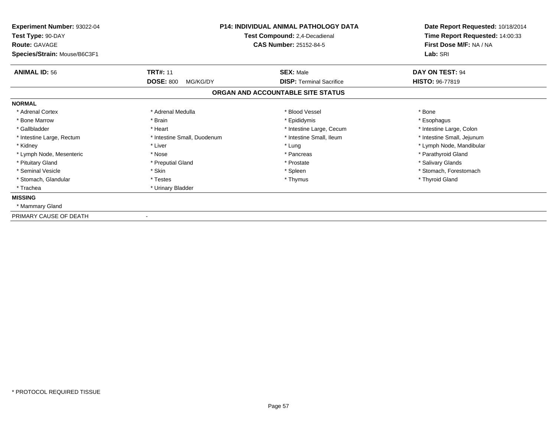| Experiment Number: 93022-04<br>Test Type: 90-DAY<br><b>Route: GAVAGE</b><br>Species/Strain: Mouse/B6C3F1 | <b>P14: INDIVIDUAL ANIMAL PATHOLOGY DATA</b><br>Test Compound: 2,4-Decadienal<br><b>CAS Number: 25152-84-5</b> |                                   | Date Report Requested: 10/18/2014<br>Time Report Requested: 14:00:33<br>First Dose M/F: NA / NA<br>Lab: SRI |  |
|----------------------------------------------------------------------------------------------------------|----------------------------------------------------------------------------------------------------------------|-----------------------------------|-------------------------------------------------------------------------------------------------------------|--|
| <b>ANIMAL ID: 56</b>                                                                                     | <b>TRT#: 11</b>                                                                                                | <b>SEX: Male</b>                  | DAY ON TEST: 94                                                                                             |  |
|                                                                                                          | <b>DOSE: 800</b><br>MG/KG/DY                                                                                   | <b>DISP: Terminal Sacrifice</b>   | <b>HISTO: 96-77819</b>                                                                                      |  |
|                                                                                                          |                                                                                                                | ORGAN AND ACCOUNTABLE SITE STATUS |                                                                                                             |  |
| <b>NORMAL</b>                                                                                            |                                                                                                                |                                   |                                                                                                             |  |
| * Adrenal Cortex                                                                                         | * Adrenal Medulla                                                                                              | * Blood Vessel                    | * Bone                                                                                                      |  |
| * Bone Marrow                                                                                            | * Brain                                                                                                        | * Epididymis                      | * Esophagus                                                                                                 |  |
| * Gallbladder                                                                                            | * Heart                                                                                                        | * Intestine Large, Cecum          | * Intestine Large, Colon                                                                                    |  |
| * Intestine Large, Rectum                                                                                | * Intestine Small, Duodenum                                                                                    | * Intestine Small. Ileum          | * Intestine Small, Jejunum                                                                                  |  |
| * Kidney                                                                                                 | * Liver                                                                                                        | * Lung                            | * Lymph Node, Mandibular                                                                                    |  |
| * Lymph Node, Mesenteric                                                                                 | * Nose                                                                                                         | * Pancreas                        | * Parathyroid Gland                                                                                         |  |
| * Pituitary Gland                                                                                        | * Preputial Gland                                                                                              | * Prostate                        | * Salivary Glands                                                                                           |  |
| * Seminal Vesicle                                                                                        | * Skin                                                                                                         | * Spleen                          | * Stomach, Forestomach                                                                                      |  |
| * Stomach, Glandular                                                                                     | * Testes                                                                                                       | * Thymus                          | * Thyroid Gland                                                                                             |  |
| * Trachea                                                                                                | * Urinary Bladder                                                                                              |                                   |                                                                                                             |  |
| <b>MISSING</b>                                                                                           |                                                                                                                |                                   |                                                                                                             |  |
| * Mammary Gland                                                                                          |                                                                                                                |                                   |                                                                                                             |  |
| PRIMARY CAUSE OF DEATH                                                                                   |                                                                                                                |                                   |                                                                                                             |  |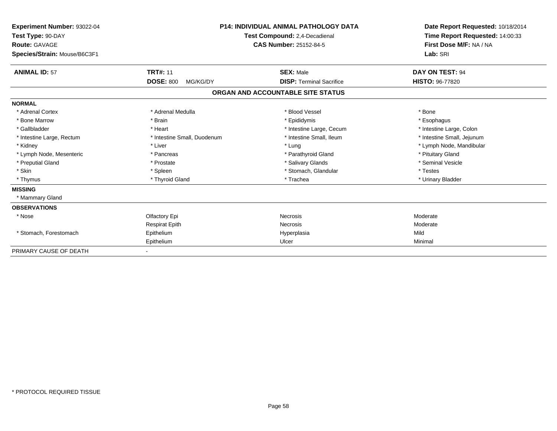| Experiment Number: 93022-04<br>Test Type: 90-DAY<br>Route: GAVAGE |                              | <b>P14: INDIVIDUAL ANIMAL PATHOLOGY DATA</b><br>Test Compound: 2,4-Decadienal<br><b>CAS Number: 25152-84-5</b> | Date Report Requested: 10/18/2014<br>Time Report Requested: 14:00:33<br>First Dose M/F: NA / NA |
|-------------------------------------------------------------------|------------------------------|----------------------------------------------------------------------------------------------------------------|-------------------------------------------------------------------------------------------------|
| Species/Strain: Mouse/B6C3F1                                      |                              |                                                                                                                | Lab: SRI                                                                                        |
| <b>ANIMAL ID: 57</b>                                              | <b>TRT#: 11</b>              | <b>SEX: Male</b>                                                                                               | DAY ON TEST: 94                                                                                 |
|                                                                   | <b>DOSE: 800</b><br>MG/KG/DY | <b>DISP: Terminal Sacrifice</b>                                                                                | <b>HISTO: 96-77820</b>                                                                          |
|                                                                   |                              | ORGAN AND ACCOUNTABLE SITE STATUS                                                                              |                                                                                                 |
| <b>NORMAL</b>                                                     |                              |                                                                                                                |                                                                                                 |
| * Adrenal Cortex                                                  | * Adrenal Medulla            | * Blood Vessel                                                                                                 | * Bone                                                                                          |
| * Bone Marrow                                                     | * Brain                      | * Epididymis                                                                                                   | * Esophagus                                                                                     |
| * Gallbladder                                                     | * Heart                      | * Intestine Large, Cecum                                                                                       | * Intestine Large, Colon                                                                        |
| * Intestine Large, Rectum                                         | * Intestine Small, Duodenum  | * Intestine Small, Ileum                                                                                       | * Intestine Small, Jejunum                                                                      |
| * Kidney                                                          | * Liver                      | * Lung                                                                                                         | * Lymph Node, Mandibular                                                                        |
| * Lymph Node, Mesenteric                                          | * Pancreas                   | * Parathyroid Gland                                                                                            | * Pituitary Gland                                                                               |
| * Preputial Gland                                                 | * Prostate                   | * Salivary Glands                                                                                              | * Seminal Vesicle                                                                               |
| * Skin                                                            | * Spleen                     | * Stomach, Glandular                                                                                           | * Testes                                                                                        |
| * Thymus                                                          | * Thyroid Gland              | * Trachea                                                                                                      | * Urinary Bladder                                                                               |
| <b>MISSING</b>                                                    |                              |                                                                                                                |                                                                                                 |
| * Mammary Gland                                                   |                              |                                                                                                                |                                                                                                 |
| <b>OBSERVATIONS</b>                                               |                              |                                                                                                                |                                                                                                 |
| * Nose                                                            | Olfactory Epi                | Necrosis                                                                                                       | Moderate                                                                                        |
|                                                                   | <b>Respirat Epith</b>        | Necrosis                                                                                                       | Moderate                                                                                        |
| * Stomach, Forestomach                                            | Epithelium                   | Hyperplasia                                                                                                    | Mild                                                                                            |
|                                                                   | Epithelium                   | Ulcer                                                                                                          | Minimal                                                                                         |
| PRIMARY CAUSE OF DEATH                                            |                              |                                                                                                                |                                                                                                 |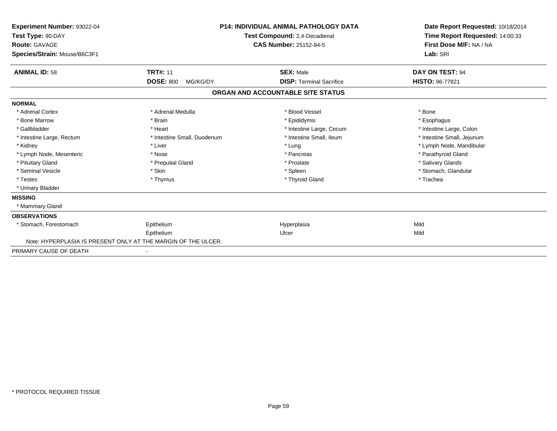| Experiment Number: 93022-04<br>Test Type: 90-DAY<br>Route: GAVAGE<br>Species/Strain: Mouse/B6C3F1 | <b>P14: INDIVIDUAL ANIMAL PATHOLOGY DATA</b><br>Test Compound: 2,4-Decadienal<br><b>CAS Number: 25152-84-5</b> |                                   | Date Report Requested: 10/18/2014<br>Time Report Requested: 14:00:33<br>First Dose M/F: NA / NA<br>Lab: SRI |  |
|---------------------------------------------------------------------------------------------------|----------------------------------------------------------------------------------------------------------------|-----------------------------------|-------------------------------------------------------------------------------------------------------------|--|
| <b>ANIMAL ID: 58</b>                                                                              | <b>TRT#: 11</b>                                                                                                | <b>SEX: Male</b>                  | DAY ON TEST: 94                                                                                             |  |
|                                                                                                   | <b>DOSE: 800</b><br>MG/KG/DY                                                                                   | <b>DISP: Terminal Sacrifice</b>   | HISTO: 96-77821                                                                                             |  |
|                                                                                                   |                                                                                                                | ORGAN AND ACCOUNTABLE SITE STATUS |                                                                                                             |  |
| <b>NORMAL</b>                                                                                     |                                                                                                                |                                   |                                                                                                             |  |
| * Adrenal Cortex                                                                                  | * Adrenal Medulla                                                                                              | * Blood Vessel                    | * Bone                                                                                                      |  |
| * Bone Marrow                                                                                     | * Brain                                                                                                        | * Epididymis                      | * Esophagus                                                                                                 |  |
| * Gallbladder                                                                                     | * Heart                                                                                                        | * Intestine Large, Cecum          | * Intestine Large, Colon                                                                                    |  |
| * Intestine Large, Rectum                                                                         | * Intestine Small, Duodenum                                                                                    | * Intestine Small, Ileum          | * Intestine Small, Jejunum                                                                                  |  |
| * Kidney                                                                                          | * Liver                                                                                                        | * Lung                            | * Lymph Node, Mandibular                                                                                    |  |
| * Lymph Node, Mesenteric                                                                          | * Nose                                                                                                         | * Pancreas                        | * Parathyroid Gland                                                                                         |  |
| * Pituitary Gland                                                                                 | * Preputial Gland                                                                                              | * Prostate                        | * Salivary Glands                                                                                           |  |
| * Seminal Vesicle                                                                                 | * Skin                                                                                                         | * Spleen                          | * Stomach, Glandular                                                                                        |  |
| * Testes                                                                                          | * Thymus                                                                                                       | * Thyroid Gland                   | * Trachea                                                                                                   |  |
| * Urinary Bladder                                                                                 |                                                                                                                |                                   |                                                                                                             |  |
| <b>MISSING</b>                                                                                    |                                                                                                                |                                   |                                                                                                             |  |
| * Mammary Gland                                                                                   |                                                                                                                |                                   |                                                                                                             |  |
| <b>OBSERVATIONS</b>                                                                               |                                                                                                                |                                   |                                                                                                             |  |
| * Stomach, Forestomach                                                                            | Epithelium                                                                                                     | Hyperplasia                       | Mild                                                                                                        |  |
|                                                                                                   | Epithelium                                                                                                     | Ulcer                             | Mild                                                                                                        |  |
|                                                                                                   | Note: HYPERPLASIA IS PRESENT ONLY AT THE MARGIN OF THE ULCER.                                                  |                                   |                                                                                                             |  |
| PRIMARY CAUSE OF DEATH                                                                            |                                                                                                                |                                   |                                                                                                             |  |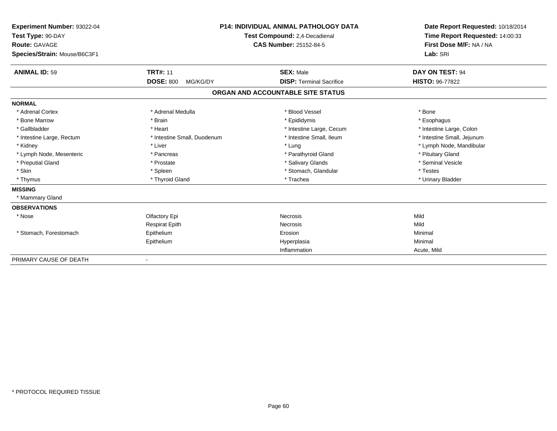| Experiment Number: 93022-04<br>Test Type: 90-DAY |                               | <b>P14: INDIVIDUAL ANIMAL PATHOLOGY DATA</b> | Date Report Requested: 10/18/2014<br>Time Report Requested: 14:00:33<br>First Dose M/F: NA / NA |
|--------------------------------------------------|-------------------------------|----------------------------------------------|-------------------------------------------------------------------------------------------------|
|                                                  |                               | Test Compound: 2,4-Decadienal                |                                                                                                 |
| <b>Route: GAVAGE</b>                             | <b>CAS Number: 25152-84-5</b> |                                              |                                                                                                 |
| Species/Strain: Mouse/B6C3F1                     |                               |                                              | Lab: SRI                                                                                        |
| <b>ANIMAL ID: 59</b>                             | <b>TRT#: 11</b>               | <b>SEX: Male</b>                             | DAY ON TEST: 94                                                                                 |
|                                                  | <b>DOSE: 800</b><br>MG/KG/DY  | <b>DISP: Terminal Sacrifice</b>              | HISTO: 96-77822                                                                                 |
|                                                  |                               | ORGAN AND ACCOUNTABLE SITE STATUS            |                                                                                                 |
| <b>NORMAL</b>                                    |                               |                                              |                                                                                                 |
| * Adrenal Cortex                                 | * Adrenal Medulla             | * Blood Vessel                               | * Bone                                                                                          |
| * Bone Marrow                                    | * Brain                       | * Epididymis                                 | * Esophagus                                                                                     |
| * Gallbladder                                    | * Heart                       | * Intestine Large, Cecum                     | * Intestine Large, Colon                                                                        |
| * Intestine Large, Rectum                        | * Intestine Small, Duodenum   | * Intestine Small, Ileum                     | * Intestine Small, Jejunum                                                                      |
| * Kidney                                         | * Liver                       | * Lung                                       | * Lymph Node, Mandibular                                                                        |
| * Lymph Node, Mesenteric                         | * Pancreas                    | * Parathyroid Gland                          | * Pituitary Gland                                                                               |
| * Preputial Gland                                | * Prostate                    | * Salivary Glands                            | * Seminal Vesicle                                                                               |
| * Skin                                           | * Spleen                      | * Stomach, Glandular                         | * Testes                                                                                        |
| * Thymus                                         | * Thyroid Gland               | * Trachea                                    | * Urinary Bladder                                                                               |
| <b>MISSING</b>                                   |                               |                                              |                                                                                                 |
| * Mammary Gland                                  |                               |                                              |                                                                                                 |
| <b>OBSERVATIONS</b>                              |                               |                                              |                                                                                                 |
| * Nose                                           | Olfactory Epi                 | <b>Necrosis</b>                              | Mild                                                                                            |
|                                                  | <b>Respirat Epith</b>         | <b>Necrosis</b>                              | Mild                                                                                            |
| * Stomach, Forestomach                           | Epithelium                    | Erosion                                      | Minimal                                                                                         |
|                                                  | Epithelium                    | Hyperplasia                                  | Minimal                                                                                         |
|                                                  |                               | Inflammation                                 | Acute, Mild                                                                                     |
| PRIMARY CAUSE OF DEATH                           |                               |                                              |                                                                                                 |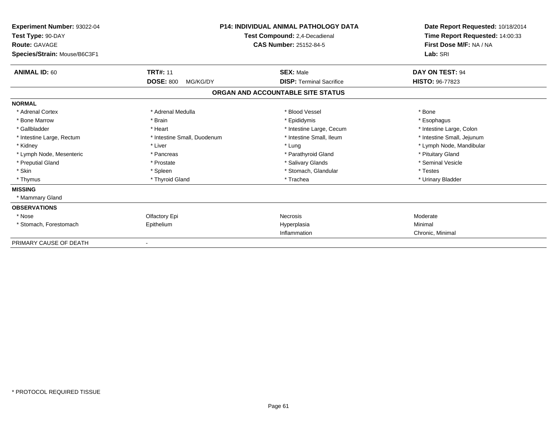| Experiment Number: 93022-04<br>Test Type: 90-DAY<br><b>Route: GAVAGE</b><br>Species/Strain: Mouse/B6C3F1 |                              | <b>P14: INDIVIDUAL ANIMAL PATHOLOGY DATA</b><br>Test Compound: 2,4-Decadienal<br><b>CAS Number: 25152-84-5</b> | Date Report Requested: 10/18/2014<br>Time Report Requested: 14:00:33<br>First Dose M/F: NA / NA<br>Lab: SRI |
|----------------------------------------------------------------------------------------------------------|------------------------------|----------------------------------------------------------------------------------------------------------------|-------------------------------------------------------------------------------------------------------------|
|                                                                                                          |                              |                                                                                                                |                                                                                                             |
| <b>ANIMAL ID: 60</b>                                                                                     | <b>TRT#: 11</b>              | <b>SEX: Male</b>                                                                                               | DAY ON TEST: 94                                                                                             |
|                                                                                                          | <b>DOSE: 800</b><br>MG/KG/DY | <b>DISP: Terminal Sacrifice</b>                                                                                | <b>HISTO: 96-77823</b>                                                                                      |
|                                                                                                          |                              | ORGAN AND ACCOUNTABLE SITE STATUS                                                                              |                                                                                                             |
| <b>NORMAL</b>                                                                                            |                              |                                                                                                                |                                                                                                             |
| * Adrenal Cortex                                                                                         | * Adrenal Medulla            | * Blood Vessel                                                                                                 | * Bone                                                                                                      |
| * Bone Marrow                                                                                            | * Brain                      | * Epididymis                                                                                                   | * Esophagus                                                                                                 |
| * Gallbladder                                                                                            | * Heart                      | * Intestine Large, Cecum                                                                                       | * Intestine Large, Colon                                                                                    |
| * Intestine Large, Rectum                                                                                | * Intestine Small, Duodenum  | * Intestine Small, Ileum                                                                                       | * Intestine Small, Jejunum                                                                                  |
| * Kidney                                                                                                 | * Liver                      | * Lung                                                                                                         | * Lymph Node, Mandibular                                                                                    |
| * Lymph Node, Mesenteric                                                                                 | * Pancreas                   | * Parathyroid Gland                                                                                            | * Pituitary Gland                                                                                           |
| * Preputial Gland                                                                                        | * Prostate                   | * Salivary Glands                                                                                              | * Seminal Vesicle                                                                                           |
| * Skin                                                                                                   | * Spleen                     | * Stomach, Glandular                                                                                           | * Testes                                                                                                    |
| * Thymus                                                                                                 | * Thyroid Gland              | * Trachea                                                                                                      | * Urinary Bladder                                                                                           |
| <b>MISSING</b>                                                                                           |                              |                                                                                                                |                                                                                                             |
| * Mammary Gland                                                                                          |                              |                                                                                                                |                                                                                                             |
| <b>OBSERVATIONS</b>                                                                                      |                              |                                                                                                                |                                                                                                             |
| * Nose                                                                                                   | Olfactory Epi                | Necrosis                                                                                                       | Moderate                                                                                                    |
| * Stomach, Forestomach                                                                                   | Epithelium                   | Hyperplasia                                                                                                    | Minimal                                                                                                     |
|                                                                                                          |                              | Inflammation                                                                                                   | Chronic, Minimal                                                                                            |
| PRIMARY CAUSE OF DEATH                                                                                   |                              |                                                                                                                |                                                                                                             |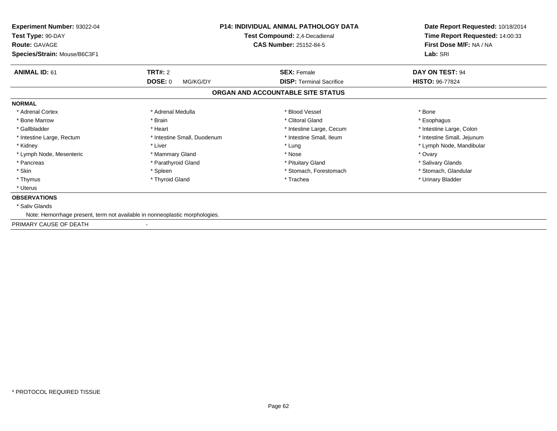| <b>Experiment Number: 93022-04</b><br>Test Type: 90-DAY<br><b>Route: GAVAGE</b> |                             | <b>P14: INDIVIDUAL ANIMAL PATHOLOGY DATA</b><br>Test Compound: 2,4-Decadienal<br><b>CAS Number: 25152-84-5</b> | Date Report Requested: 10/18/2014<br>Time Report Requested: 14:00:33<br>First Dose M/F: NA / NA |
|---------------------------------------------------------------------------------|-----------------------------|----------------------------------------------------------------------------------------------------------------|-------------------------------------------------------------------------------------------------|
| Species/Strain: Mouse/B6C3F1                                                    |                             |                                                                                                                | Lab: SRI                                                                                        |
| <b>ANIMAL ID: 61</b>                                                            | <b>TRT#: 2</b>              | <b>SEX: Female</b>                                                                                             | DAY ON TEST: 94                                                                                 |
|                                                                                 | <b>DOSE: 0</b><br>MG/KG/DY  | <b>DISP:</b> Terminal Sacrifice                                                                                | HISTO: 96-77824                                                                                 |
|                                                                                 |                             | ORGAN AND ACCOUNTABLE SITE STATUS                                                                              |                                                                                                 |
| <b>NORMAL</b>                                                                   |                             |                                                                                                                |                                                                                                 |
| * Adrenal Cortex                                                                | * Adrenal Medulla           | * Blood Vessel                                                                                                 | * Bone                                                                                          |
| * Bone Marrow                                                                   | * Brain                     | * Clitoral Gland                                                                                               | * Esophagus                                                                                     |
| * Gallbladder                                                                   | * Heart                     | * Intestine Large, Cecum                                                                                       | * Intestine Large, Colon                                                                        |
| * Intestine Large, Rectum                                                       | * Intestine Small, Duodenum | * Intestine Small, Ileum                                                                                       | * Intestine Small, Jejunum                                                                      |
| * Kidney                                                                        | * Liver                     | * Lung                                                                                                         | * Lymph Node, Mandibular                                                                        |
| * Lymph Node, Mesenteric                                                        | * Mammary Gland             | * Nose                                                                                                         | * Ovary                                                                                         |
| * Pancreas                                                                      | * Parathyroid Gland         | * Pituitary Gland                                                                                              | * Salivary Glands                                                                               |
| * Skin                                                                          | * Spleen                    | * Stomach, Forestomach                                                                                         | * Stomach, Glandular                                                                            |
| * Thymus                                                                        | * Thyroid Gland             | * Trachea                                                                                                      | * Urinary Bladder                                                                               |
| * Uterus                                                                        |                             |                                                                                                                |                                                                                                 |
| <b>OBSERVATIONS</b>                                                             |                             |                                                                                                                |                                                                                                 |
| * Saliv Glands                                                                  |                             |                                                                                                                |                                                                                                 |
| Note: Hemorrhage present, term not available in nonneoplastic morphologies.     |                             |                                                                                                                |                                                                                                 |
| PRIMARY CAUSE OF DEATH                                                          |                             |                                                                                                                |                                                                                                 |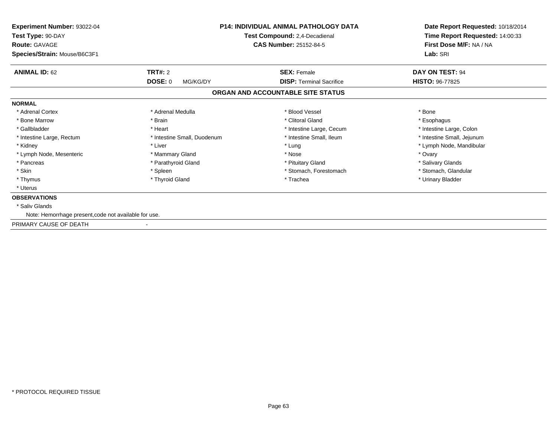| <b>Experiment Number: 93022-04</b><br>Test Type: 90-DAY<br><b>Route: GAVAGE</b><br>Species/Strain: Mouse/B6C3F1 |                             | <b>P14: INDIVIDUAL ANIMAL PATHOLOGY DATA</b><br>Test Compound: 2,4-Decadienal<br><b>CAS Number: 25152-84-5</b> | Date Report Requested: 10/18/2014<br>Time Report Requested: 14:00:33<br>First Dose M/F: NA / NA<br>Lab: SRI |
|-----------------------------------------------------------------------------------------------------------------|-----------------------------|----------------------------------------------------------------------------------------------------------------|-------------------------------------------------------------------------------------------------------------|
| <b>ANIMAL ID: 62</b>                                                                                            | <b>TRT#: 2</b>              | <b>SEX: Female</b>                                                                                             | DAY ON TEST: 94                                                                                             |
|                                                                                                                 | DOSE: 0<br>MG/KG/DY         | <b>DISP: Terminal Sacrifice</b>                                                                                | <b>HISTO: 96-77825</b>                                                                                      |
|                                                                                                                 |                             | ORGAN AND ACCOUNTABLE SITE STATUS                                                                              |                                                                                                             |
| <b>NORMAL</b>                                                                                                   |                             |                                                                                                                |                                                                                                             |
| * Adrenal Cortex                                                                                                | * Adrenal Medulla           | * Blood Vessel                                                                                                 | * Bone                                                                                                      |
| * Bone Marrow                                                                                                   | * Brain                     | * Clitoral Gland                                                                                               | * Esophagus                                                                                                 |
| * Gallbladder                                                                                                   | * Heart                     | * Intestine Large, Cecum                                                                                       | * Intestine Large, Colon                                                                                    |
| * Intestine Large, Rectum                                                                                       | * Intestine Small, Duodenum | * Intestine Small, Ileum                                                                                       | * Intestine Small, Jejunum                                                                                  |
| * Kidney                                                                                                        | * Liver                     | * Lung                                                                                                         | * Lymph Node, Mandibular                                                                                    |
| * Lymph Node, Mesenteric                                                                                        | * Mammary Gland             | * Nose                                                                                                         | * Ovary                                                                                                     |
| * Pancreas                                                                                                      | * Parathyroid Gland         | * Pituitary Gland                                                                                              | * Salivary Glands                                                                                           |
| * Skin                                                                                                          | * Spleen                    | * Stomach, Forestomach                                                                                         | * Stomach, Glandular                                                                                        |
| * Thymus                                                                                                        | * Thyroid Gland             | * Trachea                                                                                                      | * Urinary Bladder                                                                                           |
| * Uterus                                                                                                        |                             |                                                                                                                |                                                                                                             |
| <b>OBSERVATIONS</b>                                                                                             |                             |                                                                                                                |                                                                                                             |
| * Saliv Glands                                                                                                  |                             |                                                                                                                |                                                                                                             |
| Note: Hemorrhage present, code not available for use.                                                           |                             |                                                                                                                |                                                                                                             |
| PRIMARY CAUSE OF DEATH                                                                                          |                             |                                                                                                                |                                                                                                             |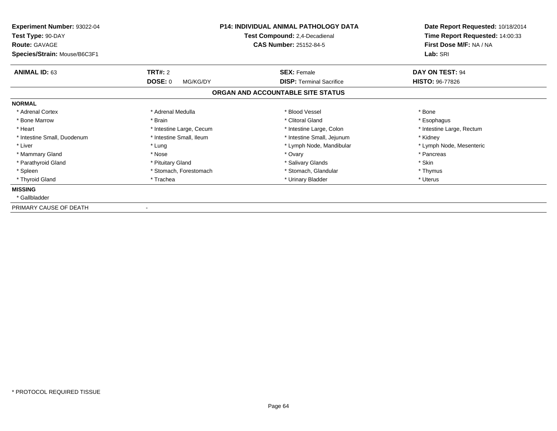| <b>Experiment Number: 93022-04</b><br>Test Type: 90-DAY<br><b>Route: GAVAGE</b><br>Species/Strain: Mouse/B6C3F1 |                          | <b>P14: INDIVIDUAL ANIMAL PATHOLOGY DATA</b><br>Test Compound: 2,4-Decadienal<br><b>CAS Number: 25152-84-5</b> | Date Report Requested: 10/18/2014<br>Time Report Requested: 14:00:33<br>First Dose M/F: NA / NA<br>Lab: SRI |
|-----------------------------------------------------------------------------------------------------------------|--------------------------|----------------------------------------------------------------------------------------------------------------|-------------------------------------------------------------------------------------------------------------|
| <b>ANIMAL ID: 63</b>                                                                                            | <b>TRT#: 2</b>           | <b>SEX: Female</b>                                                                                             | DAY ON TEST: 94                                                                                             |
|                                                                                                                 | DOSE: 0<br>MG/KG/DY      | <b>DISP:</b> Terminal Sacrifice                                                                                | <b>HISTO: 96-77826</b>                                                                                      |
|                                                                                                                 |                          | ORGAN AND ACCOUNTABLE SITE STATUS                                                                              |                                                                                                             |
| <b>NORMAL</b>                                                                                                   |                          |                                                                                                                |                                                                                                             |
| * Adrenal Cortex                                                                                                | * Adrenal Medulla        | * Blood Vessel                                                                                                 | * Bone                                                                                                      |
| * Bone Marrow                                                                                                   | * Brain                  | * Clitoral Gland                                                                                               | * Esophagus                                                                                                 |
| * Heart                                                                                                         | * Intestine Large, Cecum | * Intestine Large, Colon                                                                                       | * Intestine Large, Rectum                                                                                   |
| * Intestine Small, Duodenum                                                                                     | * Intestine Small, Ileum | * Intestine Small, Jejunum                                                                                     | * Kidney                                                                                                    |
| * Liver                                                                                                         | * Lung                   | * Lymph Node, Mandibular                                                                                       | * Lymph Node, Mesenteric                                                                                    |
| * Mammary Gland                                                                                                 | * Nose                   | * Ovary                                                                                                        | * Pancreas                                                                                                  |
| * Parathyroid Gland                                                                                             | * Pituitary Gland        | * Salivary Glands                                                                                              | * Skin                                                                                                      |
| * Spleen                                                                                                        | * Stomach, Forestomach   | * Stomach, Glandular                                                                                           | * Thymus                                                                                                    |
| * Thyroid Gland                                                                                                 | * Trachea                | * Urinary Bladder                                                                                              | * Uterus                                                                                                    |
| <b>MISSING</b>                                                                                                  |                          |                                                                                                                |                                                                                                             |
| * Gallbladder                                                                                                   |                          |                                                                                                                |                                                                                                             |
| PRIMARY CAUSE OF DEATH                                                                                          |                          |                                                                                                                |                                                                                                             |

-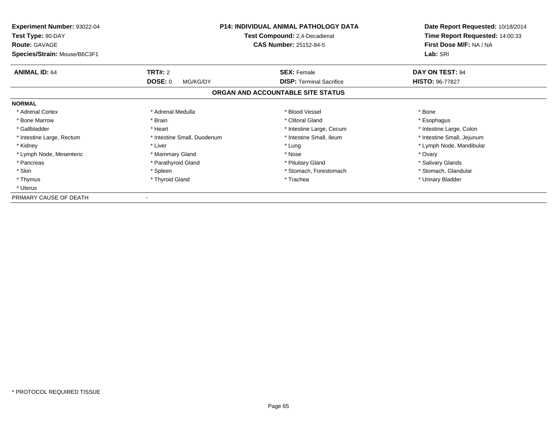| <b>Experiment Number: 93022-04</b><br>Test Type: 90-DAY<br><b>Route: GAVAGE</b> | <b>P14: INDIVIDUAL ANIMAL PATHOLOGY DATA</b><br>Test Compound: 2,4-Decadienal<br><b>CAS Number: 25152-84-5</b> |                                   | Date Report Requested: 10/18/2014<br>Time Report Requested: 14:00:33<br>First Dose M/F: NA / NA |
|---------------------------------------------------------------------------------|----------------------------------------------------------------------------------------------------------------|-----------------------------------|-------------------------------------------------------------------------------------------------|
| Species/Strain: Mouse/B6C3F1                                                    |                                                                                                                |                                   | Lab: SRI                                                                                        |
| <b>ANIMAL ID: 64</b>                                                            | <b>TRT#: 2</b>                                                                                                 | <b>SEX: Female</b>                | DAY ON TEST: 94                                                                                 |
|                                                                                 | <b>DOSE: 0</b><br>MG/KG/DY                                                                                     | <b>DISP:</b> Terminal Sacrifice   | <b>HISTO: 96-77827</b>                                                                          |
|                                                                                 |                                                                                                                | ORGAN AND ACCOUNTABLE SITE STATUS |                                                                                                 |
| <b>NORMAL</b>                                                                   |                                                                                                                |                                   |                                                                                                 |
| * Adrenal Cortex                                                                | * Adrenal Medulla                                                                                              | * Blood Vessel                    | * Bone                                                                                          |
| * Bone Marrow                                                                   | * Brain                                                                                                        | * Clitoral Gland                  | * Esophagus                                                                                     |
| * Gallbladder                                                                   | * Heart                                                                                                        | * Intestine Large, Cecum          | * Intestine Large, Colon                                                                        |
| * Intestine Large, Rectum                                                       | * Intestine Small, Duodenum                                                                                    | * Intestine Small, Ileum          | * Intestine Small, Jejunum                                                                      |
| * Kidney                                                                        | * Liver                                                                                                        | * Lung                            | * Lymph Node, Mandibular                                                                        |
| * Lymph Node, Mesenteric                                                        | * Mammary Gland                                                                                                | * Nose                            | * Ovary                                                                                         |
| * Pancreas                                                                      | * Parathyroid Gland                                                                                            | * Pituitary Gland                 | * Salivary Glands                                                                               |
| * Skin                                                                          | * Spleen                                                                                                       | * Stomach, Forestomach            | * Stomach, Glandular                                                                            |
| * Thymus                                                                        | * Thyroid Gland                                                                                                | * Trachea                         | * Urinary Bladder                                                                               |
| * Uterus                                                                        |                                                                                                                |                                   |                                                                                                 |
| PRIMARY CAUSE OF DEATH                                                          |                                                                                                                |                                   |                                                                                                 |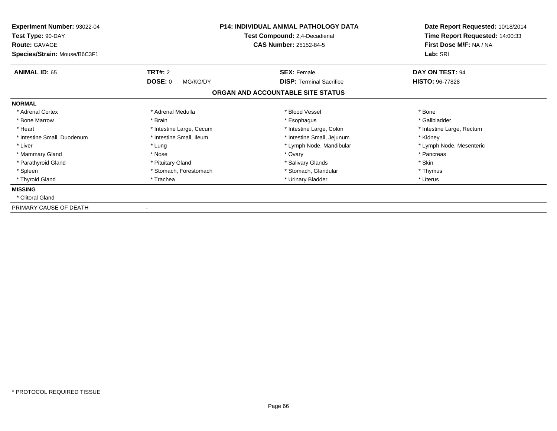| <b>Experiment Number: 93022-04</b><br>Test Type: 90-DAY<br><b>Route: GAVAGE</b><br>Species/Strain: Mouse/B6C3F1 |                          | <b>P14: INDIVIDUAL ANIMAL PATHOLOGY DATA</b><br>Test Compound: 2,4-Decadienal<br><b>CAS Number: 25152-84-5</b> | Date Report Requested: 10/18/2014<br>Time Report Requested: 14:00:33<br>First Dose M/F: NA / NA<br>Lab: SRI |
|-----------------------------------------------------------------------------------------------------------------|--------------------------|----------------------------------------------------------------------------------------------------------------|-------------------------------------------------------------------------------------------------------------|
| <b>ANIMAL ID: 65</b>                                                                                            | <b>TRT#: 2</b>           | <b>SEX: Female</b>                                                                                             | DAY ON TEST: 94                                                                                             |
|                                                                                                                 | DOSE: 0<br>MG/KG/DY      | <b>DISP: Terminal Sacrifice</b>                                                                                | <b>HISTO: 96-77828</b>                                                                                      |
|                                                                                                                 |                          | ORGAN AND ACCOUNTABLE SITE STATUS                                                                              |                                                                                                             |
| <b>NORMAL</b>                                                                                                   |                          |                                                                                                                |                                                                                                             |
| * Adrenal Cortex                                                                                                | * Adrenal Medulla        | * Blood Vessel                                                                                                 | * Bone                                                                                                      |
| * Bone Marrow                                                                                                   | * Brain                  | * Esophagus                                                                                                    | * Gallbladder                                                                                               |
| * Heart                                                                                                         | * Intestine Large, Cecum | * Intestine Large, Colon                                                                                       | * Intestine Large, Rectum                                                                                   |
| * Intestine Small, Duodenum                                                                                     | * Intestine Small, Ileum | * Intestine Small, Jejunum                                                                                     | * Kidney                                                                                                    |
| * Liver                                                                                                         | * Lung                   | * Lymph Node, Mandibular                                                                                       | * Lymph Node, Mesenteric                                                                                    |
| * Mammary Gland                                                                                                 | * Nose                   | * Ovary                                                                                                        | * Pancreas                                                                                                  |
| * Parathyroid Gland                                                                                             | * Pituitary Gland        | * Salivary Glands                                                                                              | * Skin                                                                                                      |
| * Spleen                                                                                                        | * Stomach, Forestomach   | * Stomach, Glandular                                                                                           | * Thymus                                                                                                    |
| * Thyroid Gland                                                                                                 | * Trachea                | * Urinary Bladder                                                                                              | * Uterus                                                                                                    |
| <b>MISSING</b>                                                                                                  |                          |                                                                                                                |                                                                                                             |
| * Clitoral Gland                                                                                                |                          |                                                                                                                |                                                                                                             |
| PRIMARY CAUSE OF DEATH                                                                                          |                          |                                                                                                                |                                                                                                             |

-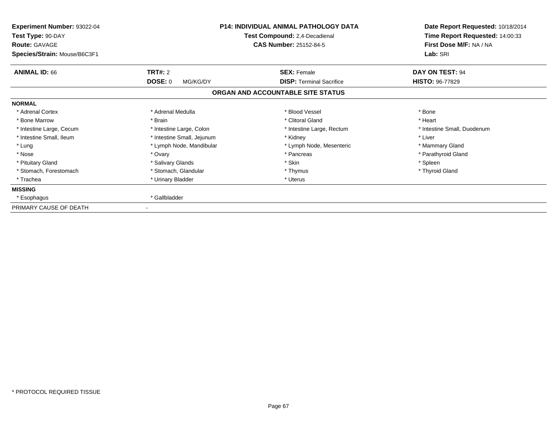| <b>Experiment Number: 93022-04</b><br>Test Type: 90-DAY<br><b>Route: GAVAGE</b><br>Species/Strain: Mouse/B6C3F1 |                            | <b>P14: INDIVIDUAL ANIMAL PATHOLOGY DATA</b><br>Test Compound: 2,4-Decadienal<br><b>CAS Number: 25152-84-5</b> | Date Report Requested: 10/18/2014<br>Time Report Requested: 14:00:33<br>First Dose M/F: NA / NA<br>Lab: SRI |
|-----------------------------------------------------------------------------------------------------------------|----------------------------|----------------------------------------------------------------------------------------------------------------|-------------------------------------------------------------------------------------------------------------|
| <b>ANIMAL ID: 66</b>                                                                                            | TRT#: 2                    | <b>SEX: Female</b>                                                                                             | DAY ON TEST: 94                                                                                             |
|                                                                                                                 | <b>DOSE: 0</b><br>MG/KG/DY | <b>DISP:</b> Terminal Sacrifice                                                                                | <b>HISTO: 96-77829</b>                                                                                      |
|                                                                                                                 |                            | ORGAN AND ACCOUNTABLE SITE STATUS                                                                              |                                                                                                             |
| <b>NORMAL</b>                                                                                                   |                            |                                                                                                                |                                                                                                             |
| * Adrenal Cortex                                                                                                | * Adrenal Medulla          | * Blood Vessel                                                                                                 | * Bone                                                                                                      |
| * Bone Marrow                                                                                                   | * Brain                    | * Clitoral Gland                                                                                               | * Heart                                                                                                     |
| * Intestine Large, Cecum                                                                                        | * Intestine Large, Colon   | * Intestine Large, Rectum                                                                                      | * Intestine Small, Duodenum                                                                                 |
| * Intestine Small, Ileum                                                                                        | * Intestine Small, Jejunum | * Kidney                                                                                                       | * Liver                                                                                                     |
| * Lung                                                                                                          | * Lymph Node, Mandibular   | * Lymph Node, Mesenteric                                                                                       | * Mammary Gland                                                                                             |
| * Nose                                                                                                          | * Ovary                    | * Pancreas                                                                                                     | * Parathyroid Gland                                                                                         |
| * Pituitary Gland                                                                                               | * Salivary Glands          | * Skin                                                                                                         | * Spleen                                                                                                    |
| * Stomach, Forestomach                                                                                          | * Stomach, Glandular       | * Thymus                                                                                                       | * Thyroid Gland                                                                                             |
| * Trachea                                                                                                       | * Urinary Bladder          | * Uterus                                                                                                       |                                                                                                             |
| <b>MISSING</b>                                                                                                  |                            |                                                                                                                |                                                                                                             |
| * Esophagus                                                                                                     | * Gallbladder              |                                                                                                                |                                                                                                             |
| PRIMARY CAUSE OF DEATH                                                                                          |                            |                                                                                                                |                                                                                                             |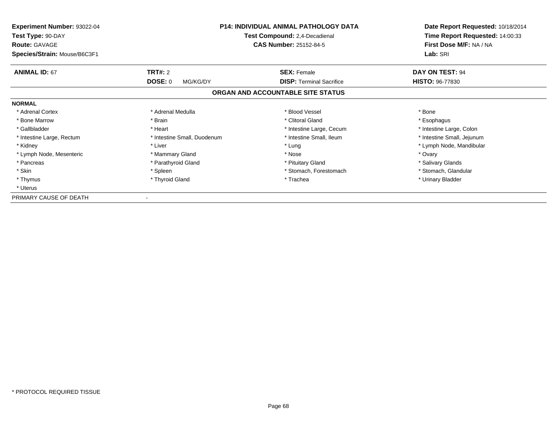| <b>Experiment Number: 93022-04</b><br>Test Type: 90-DAY<br><b>Route: GAVAGE</b> | <b>P14: INDIVIDUAL ANIMAL PATHOLOGY DATA</b><br>Test Compound: 2,4-Decadienal<br><b>CAS Number: 25152-84-5</b> |                                   | Date Report Requested: 10/18/2014<br>Time Report Requested: 14:00:33<br>First Dose M/F: NA / NA |  |
|---------------------------------------------------------------------------------|----------------------------------------------------------------------------------------------------------------|-----------------------------------|-------------------------------------------------------------------------------------------------|--|
| Species/Strain: Mouse/B6C3F1                                                    |                                                                                                                |                                   | Lab: SRI                                                                                        |  |
| <b>ANIMAL ID: 67</b>                                                            | <b>TRT#: 2</b>                                                                                                 | <b>SEX: Female</b>                | DAY ON TEST: 94                                                                                 |  |
|                                                                                 | <b>DOSE: 0</b><br>MG/KG/DY                                                                                     | <b>DISP:</b> Terminal Sacrifice   | <b>HISTO: 96-77830</b>                                                                          |  |
|                                                                                 |                                                                                                                | ORGAN AND ACCOUNTABLE SITE STATUS |                                                                                                 |  |
| <b>NORMAL</b>                                                                   |                                                                                                                |                                   |                                                                                                 |  |
| * Adrenal Cortex                                                                | * Adrenal Medulla                                                                                              | * Blood Vessel                    | * Bone                                                                                          |  |
| * Bone Marrow                                                                   | * Brain                                                                                                        | * Clitoral Gland                  | * Esophagus                                                                                     |  |
| * Gallbladder                                                                   | * Heart                                                                                                        | * Intestine Large, Cecum          | * Intestine Large, Colon                                                                        |  |
| * Intestine Large, Rectum                                                       | * Intestine Small, Duodenum                                                                                    | * Intestine Small, Ileum          | * Intestine Small, Jejunum                                                                      |  |
| * Kidney                                                                        | * Liver                                                                                                        | * Lung                            | * Lymph Node, Mandibular                                                                        |  |
| * Lymph Node, Mesenteric                                                        | * Mammary Gland                                                                                                | * Nose                            | * Ovary                                                                                         |  |
| * Pancreas                                                                      | * Parathyroid Gland                                                                                            | * Pituitary Gland                 | * Salivary Glands                                                                               |  |
| * Skin                                                                          | * Spleen                                                                                                       | * Stomach, Forestomach            | * Stomach, Glandular                                                                            |  |
| * Thymus                                                                        | * Thyroid Gland                                                                                                | * Trachea                         | * Urinary Bladder                                                                               |  |
| * Uterus                                                                        |                                                                                                                |                                   |                                                                                                 |  |
| PRIMARY CAUSE OF DEATH                                                          |                                                                                                                |                                   |                                                                                                 |  |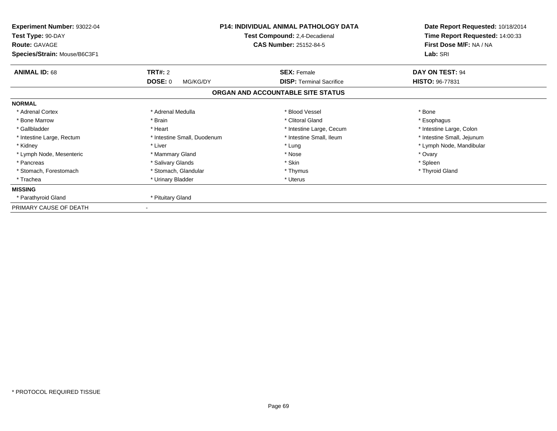| Experiment Number: 93022-04<br>Test Type: 90-DAY<br><b>Route: GAVAGE</b><br>Species/Strain: Mouse/B6C3F1 | <b>P14: INDIVIDUAL ANIMAL PATHOLOGY DATA</b><br>Test Compound: 2,4-Decadienal<br><b>CAS Number: 25152-84-5</b> |                                   | Date Report Requested: 10/18/2014<br>Time Report Requested: 14:00:33<br>First Dose M/F: NA / NA<br>Lab: SRI |
|----------------------------------------------------------------------------------------------------------|----------------------------------------------------------------------------------------------------------------|-----------------------------------|-------------------------------------------------------------------------------------------------------------|
| <b>ANIMAL ID: 68</b>                                                                                     | <b>TRT#: 2</b>                                                                                                 | <b>SEX: Female</b>                | DAY ON TEST: 94                                                                                             |
|                                                                                                          | <b>DOSE: 0</b><br>MG/KG/DY                                                                                     | <b>DISP:</b> Terminal Sacrifice   | <b>HISTO: 96-77831</b>                                                                                      |
|                                                                                                          |                                                                                                                | ORGAN AND ACCOUNTABLE SITE STATUS |                                                                                                             |
| <b>NORMAL</b>                                                                                            |                                                                                                                |                                   |                                                                                                             |
| * Adrenal Cortex                                                                                         | * Adrenal Medulla                                                                                              | * Blood Vessel                    | * Bone                                                                                                      |
| * Bone Marrow                                                                                            | * Brain                                                                                                        | * Clitoral Gland                  | * Esophagus                                                                                                 |
| * Gallbladder                                                                                            | * Heart                                                                                                        | * Intestine Large, Cecum          | * Intestine Large, Colon                                                                                    |
| * Intestine Large, Rectum                                                                                | * Intestine Small, Duodenum                                                                                    | * Intestine Small, Ileum          | * Intestine Small, Jejunum                                                                                  |
| * Kidney                                                                                                 | * Liver                                                                                                        | * Lung                            | * Lymph Node, Mandibular                                                                                    |
| * Lymph Node, Mesenteric                                                                                 | * Mammary Gland                                                                                                | * Nose                            | * Ovary                                                                                                     |
| * Pancreas                                                                                               | * Salivary Glands                                                                                              | * Skin                            | * Spleen                                                                                                    |
| * Stomach, Forestomach                                                                                   | * Stomach, Glandular                                                                                           | * Thymus                          | * Thyroid Gland                                                                                             |
| * Trachea                                                                                                | * Urinary Bladder                                                                                              | * Uterus                          |                                                                                                             |
| <b>MISSING</b>                                                                                           |                                                                                                                |                                   |                                                                                                             |
| * Parathyroid Gland                                                                                      | * Pituitary Gland                                                                                              |                                   |                                                                                                             |
| PRIMARY CAUSE OF DEATH                                                                                   |                                                                                                                |                                   |                                                                                                             |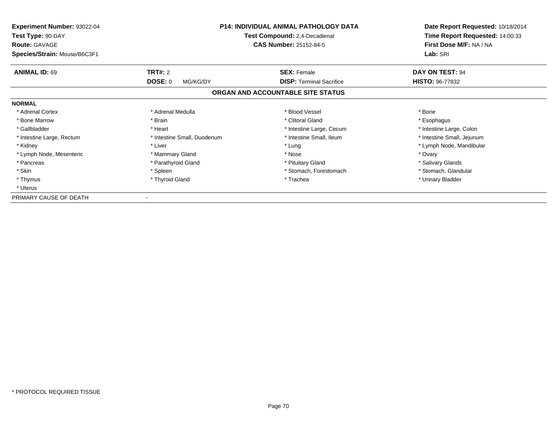| <b>Experiment Number: 93022-04</b><br>Test Type: 90-DAY<br><b>Route: GAVAGE</b> | <b>P14: INDIVIDUAL ANIMAL PATHOLOGY DATA</b><br>Test Compound: 2,4-Decadienal<br><b>CAS Number: 25152-84-5</b> |                                   | Date Report Requested: 10/18/2014<br>Time Report Requested: 14:00:33<br>First Dose M/F: NA / NA |  |
|---------------------------------------------------------------------------------|----------------------------------------------------------------------------------------------------------------|-----------------------------------|-------------------------------------------------------------------------------------------------|--|
| Species/Strain: Mouse/B6C3F1                                                    |                                                                                                                |                                   | Lab: SRI                                                                                        |  |
| <b>ANIMAL ID: 69</b>                                                            | <b>TRT#: 2</b>                                                                                                 | <b>SEX: Female</b>                | DAY ON TEST: 94                                                                                 |  |
|                                                                                 | <b>DOSE: 0</b><br>MG/KG/DY                                                                                     | <b>DISP:</b> Terminal Sacrifice   | <b>HISTO: 96-77832</b>                                                                          |  |
|                                                                                 |                                                                                                                | ORGAN AND ACCOUNTABLE SITE STATUS |                                                                                                 |  |
| <b>NORMAL</b>                                                                   |                                                                                                                |                                   |                                                                                                 |  |
| * Adrenal Cortex                                                                | * Adrenal Medulla                                                                                              | * Blood Vessel                    | * Bone                                                                                          |  |
| * Bone Marrow                                                                   | * Brain                                                                                                        | * Clitoral Gland                  | * Esophagus                                                                                     |  |
| * Gallbladder                                                                   | * Heart                                                                                                        | * Intestine Large, Cecum          | * Intestine Large, Colon                                                                        |  |
| * Intestine Large, Rectum                                                       | * Intestine Small, Duodenum                                                                                    | * Intestine Small, Ileum          | * Intestine Small, Jejunum                                                                      |  |
| * Kidney                                                                        | * Liver                                                                                                        | * Lung                            | * Lymph Node, Mandibular                                                                        |  |
| * Lymph Node, Mesenteric                                                        | * Mammary Gland                                                                                                | * Nose                            | * Ovary                                                                                         |  |
| * Pancreas                                                                      | * Parathyroid Gland                                                                                            | * Pituitary Gland                 | * Salivary Glands                                                                               |  |
| * Skin                                                                          | * Spleen                                                                                                       | * Stomach, Forestomach            | * Stomach, Glandular                                                                            |  |
| * Thymus                                                                        | * Thyroid Gland                                                                                                | * Trachea                         | * Urinary Bladder                                                                               |  |
| * Uterus                                                                        |                                                                                                                |                                   |                                                                                                 |  |
| PRIMARY CAUSE OF DEATH                                                          |                                                                                                                |                                   |                                                                                                 |  |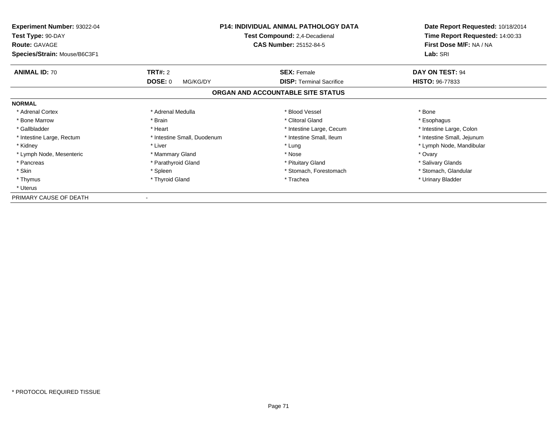| <b>Experiment Number: 93022-04</b><br>Test Type: 90-DAY<br><b>Route: GAVAGE</b> | <b>P14: INDIVIDUAL ANIMAL PATHOLOGY DATA</b><br>Test Compound: 2,4-Decadienal<br><b>CAS Number: 25152-84-5</b> |                                   | Date Report Requested: 10/18/2014<br>Time Report Requested: 14:00:33<br>First Dose M/F: NA / NA |
|---------------------------------------------------------------------------------|----------------------------------------------------------------------------------------------------------------|-----------------------------------|-------------------------------------------------------------------------------------------------|
| Species/Strain: Mouse/B6C3F1                                                    |                                                                                                                |                                   | Lab: SRI                                                                                        |
| <b>ANIMAL ID: 70</b>                                                            | <b>TRT#: 2</b>                                                                                                 | <b>SEX: Female</b>                | DAY ON TEST: 94                                                                                 |
|                                                                                 | <b>DOSE: 0</b><br>MG/KG/DY                                                                                     | <b>DISP:</b> Terminal Sacrifice   | <b>HISTO: 96-77833</b>                                                                          |
|                                                                                 |                                                                                                                | ORGAN AND ACCOUNTABLE SITE STATUS |                                                                                                 |
| <b>NORMAL</b>                                                                   |                                                                                                                |                                   |                                                                                                 |
| * Adrenal Cortex                                                                | * Adrenal Medulla                                                                                              | * Blood Vessel                    | * Bone                                                                                          |
| * Bone Marrow                                                                   | * Brain                                                                                                        | * Clitoral Gland                  | * Esophagus                                                                                     |
| * Gallbladder                                                                   | * Heart                                                                                                        | * Intestine Large, Cecum          | * Intestine Large, Colon                                                                        |
| * Intestine Large, Rectum                                                       | * Intestine Small, Duodenum                                                                                    | * Intestine Small, Ileum          | * Intestine Small, Jejunum                                                                      |
| * Kidney                                                                        | * Liver                                                                                                        | * Lung                            | * Lymph Node, Mandibular                                                                        |
| * Lymph Node, Mesenteric                                                        | * Mammary Gland                                                                                                | * Nose                            | * Ovary                                                                                         |
| * Pancreas                                                                      | * Parathyroid Gland                                                                                            | * Pituitary Gland                 | * Salivary Glands                                                                               |
| * Skin                                                                          | * Spleen                                                                                                       | * Stomach, Forestomach            | * Stomach, Glandular                                                                            |
| * Thymus                                                                        | * Thyroid Gland                                                                                                | * Trachea                         | * Urinary Bladder                                                                               |
| * Uterus                                                                        |                                                                                                                |                                   |                                                                                                 |
| PRIMARY CAUSE OF DEATH                                                          |                                                                                                                |                                   |                                                                                                 |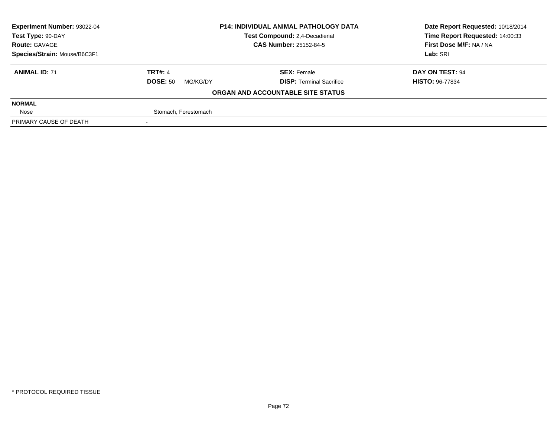| <b>Experiment Number: 93022-04</b> | <b>P14: INDIVIDUAL ANIMAL PATHOLOGY DATA</b><br>Test Compound: 2,4-Decadienal |                                   | Date Report Requested: 10/18/2014 |  |
|------------------------------------|-------------------------------------------------------------------------------|-----------------------------------|-----------------------------------|--|
| Test Type: 90-DAY                  |                                                                               |                                   | Time Report Requested: 14:00:33   |  |
| <b>Route: GAVAGE</b>               |                                                                               | <b>CAS Number: 25152-84-5</b>     | First Dose M/F: NA / NA           |  |
| Species/Strain: Mouse/B6C3F1       |                                                                               |                                   | Lab: SRI                          |  |
| <b>ANIMAL ID: 71</b>               | <b>TRT#: 4</b>                                                                | <b>SEX: Female</b>                | DAY ON TEST: 94                   |  |
|                                    | <b>DOSE: 50</b><br>MG/KG/DY                                                   | <b>DISP: Terminal Sacrifice</b>   | <b>HISTO: 96-77834</b>            |  |
|                                    |                                                                               | ORGAN AND ACCOUNTABLE SITE STATUS |                                   |  |
| <b>NORMAL</b>                      |                                                                               |                                   |                                   |  |
| Nose                               | Stomach, Forestomach                                                          |                                   |                                   |  |
| PRIMARY CAUSE OF DEATH             |                                                                               |                                   |                                   |  |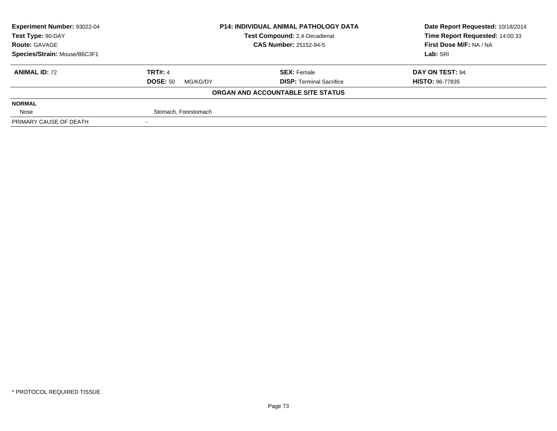| <b>Experiment Number: 93022-04</b> | <b>P14: INDIVIDUAL ANIMAL PATHOLOGY DATA</b><br>Test Compound: 2,4-Decadienal |                                   | Date Report Requested: 10/18/2014 |
|------------------------------------|-------------------------------------------------------------------------------|-----------------------------------|-----------------------------------|
| Test Type: 90-DAY                  |                                                                               |                                   | Time Report Requested: 14:00:33   |
| <b>Route: GAVAGE</b>               |                                                                               | <b>CAS Number: 25152-84-5</b>     | First Dose M/F: NA / NA           |
| Species/Strain: Mouse/B6C3F1       |                                                                               |                                   | Lab: SRI                          |
| <b>ANIMAL ID: 72</b>               | <b>TRT#: 4</b>                                                                | <b>SEX: Female</b>                | DAY ON TEST: 94                   |
|                                    | <b>DOSE: 50</b><br>MG/KG/DY                                                   | <b>DISP: Terminal Sacrifice</b>   | <b>HISTO: 96-77835</b>            |
|                                    |                                                                               | ORGAN AND ACCOUNTABLE SITE STATUS |                                   |
| <b>NORMAL</b>                      |                                                                               |                                   |                                   |
| Nose                               | Stomach, Forestomach                                                          |                                   |                                   |
| PRIMARY CAUSE OF DEATH             |                                                                               |                                   |                                   |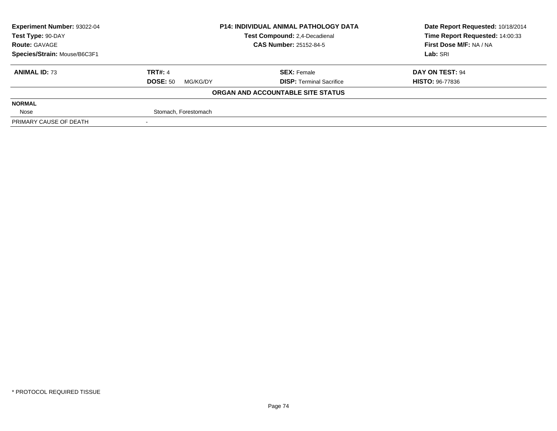| <b>Experiment Number: 93022-04</b> | <b>P14: INDIVIDUAL ANIMAL PATHOLOGY DATA</b><br><b>Test Compound: 2.4-Decadienal</b> |                                   | Date Report Requested: 10/18/2014 |
|------------------------------------|--------------------------------------------------------------------------------------|-----------------------------------|-----------------------------------|
| Test Type: 90-DAY                  |                                                                                      |                                   | Time Report Requested: 14:00:33   |
| <b>Route: GAVAGE</b>               |                                                                                      | <b>CAS Number: 25152-84-5</b>     | First Dose M/F: NA / NA           |
| Species/Strain: Mouse/B6C3F1       |                                                                                      |                                   | Lab: SRI                          |
| <b>ANIMAL ID: 73</b>               | <b>TRT#: 4</b>                                                                       | <b>SEX: Female</b>                | DAY ON TEST: 94                   |
|                                    | <b>DOSE: 50</b><br>MG/KG/DY                                                          | <b>DISP: Terminal Sacrifice</b>   | <b>HISTO: 96-77836</b>            |
|                                    |                                                                                      | ORGAN AND ACCOUNTABLE SITE STATUS |                                   |
| <b>NORMAL</b>                      |                                                                                      |                                   |                                   |
| Nose                               | Stomach, Forestomach                                                                 |                                   |                                   |
| PRIMARY CAUSE OF DEATH             |                                                                                      |                                   |                                   |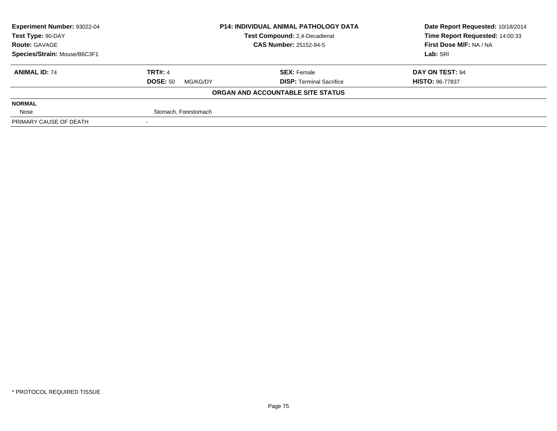| <b>Experiment Number: 93022-04</b> | <b>P14: INDIVIDUAL ANIMAL PATHOLOGY DATA</b><br>Test Compound: 2,4-Decadienal |                                   | Date Report Requested: 10/18/2014 |
|------------------------------------|-------------------------------------------------------------------------------|-----------------------------------|-----------------------------------|
| Test Type: 90-DAY                  |                                                                               |                                   | Time Report Requested: 14:00:33   |
| <b>Route: GAVAGE</b>               |                                                                               | <b>CAS Number: 25152-84-5</b>     | First Dose M/F: NA / NA           |
| Species/Strain: Mouse/B6C3F1       |                                                                               |                                   | Lab: SRI                          |
| <b>ANIMAL ID: 74</b>               | <b>TRT#: 4</b>                                                                | <b>SEX: Female</b>                | DAY ON TEST: 94                   |
|                                    | <b>DOSE: 50</b><br>MG/KG/DY                                                   | <b>DISP: Terminal Sacrifice</b>   | <b>HISTO: 96-77837</b>            |
|                                    |                                                                               | ORGAN AND ACCOUNTABLE SITE STATUS |                                   |
| <b>NORMAL</b>                      |                                                                               |                                   |                                   |
| Nose                               | Stomach, Forestomach                                                          |                                   |                                   |
| PRIMARY CAUSE OF DEATH             |                                                                               |                                   |                                   |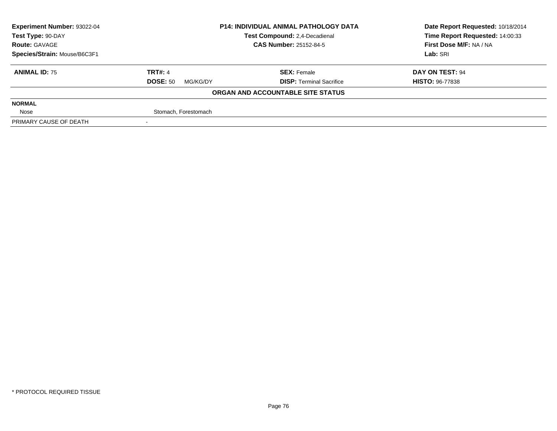| <b>Experiment Number: 93022-04</b> | <b>P14: INDIVIDUAL ANIMAL PATHOLOGY DATA</b><br>Test Compound: 2,4-Decadienal |                                   | Date Report Requested: 10/18/2014 |
|------------------------------------|-------------------------------------------------------------------------------|-----------------------------------|-----------------------------------|
| Test Type: 90-DAY                  |                                                                               |                                   | Time Report Requested: 14:00:33   |
| <b>Route: GAVAGE</b>               |                                                                               | <b>CAS Number: 25152-84-5</b>     | First Dose M/F: NA / NA           |
| Species/Strain: Mouse/B6C3F1       |                                                                               |                                   | Lab: SRI                          |
| <b>ANIMAL ID: 75</b>               | <b>TRT#: 4</b>                                                                | <b>SEX: Female</b>                | DAY ON TEST: 94                   |
|                                    | <b>DOSE: 50</b><br>MG/KG/DY                                                   | <b>DISP: Terminal Sacrifice</b>   | <b>HISTO: 96-77838</b>            |
|                                    |                                                                               | ORGAN AND ACCOUNTABLE SITE STATUS |                                   |
| <b>NORMAL</b>                      |                                                                               |                                   |                                   |
| Nose                               | Stomach, Forestomach                                                          |                                   |                                   |
| PRIMARY CAUSE OF DEATH             |                                                                               |                                   |                                   |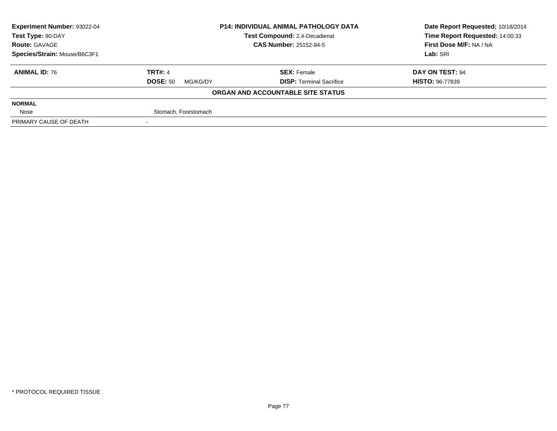| <b>Experiment Number: 93022-04</b> | <b>P14: INDIVIDUAL ANIMAL PATHOLOGY DATA</b><br>Test Compound: 2,4-Decadienal<br><b>CAS Number: 25152-84-5</b> |                                   | Date Report Requested: 10/18/2014 |
|------------------------------------|----------------------------------------------------------------------------------------------------------------|-----------------------------------|-----------------------------------|
| Test Type: 90-DAY                  |                                                                                                                |                                   | Time Report Requested: 14:00:33   |
| <b>Route: GAVAGE</b>               |                                                                                                                |                                   | First Dose M/F: NA / NA           |
| Species/Strain: Mouse/B6C3F1       |                                                                                                                |                                   | Lab: SRI                          |
| <b>ANIMAL ID: 76</b>               | <b>TRT#: 4</b>                                                                                                 | <b>SEX: Female</b>                | DAY ON TEST: 94                   |
|                                    | <b>DOSE: 50</b><br>MG/KG/DY                                                                                    | <b>DISP: Terminal Sacrifice</b>   | <b>HISTO: 96-77839</b>            |
|                                    |                                                                                                                | ORGAN AND ACCOUNTABLE SITE STATUS |                                   |
| <b>NORMAL</b>                      |                                                                                                                |                                   |                                   |
| Nose                               | Stomach, Forestomach                                                                                           |                                   |                                   |
| PRIMARY CAUSE OF DEATH             |                                                                                                                |                                   |                                   |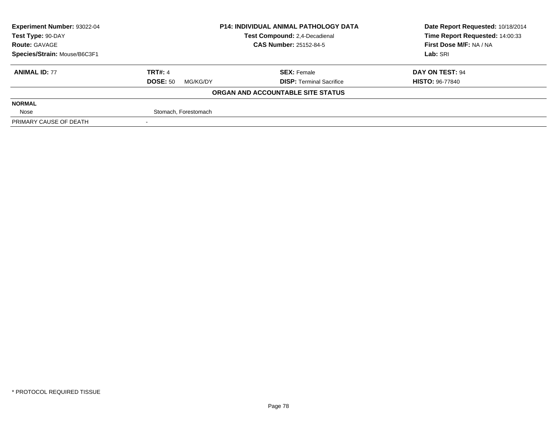| <b>Experiment Number: 93022-04</b> | <b>P14: INDIVIDUAL ANIMAL PATHOLOGY DATA</b><br><b>Test Compound: 2.4-Decadienal</b> |                                   | Date Report Requested: 10/18/2014 |
|------------------------------------|--------------------------------------------------------------------------------------|-----------------------------------|-----------------------------------|
| Test Type: 90-DAY                  |                                                                                      |                                   | Time Report Requested: 14:00:33   |
| <b>Route: GAVAGE</b>               |                                                                                      | <b>CAS Number: 25152-84-5</b>     | First Dose M/F: NA / NA           |
| Species/Strain: Mouse/B6C3F1       |                                                                                      |                                   | Lab: SRI                          |
| <b>ANIMAL ID: 77</b>               | <b>TRT#: 4</b>                                                                       | <b>SEX: Female</b>                | DAY ON TEST: 94                   |
|                                    | <b>DOSE: 50</b><br>MG/KG/DY                                                          | <b>DISP: Terminal Sacrifice</b>   | <b>HISTO: 96-77840</b>            |
|                                    |                                                                                      | ORGAN AND ACCOUNTABLE SITE STATUS |                                   |
| <b>NORMAL</b>                      |                                                                                      |                                   |                                   |
| Nose                               | Stomach, Forestomach                                                                 |                                   |                                   |
| PRIMARY CAUSE OF DEATH             |                                                                                      |                                   |                                   |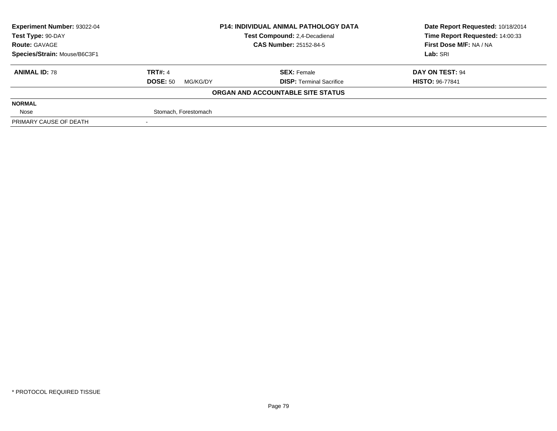| Experiment Number: 93022-04  | <b>P14: INDIVIDUAL ANIMAL PATHOLOGY DATA</b><br>Test Compound: 2,4-Decadienal |                                   | Date Report Requested: 10/18/2014 |
|------------------------------|-------------------------------------------------------------------------------|-----------------------------------|-----------------------------------|
| Test Type: 90-DAY            |                                                                               |                                   | Time Report Requested: 14:00:33   |
| <b>Route: GAVAGE</b>         |                                                                               | <b>CAS Number: 25152-84-5</b>     | First Dose M/F: NA / NA           |
| Species/Strain: Mouse/B6C3F1 |                                                                               |                                   | Lab: SRI                          |
| <b>ANIMAL ID: 78</b>         | <b>TRT#: 4</b>                                                                | <b>SEX: Female</b>                | DAY ON TEST: 94                   |
|                              | <b>DOSE: 50</b><br>MG/KG/DY                                                   | <b>DISP: Terminal Sacrifice</b>   | <b>HISTO: 96-77841</b>            |
|                              |                                                                               | ORGAN AND ACCOUNTABLE SITE STATUS |                                   |
| <b>NORMAL</b>                |                                                                               |                                   |                                   |
| Nose                         | Stomach, Forestomach                                                          |                                   |                                   |
| PRIMARY CAUSE OF DEATH       |                                                                               |                                   |                                   |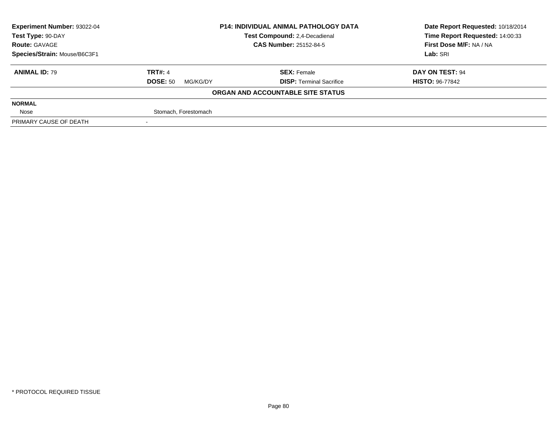| <b>Experiment Number: 93022-04</b> | <b>P14: INDIVIDUAL ANIMAL PATHOLOGY DATA</b><br><b>Test Compound: 2.4-Decadienal</b> |                                   | Date Report Requested: 10/18/2014 |
|------------------------------------|--------------------------------------------------------------------------------------|-----------------------------------|-----------------------------------|
| Test Type: 90-DAY                  |                                                                                      |                                   | Time Report Requested: 14:00:33   |
| <b>Route: GAVAGE</b>               |                                                                                      | <b>CAS Number: 25152-84-5</b>     | First Dose M/F: NA / NA           |
| Species/Strain: Mouse/B6C3F1       |                                                                                      |                                   | Lab: SRI                          |
| <b>ANIMAL ID: 79</b>               | <b>TRT#: 4</b>                                                                       | <b>SEX: Female</b>                | DAY ON TEST: 94                   |
|                                    | <b>DOSE: 50</b><br>MG/KG/DY                                                          | <b>DISP: Terminal Sacrifice</b>   | <b>HISTO: 96-77842</b>            |
|                                    |                                                                                      | ORGAN AND ACCOUNTABLE SITE STATUS |                                   |
| <b>NORMAL</b>                      |                                                                                      |                                   |                                   |
| Nose                               | Stomach, Forestomach                                                                 |                                   |                                   |
| PRIMARY CAUSE OF DEATH             |                                                                                      |                                   |                                   |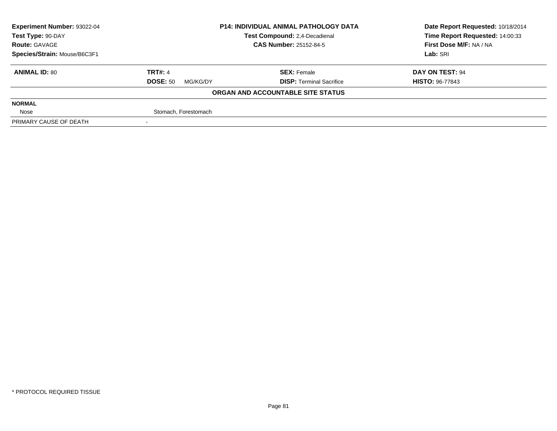| <b>Experiment Number: 93022-04</b> | <b>P14: INDIVIDUAL ANIMAL PATHOLOGY DATA</b><br><b>Test Compound: 2.4-Decadienal</b> |                                   | Date Report Requested: 10/18/2014 |
|------------------------------------|--------------------------------------------------------------------------------------|-----------------------------------|-----------------------------------|
| Test Type: 90-DAY                  |                                                                                      |                                   | Time Report Requested: 14:00:33   |
| <b>Route: GAVAGE</b>               |                                                                                      | <b>CAS Number: 25152-84-5</b>     | First Dose M/F: NA / NA           |
| Species/Strain: Mouse/B6C3F1       |                                                                                      |                                   | Lab: SRI                          |
| <b>ANIMAL ID: 80</b>               | <b>TRT#: 4</b>                                                                       | <b>SEX: Female</b>                | DAY ON TEST: 94                   |
|                                    | <b>DOSE: 50</b><br>MG/KG/DY                                                          | <b>DISP: Terminal Sacrifice</b>   | <b>HISTO: 96-77843</b>            |
|                                    |                                                                                      | ORGAN AND ACCOUNTABLE SITE STATUS |                                   |
| <b>NORMAL</b>                      |                                                                                      |                                   |                                   |
| Nose                               | Stomach, Forestomach                                                                 |                                   |                                   |
| PRIMARY CAUSE OF DEATH             |                                                                                      |                                   |                                   |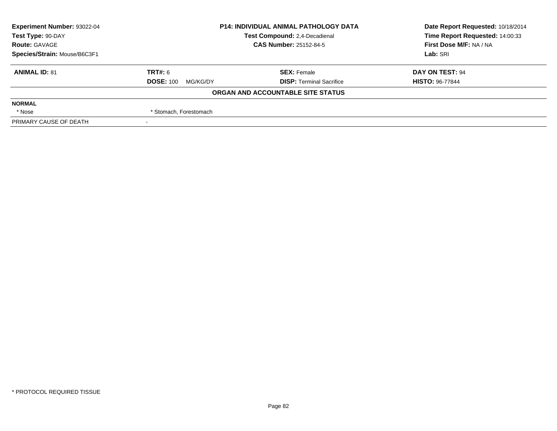| Experiment Number: 93022-04  | <b>P14: INDIVIDUAL ANIMAL PATHOLOGY DATA</b><br>Test Compound: 2,4-Decadienal |                                   | Date Report Requested: 10/18/2014 |
|------------------------------|-------------------------------------------------------------------------------|-----------------------------------|-----------------------------------|
| Test Type: 90-DAY            |                                                                               |                                   | Time Report Requested: 14:00:33   |
| <b>Route: GAVAGE</b>         |                                                                               | <b>CAS Number: 25152-84-5</b>     | First Dose M/F: NA / NA           |
| Species/Strain: Mouse/B6C3F1 |                                                                               |                                   | Lab: SRI                          |
| <b>ANIMAL ID: 81</b>         | TRT#: 6                                                                       | <b>SEX: Female</b>                | DAY ON TEST: 94                   |
|                              | <b>DOSE: 100</b><br>MG/KG/DY                                                  | <b>DISP: Terminal Sacrifice</b>   | <b>HISTO: 96-77844</b>            |
|                              |                                                                               | ORGAN AND ACCOUNTABLE SITE STATUS |                                   |
| <b>NORMAL</b>                |                                                                               |                                   |                                   |
| * Nose                       | * Stomach, Forestomach                                                        |                                   |                                   |
| PRIMARY CAUSE OF DEATH       |                                                                               |                                   |                                   |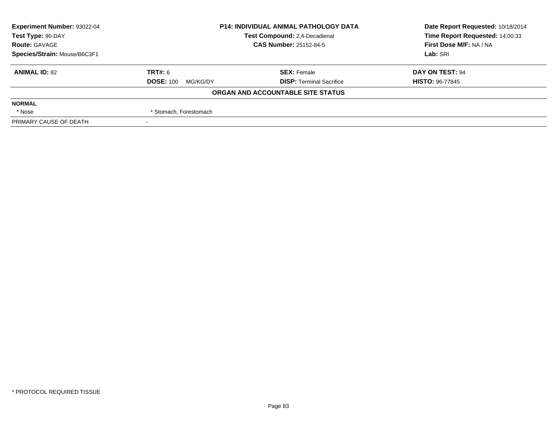| Experiment Number: 93022-04  | <b>P14: INDIVIDUAL ANIMAL PATHOLOGY DATA</b><br>Test Compound: 2,4-Decadienal |                                   | Date Report Requested: 10/18/2014 |
|------------------------------|-------------------------------------------------------------------------------|-----------------------------------|-----------------------------------|
| Test Type: 90-DAY            |                                                                               |                                   | Time Report Requested: 14:00:33   |
| <b>Route: GAVAGE</b>         |                                                                               | <b>CAS Number: 25152-84-5</b>     | First Dose M/F: NA / NA           |
| Species/Strain: Mouse/B6C3F1 |                                                                               |                                   | Lab: SRI                          |
| <b>ANIMAL ID: 82</b>         | TRT#: 6                                                                       | <b>SEX: Female</b>                | DAY ON TEST: 94                   |
|                              | <b>DOSE: 100</b><br>MG/KG/DY                                                  | <b>DISP: Terminal Sacrifice</b>   | <b>HISTO: 96-77845</b>            |
|                              |                                                                               | ORGAN AND ACCOUNTABLE SITE STATUS |                                   |
| <b>NORMAL</b>                |                                                                               |                                   |                                   |
| * Nose                       | * Stomach, Forestomach                                                        |                                   |                                   |
| PRIMARY CAUSE OF DEATH       |                                                                               |                                   |                                   |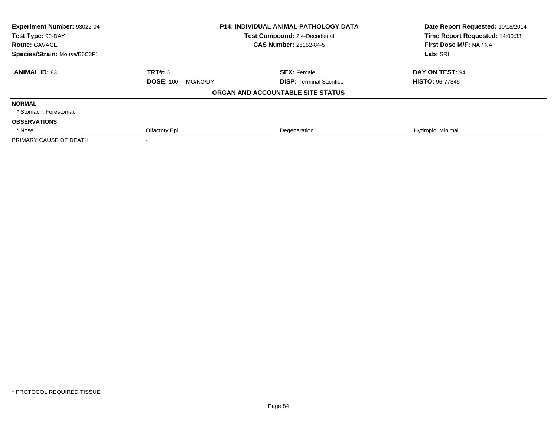| Experiment Number: 93022-04<br>Test Type: 90-DAY | <b>P14: INDIVIDUAL ANIMAL PATHOLOGY DATA</b><br>Test Compound: 2,4-Decadienal |                                   | Date Report Requested: 10/18/2014<br>Time Report Requested: 14:00:33 |
|--------------------------------------------------|-------------------------------------------------------------------------------|-----------------------------------|----------------------------------------------------------------------|
| <b>Route: GAVAGE</b>                             |                                                                               | <b>CAS Number: 25152-84-5</b>     | First Dose M/F: NA / NA                                              |
| Species/Strain: Mouse/B6C3F1                     |                                                                               |                                   | Lab: SRI                                                             |
| <b>ANIMAL ID: 83</b>                             | <b>TRT#: 6</b>                                                                | <b>SEX: Female</b>                | DAY ON TEST: 94                                                      |
|                                                  | <b>DOSE: 100</b><br>MG/KG/DY                                                  | <b>DISP: Terminal Sacrifice</b>   | <b>HISTO: 96-77846</b>                                               |
|                                                  |                                                                               | ORGAN AND ACCOUNTABLE SITE STATUS |                                                                      |
| <b>NORMAL</b>                                    |                                                                               |                                   |                                                                      |
| * Stomach, Forestomach                           |                                                                               |                                   |                                                                      |
| <b>OBSERVATIONS</b>                              |                                                                               |                                   |                                                                      |
| * Nose                                           | Olfactory Epi                                                                 | Degeneration                      | Hydropic, Minimal                                                    |
| PRIMARY CAUSE OF DEATH                           |                                                                               |                                   |                                                                      |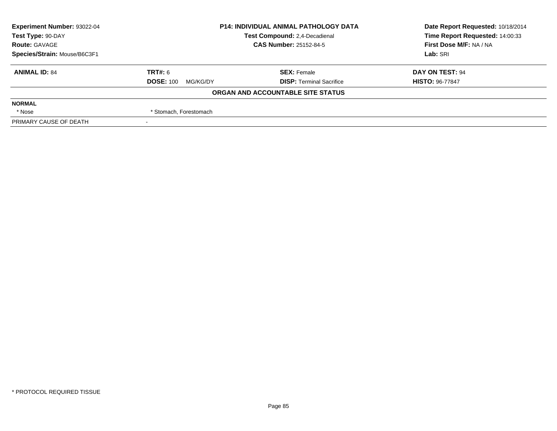| Experiment Number: 93022-04  | <b>P14: INDIVIDUAL ANIMAL PATHOLOGY DATA</b><br>Test Compound: 2,4-Decadienal<br><b>CAS Number: 25152-84-5</b> |                                   | Date Report Requested: 10/18/2014 |
|------------------------------|----------------------------------------------------------------------------------------------------------------|-----------------------------------|-----------------------------------|
| Test Type: 90-DAY            |                                                                                                                |                                   | Time Report Requested: 14:00:33   |
| <b>Route: GAVAGE</b>         |                                                                                                                |                                   | First Dose M/F: NA / NA           |
| Species/Strain: Mouse/B6C3F1 |                                                                                                                |                                   | Lab: SRI                          |
| <b>ANIMAL ID: 84</b>         | TRT#: 6                                                                                                        | <b>SEX: Female</b>                | DAY ON TEST: 94                   |
|                              | <b>DOSE: 100</b><br>MG/KG/DY                                                                                   | <b>DISP: Terminal Sacrifice</b>   | <b>HISTO: 96-77847</b>            |
|                              |                                                                                                                | ORGAN AND ACCOUNTABLE SITE STATUS |                                   |
| <b>NORMAL</b>                |                                                                                                                |                                   |                                   |
| * Nose                       | * Stomach, Forestomach                                                                                         |                                   |                                   |
| PRIMARY CAUSE OF DEATH       |                                                                                                                |                                   |                                   |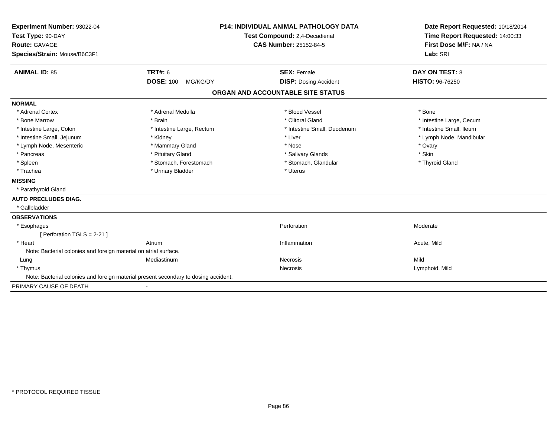| Experiment Number: 93022-04<br>Test Type: 90-DAY                 |                                                                                     | <b>P14: INDIVIDUAL ANIMAL PATHOLOGY DATA</b> | Date Report Requested: 10/18/2014<br>Time Report Requested: 14:00:33 |
|------------------------------------------------------------------|-------------------------------------------------------------------------------------|----------------------------------------------|----------------------------------------------------------------------|
|                                                                  |                                                                                     | Test Compound: 2,4-Decadienal                |                                                                      |
| <b>Route: GAVAGE</b>                                             |                                                                                     | <b>CAS Number: 25152-84-5</b>                | First Dose M/F: NA / NA                                              |
| Species/Strain: Mouse/B6C3F1                                     |                                                                                     |                                              | Lab: SRI                                                             |
| <b>ANIMAL ID: 85</b>                                             | <b>TRT#: 6</b>                                                                      | <b>SEX: Female</b>                           | <b>DAY ON TEST: 8</b>                                                |
|                                                                  | <b>DOSE: 100</b><br>MG/KG/DY                                                        | <b>DISP: Dosing Accident</b>                 | HISTO: 96-76250                                                      |
|                                                                  |                                                                                     | ORGAN AND ACCOUNTABLE SITE STATUS            |                                                                      |
| <b>NORMAL</b>                                                    |                                                                                     |                                              |                                                                      |
| * Adrenal Cortex                                                 | * Adrenal Medulla                                                                   | * Blood Vessel                               | * Bone                                                               |
| * Bone Marrow                                                    | * Brain                                                                             | * Clitoral Gland                             | * Intestine Large, Cecum                                             |
| * Intestine Large, Colon                                         | * Intestine Large, Rectum                                                           | * Intestine Small, Duodenum                  | * Intestine Small, Ileum                                             |
| * Intestine Small, Jejunum                                       | * Kidney                                                                            | * Liver                                      | * Lymph Node, Mandibular                                             |
| * Lymph Node, Mesenteric                                         | * Mammary Gland                                                                     | * Nose                                       | * Ovary                                                              |
| * Pancreas                                                       | * Pituitary Gland                                                                   | * Salivary Glands                            | * Skin                                                               |
| * Spleen                                                         | * Stomach, Forestomach                                                              | * Stomach, Glandular                         | * Thyroid Gland                                                      |
| * Trachea                                                        | * Urinary Bladder                                                                   | * Uterus                                     |                                                                      |
| <b>MISSING</b>                                                   |                                                                                     |                                              |                                                                      |
| * Parathyroid Gland                                              |                                                                                     |                                              |                                                                      |
| <b>AUTO PRECLUDES DIAG.</b>                                      |                                                                                     |                                              |                                                                      |
| * Gallbladder                                                    |                                                                                     |                                              |                                                                      |
| <b>OBSERVATIONS</b>                                              |                                                                                     |                                              |                                                                      |
| * Esophagus                                                      |                                                                                     | Perforation                                  | Moderate                                                             |
| [ Perforation TGLS = 2-21 ]                                      |                                                                                     |                                              |                                                                      |
| * Heart                                                          | Atrium                                                                              | Inflammation                                 | Acute, Mild                                                          |
| Note: Bacterial colonies and foreign material on atrial surface. |                                                                                     |                                              |                                                                      |
| Lung                                                             | Mediastinum                                                                         | Necrosis                                     | Mild                                                                 |
| * Thymus                                                         |                                                                                     | Necrosis                                     | Lymphoid, Mild                                                       |
|                                                                  | Note: Bacterial colonies and foreign material present secondary to dosing accident. |                                              |                                                                      |
| PRIMARY CAUSE OF DEATH                                           |                                                                                     |                                              |                                                                      |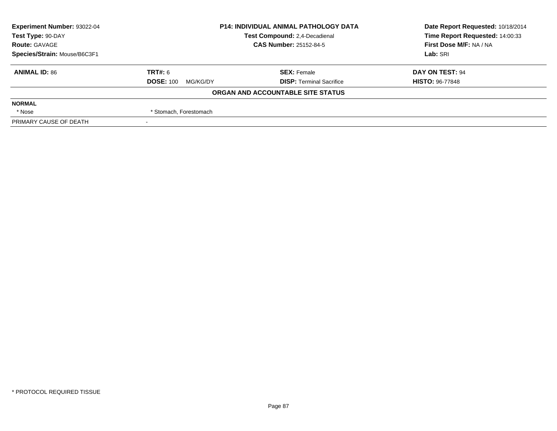| Experiment Number: 93022-04  | <b>P14: INDIVIDUAL ANIMAL PATHOLOGY DATA</b><br>Test Compound: 2,4-Decadienal<br><b>CAS Number: 25152-84-5</b> |                                   | Date Report Requested: 10/18/2014 |
|------------------------------|----------------------------------------------------------------------------------------------------------------|-----------------------------------|-----------------------------------|
| Test Type: 90-DAY            |                                                                                                                |                                   | Time Report Requested: 14:00:33   |
| <b>Route: GAVAGE</b>         |                                                                                                                |                                   | First Dose M/F: NA / NA           |
| Species/Strain: Mouse/B6C3F1 |                                                                                                                |                                   | Lab: SRI                          |
| <b>ANIMAL ID: 86</b>         | TRT#: 6                                                                                                        | <b>SEX: Female</b>                | DAY ON TEST: 94                   |
|                              | <b>DOSE: 100</b><br>MG/KG/DY                                                                                   | <b>DISP: Terminal Sacrifice</b>   | <b>HISTO: 96-77848</b>            |
|                              |                                                                                                                | ORGAN AND ACCOUNTABLE SITE STATUS |                                   |
| <b>NORMAL</b>                |                                                                                                                |                                   |                                   |
| * Nose                       | * Stomach, Forestomach                                                                                         |                                   |                                   |
| PRIMARY CAUSE OF DEATH       |                                                                                                                |                                   |                                   |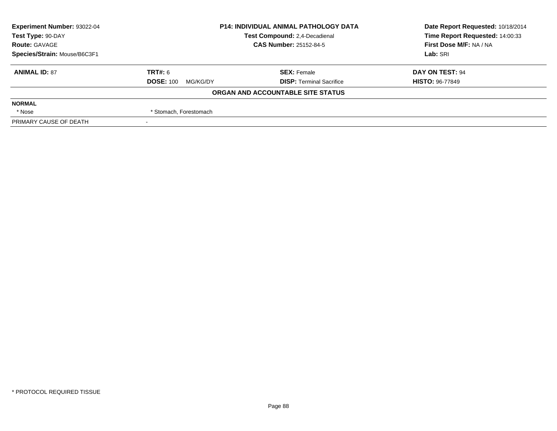| Experiment Number: 93022-04  | <b>P14: INDIVIDUAL ANIMAL PATHOLOGY DATA</b><br>Test Compound: 2,4-Decadienal<br><b>CAS Number: 25152-84-5</b> |                                   | Date Report Requested: 10/18/2014 |
|------------------------------|----------------------------------------------------------------------------------------------------------------|-----------------------------------|-----------------------------------|
| Test Type: 90-DAY            |                                                                                                                |                                   | Time Report Requested: 14:00:33   |
| <b>Route: GAVAGE</b>         |                                                                                                                |                                   | First Dose M/F: NA / NA           |
| Species/Strain: Mouse/B6C3F1 |                                                                                                                |                                   | Lab: SRI                          |
| <b>ANIMAL ID: 87</b>         | TRT#: 6                                                                                                        | <b>SEX: Female</b>                | DAY ON TEST: 94                   |
|                              | <b>DOSE: 100</b><br>MG/KG/DY                                                                                   | <b>DISP: Terminal Sacrifice</b>   | <b>HISTO: 96-77849</b>            |
|                              |                                                                                                                | ORGAN AND ACCOUNTABLE SITE STATUS |                                   |
| <b>NORMAL</b>                |                                                                                                                |                                   |                                   |
| * Nose                       | * Stomach, Forestomach                                                                                         |                                   |                                   |
| PRIMARY CAUSE OF DEATH       |                                                                                                                |                                   |                                   |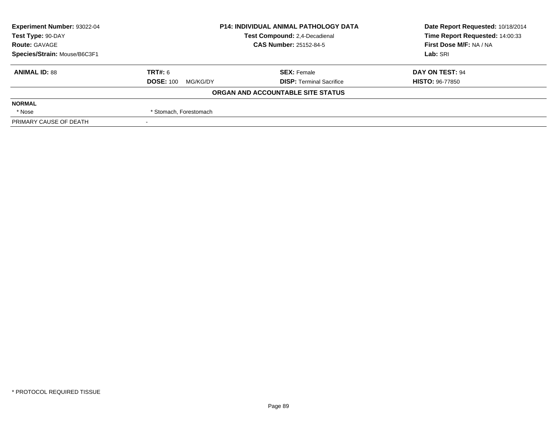| <b>Experiment Number: 93022-04</b> | <b>P14: INDIVIDUAL ANIMAL PATHOLOGY DATA</b><br>Test Compound: 2,4-Decadienal<br><b>CAS Number: 25152-84-5</b> |                                   | Date Report Requested: 10/18/2014 |
|------------------------------------|----------------------------------------------------------------------------------------------------------------|-----------------------------------|-----------------------------------|
| Test Type: 90-DAY                  |                                                                                                                |                                   | Time Report Requested: 14:00:33   |
| <b>Route: GAVAGE</b>               |                                                                                                                |                                   | First Dose M/F: NA / NA           |
| Species/Strain: Mouse/B6C3F1       |                                                                                                                |                                   | Lab: SRI                          |
| <b>ANIMAL ID: 88</b>               | TRT#: 6                                                                                                        | <b>SEX: Female</b>                | DAY ON TEST: 94                   |
|                                    | <b>DOSE: 100</b><br>MG/KG/DY                                                                                   | <b>DISP: Terminal Sacrifice</b>   | <b>HISTO: 96-77850</b>            |
|                                    |                                                                                                                | ORGAN AND ACCOUNTABLE SITE STATUS |                                   |
| <b>NORMAL</b>                      |                                                                                                                |                                   |                                   |
| * Nose                             | * Stomach, Forestomach                                                                                         |                                   |                                   |
| PRIMARY CAUSE OF DEATH             |                                                                                                                |                                   |                                   |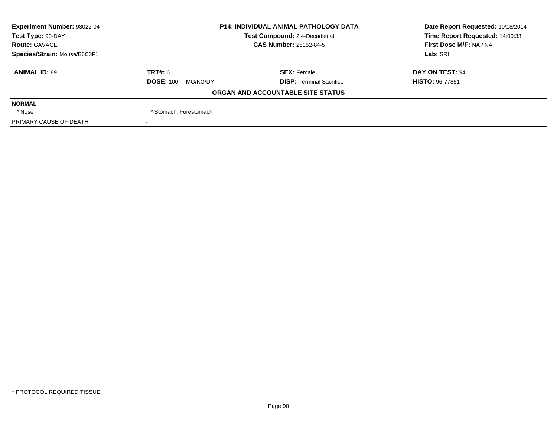| Experiment Number: 93022-04  | <b>P14: INDIVIDUAL ANIMAL PATHOLOGY DATA</b><br>Test Compound: 2,4-Decadienal<br><b>CAS Number: 25152-84-5</b> |                                   | Date Report Requested: 10/18/2014 |
|------------------------------|----------------------------------------------------------------------------------------------------------------|-----------------------------------|-----------------------------------|
| Test Type: 90-DAY            |                                                                                                                |                                   | Time Report Requested: 14:00:33   |
| <b>Route: GAVAGE</b>         |                                                                                                                |                                   | First Dose M/F: NA / NA           |
| Species/Strain: Mouse/B6C3F1 |                                                                                                                |                                   | Lab: SRI                          |
| <b>ANIMAL ID: 89</b>         | TRT#: 6                                                                                                        | <b>SEX: Female</b>                | DAY ON TEST: 94                   |
|                              | <b>DOSE: 100</b><br>MG/KG/DY                                                                                   | <b>DISP: Terminal Sacrifice</b>   | <b>HISTO: 96-77851</b>            |
|                              |                                                                                                                | ORGAN AND ACCOUNTABLE SITE STATUS |                                   |
| <b>NORMAL</b>                |                                                                                                                |                                   |                                   |
| * Nose                       | * Stomach, Forestomach                                                                                         |                                   |                                   |
| PRIMARY CAUSE OF DEATH       |                                                                                                                |                                   |                                   |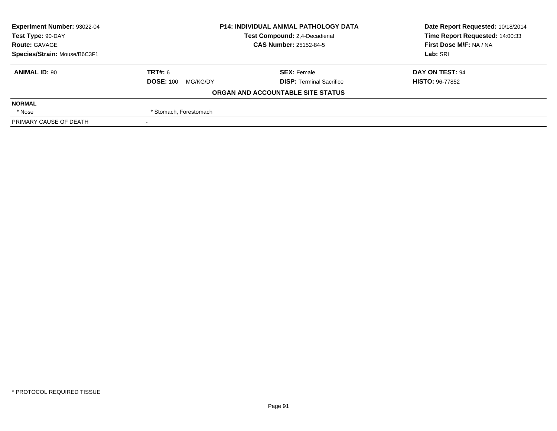| <b>Experiment Number: 93022-04</b> | <b>P14: INDIVIDUAL ANIMAL PATHOLOGY DATA</b><br>Test Compound: 2,4-Decadienal<br><b>CAS Number: 25152-84-5</b> |                                   | Date Report Requested: 10/18/2014 |
|------------------------------------|----------------------------------------------------------------------------------------------------------------|-----------------------------------|-----------------------------------|
| Test Type: 90-DAY                  |                                                                                                                |                                   | Time Report Requested: 14:00:33   |
| <b>Route: GAVAGE</b>               |                                                                                                                |                                   | First Dose M/F: NA / NA           |
| Species/Strain: Mouse/B6C3F1       |                                                                                                                |                                   | Lab: SRI                          |
| <b>ANIMAL ID: 90</b>               | TRT#: 6                                                                                                        | <b>SEX: Female</b>                | DAY ON TEST: 94                   |
|                                    | <b>DOSE: 100</b><br>MG/KG/DY                                                                                   | <b>DISP: Terminal Sacrifice</b>   | <b>HISTO: 96-77852</b>            |
|                                    |                                                                                                                | ORGAN AND ACCOUNTABLE SITE STATUS |                                   |
| <b>NORMAL</b>                      |                                                                                                                |                                   |                                   |
| * Nose                             | * Stomach, Forestomach                                                                                         |                                   |                                   |
| PRIMARY CAUSE OF DEATH             |                                                                                                                |                                   |                                   |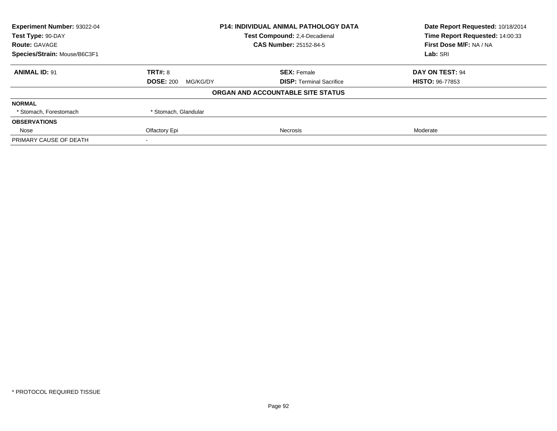| Experiment Number: 93022-04<br><b>P14: INDIVIDUAL ANIMAL PATHOLOGY DATA</b> |                              | Date Report Requested: 10/18/2014    |                         |
|-----------------------------------------------------------------------------|------------------------------|--------------------------------------|-------------------------|
| Test Type: 90-DAY                                                           |                              | <b>Test Compound: 2.4-Decadienal</b> |                         |
| <b>Route: GAVAGE</b>                                                        |                              | <b>CAS Number: 25152-84-5</b>        | First Dose M/F: NA / NA |
| Species/Strain: Mouse/B6C3F1                                                |                              |                                      |                         |
| <b>ANIMAL ID: 91</b>                                                        | <b>TRT#: 8</b>               | <b>SEX: Female</b>                   | DAY ON TEST: 94         |
|                                                                             | <b>DOSE: 200</b><br>MG/KG/DY | <b>DISP:</b> Terminal Sacrifice      | <b>HISTO: 96-77853</b>  |
|                                                                             |                              | ORGAN AND ACCOUNTABLE SITE STATUS    |                         |
| <b>NORMAL</b>                                                               |                              |                                      |                         |
| * Stomach, Forestomach                                                      | * Stomach, Glandular         |                                      |                         |
| <b>OBSERVATIONS</b>                                                         |                              |                                      |                         |
| Nose                                                                        | Olfactory Epi                | Necrosis                             | Moderate                |
| PRIMARY CAUSE OF DEATH                                                      |                              |                                      |                         |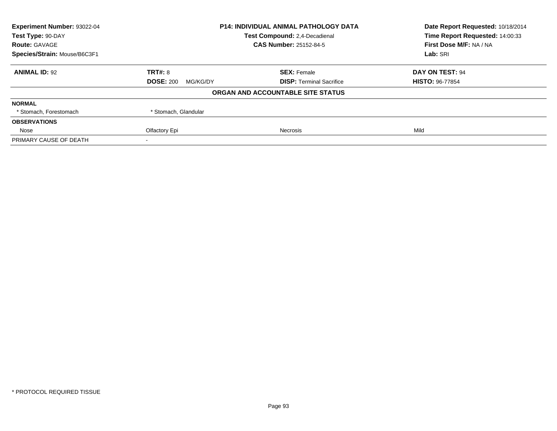| Experiment Number: 93022-04<br><b>P14: INDIVIDUAL ANIMAL PATHOLOGY DATA</b> |                                      | Date Report Requested: 10/18/2014 |                                 |
|-----------------------------------------------------------------------------|--------------------------------------|-----------------------------------|---------------------------------|
| Test Type: 90-DAY                                                           | <b>Test Compound: 2.4-Decadienal</b> |                                   | Time Report Requested: 14:00:33 |
| <b>Route: GAVAGE</b>                                                        |                                      | <b>CAS Number: 25152-84-5</b>     | First Dose M/F: NA / NA         |
| Species/Strain: Mouse/B6C3F1                                                |                                      |                                   |                                 |
| <b>ANIMAL ID: 92</b>                                                        | <b>TRT#: 8</b>                       | <b>SEX: Female</b>                | DAY ON TEST: 94                 |
|                                                                             | <b>DOSE: 200</b><br>MG/KG/DY         | <b>DISP:</b> Terminal Sacrifice   | <b>HISTO: 96-77854</b>          |
|                                                                             |                                      | ORGAN AND ACCOUNTABLE SITE STATUS |                                 |
| <b>NORMAL</b>                                                               |                                      |                                   |                                 |
| * Stomach, Forestomach                                                      | * Stomach, Glandular                 |                                   |                                 |
| <b>OBSERVATIONS</b>                                                         |                                      |                                   |                                 |
| Nose                                                                        | Olfactory Epi                        | Necrosis                          | Mild                            |
| PRIMARY CAUSE OF DEATH                                                      |                                      |                                   |                                 |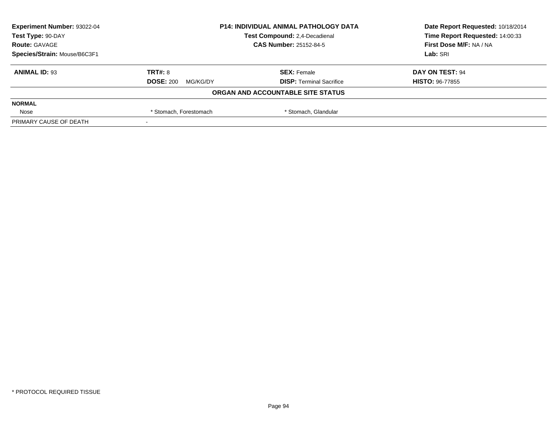| Experiment Number: 93022-04<br><b>P14: INDIVIDUAL ANIMAL PATHOLOGY DATA</b><br>Test Type: 90-DAY<br>Test Compound: 2,4-Decadienal |                              | Date Report Requested: 10/18/2014 |                         |
|-----------------------------------------------------------------------------------------------------------------------------------|------------------------------|-----------------------------------|-------------------------|
|                                                                                                                                   |                              | Time Report Requested: 14:00:33   |                         |
| <b>Route: GAVAGE</b>                                                                                                              |                              | <b>CAS Number: 25152-84-5</b>     | First Dose M/F: NA / NA |
| Species/Strain: Mouse/B6C3F1                                                                                                      |                              |                                   | Lab: SRI                |
| <b>ANIMAL ID: 93</b>                                                                                                              | TRT#: 8                      | <b>SEX: Female</b>                | DAY ON TEST: 94         |
|                                                                                                                                   | <b>DOSE: 200</b><br>MG/KG/DY | <b>DISP: Terminal Sacrifice</b>   | <b>HISTO: 96-77855</b>  |
|                                                                                                                                   |                              | ORGAN AND ACCOUNTABLE SITE STATUS |                         |
| <b>NORMAL</b>                                                                                                                     |                              |                                   |                         |
| Nose                                                                                                                              | * Stomach, Forestomach       | * Stomach, Glandular              |                         |
| PRIMARY CAUSE OF DEATH                                                                                                            |                              |                                   |                         |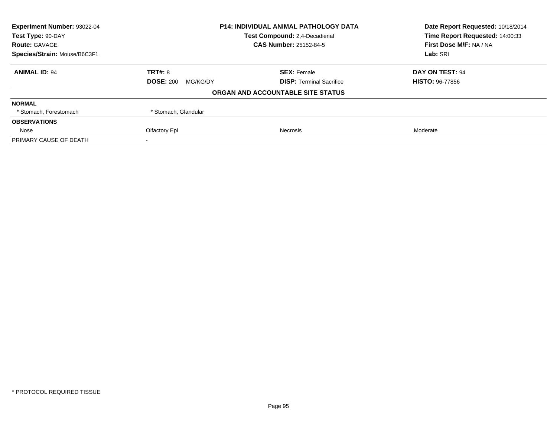| Experiment Number: 93022-04<br><b>P14: INDIVIDUAL ANIMAL PATHOLOGY DATA</b> |                                      | Date Report Requested: 10/18/2014 |                                 |
|-----------------------------------------------------------------------------|--------------------------------------|-----------------------------------|---------------------------------|
| Test Type: 90-DAY                                                           | <b>Test Compound: 2.4-Decadienal</b> |                                   | Time Report Requested: 14:00:33 |
| <b>Route: GAVAGE</b>                                                        |                                      | <b>CAS Number: 25152-84-5</b>     | First Dose M/F: NA / NA         |
| Species/Strain: Mouse/B6C3F1                                                |                                      |                                   | Lab: SRI                        |
| <b>ANIMAL ID: 94</b>                                                        | <b>TRT#: 8</b>                       | <b>SEX: Female</b>                | DAY ON TEST: 94                 |
|                                                                             | <b>DOSE: 200</b><br>MG/KG/DY         | <b>DISP:</b> Terminal Sacrifice   | <b>HISTO: 96-77856</b>          |
|                                                                             |                                      | ORGAN AND ACCOUNTABLE SITE STATUS |                                 |
| <b>NORMAL</b>                                                               |                                      |                                   |                                 |
| * Stomach, Forestomach                                                      | * Stomach, Glandular                 |                                   |                                 |
| <b>OBSERVATIONS</b>                                                         |                                      |                                   |                                 |
| Nose                                                                        | Olfactory Epi                        | Necrosis                          | Moderate                        |
| PRIMARY CAUSE OF DEATH                                                      |                                      |                                   |                                 |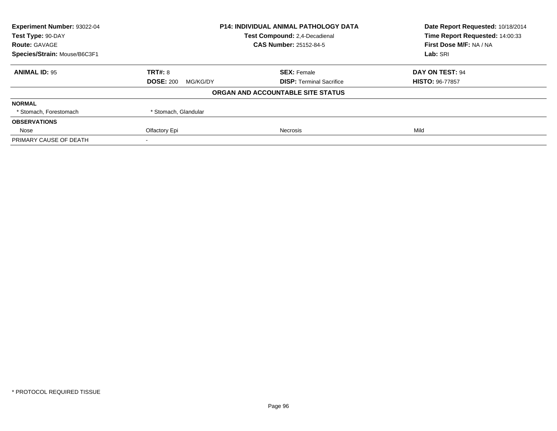| Experiment Number: 93022-04<br><b>P14: INDIVIDUAL ANIMAL PATHOLOGY DATA</b> |                               | Date Report Requested: 10/18/2014 |                                 |
|-----------------------------------------------------------------------------|-------------------------------|-----------------------------------|---------------------------------|
| Test Type: 90-DAY                                                           | Test Compound: 2,4-Decadienal |                                   | Time Report Requested: 14:00:33 |
| <b>Route: GAVAGE</b>                                                        |                               | <b>CAS Number: 25152-84-5</b>     | First Dose M/F: NA / NA         |
| Species/Strain: Mouse/B6C3F1                                                |                               |                                   |                                 |
| <b>ANIMAL ID: 95</b>                                                        | <b>TRT#: 8</b>                | <b>SEX: Female</b>                | DAY ON TEST: 94                 |
|                                                                             | <b>DOSE: 200</b><br>MG/KG/DY  | <b>DISP:</b> Terminal Sacrifice   | <b>HISTO: 96-77857</b>          |
|                                                                             |                               | ORGAN AND ACCOUNTABLE SITE STATUS |                                 |
| <b>NORMAL</b>                                                               |                               |                                   |                                 |
| * Stomach, Forestomach                                                      | * Stomach, Glandular          |                                   |                                 |
| <b>OBSERVATIONS</b>                                                         |                               |                                   |                                 |
| Nose                                                                        | Olfactory Epi                 | Necrosis                          | Mild                            |
| PRIMARY CAUSE OF DEATH                                                      |                               |                                   |                                 |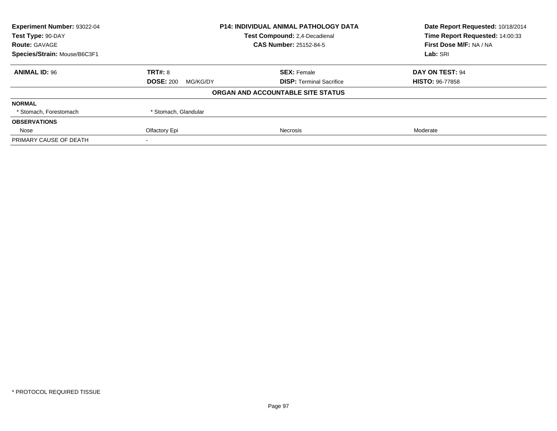| Experiment Number: 93022-04  | <b>P14: INDIVIDUAL ANIMAL PATHOLOGY DATA</b><br><b>Test Compound: 2.4-Decadienal</b> |                                   | Date Report Requested: 10/18/2014 |
|------------------------------|--------------------------------------------------------------------------------------|-----------------------------------|-----------------------------------|
| Test Type: 90-DAY            |                                                                                      |                                   | Time Report Requested: 14:00:33   |
| <b>Route: GAVAGE</b>         |                                                                                      | <b>CAS Number: 25152-84-5</b>     | First Dose M/F: NA / NA           |
| Species/Strain: Mouse/B6C3F1 |                                                                                      |                                   | Lab: SRI                          |
| <b>ANIMAL ID: 96</b>         | <b>TRT#: 8</b>                                                                       | <b>SEX: Female</b>                | DAY ON TEST: 94                   |
|                              | <b>DOSE: 200</b><br>MG/KG/DY                                                         | <b>DISP:</b> Terminal Sacrifice   | <b>HISTO: 96-77858</b>            |
|                              |                                                                                      | ORGAN AND ACCOUNTABLE SITE STATUS |                                   |
| <b>NORMAL</b>                |                                                                                      |                                   |                                   |
| * Stomach, Forestomach       | * Stomach, Glandular                                                                 |                                   |                                   |
| <b>OBSERVATIONS</b>          |                                                                                      |                                   |                                   |
| Nose                         | Olfactory Epi                                                                        | Necrosis                          | Moderate                          |
| PRIMARY CAUSE OF DEATH       |                                                                                      |                                   |                                   |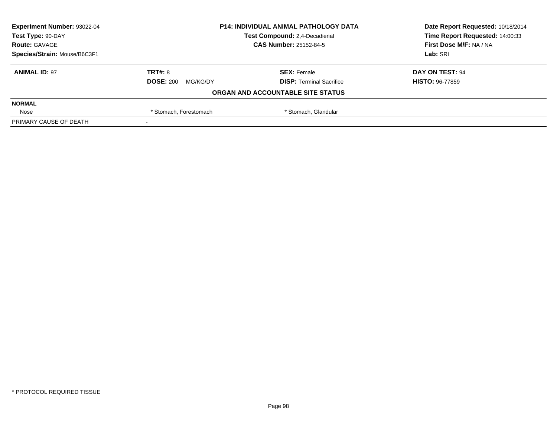| Experiment Number: 93022-04  | <b>P14: INDIVIDUAL ANIMAL PATHOLOGY DATA</b><br>Test Compound: 2,4-Decadienal<br><b>CAS Number: 25152-84-5</b> |                                   | Date Report Requested: 10/18/2014 |
|------------------------------|----------------------------------------------------------------------------------------------------------------|-----------------------------------|-----------------------------------|
| Test Type: 90-DAY            |                                                                                                                |                                   | Time Report Requested: 14:00:33   |
| <b>Route: GAVAGE</b>         |                                                                                                                |                                   | First Dose M/F: NA / NA           |
| Species/Strain: Mouse/B6C3F1 |                                                                                                                |                                   | Lab: SRI                          |
| <b>ANIMAL ID: 97</b>         | TRT#: 8                                                                                                        | <b>SEX: Female</b>                | DAY ON TEST: 94                   |
|                              | <b>DOSE: 200</b><br>MG/KG/DY                                                                                   | <b>DISP: Terminal Sacrifice</b>   | <b>HISTO: 96-77859</b>            |
|                              |                                                                                                                | ORGAN AND ACCOUNTABLE SITE STATUS |                                   |
| <b>NORMAL</b>                |                                                                                                                |                                   |                                   |
| Nose                         | * Stomach, Glandular<br>* Stomach, Forestomach                                                                 |                                   |                                   |
| PRIMARY CAUSE OF DEATH       |                                                                                                                |                                   |                                   |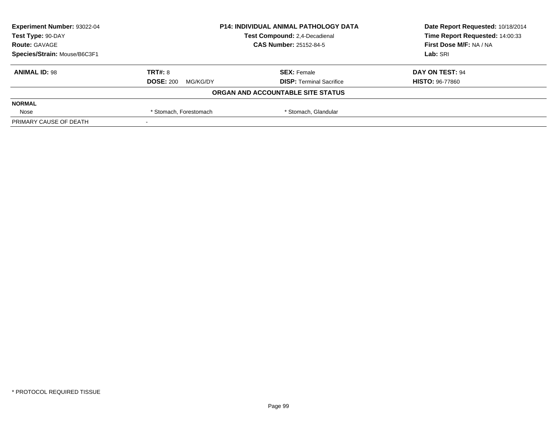| <b>Experiment Number: 93022-04</b> | <b>P14: INDIVIDUAL ANIMAL PATHOLOGY DATA</b><br>Test Compound: 2,4-Decadienal<br><b>CAS Number: 25152-84-5</b> |                                   | Date Report Requested: 10/18/2014 |
|------------------------------------|----------------------------------------------------------------------------------------------------------------|-----------------------------------|-----------------------------------|
| Test Type: 90-DAY                  |                                                                                                                |                                   | Time Report Requested: 14:00:33   |
| <b>Route: GAVAGE</b>               |                                                                                                                |                                   | First Dose M/F: NA / NA           |
| Species/Strain: Mouse/B6C3F1       |                                                                                                                |                                   | Lab: SRI                          |
| <b>ANIMAL ID: 98</b>               | TRT#: 8                                                                                                        | <b>SEX: Female</b>                | DAY ON TEST: 94                   |
|                                    | <b>DOSE: 200</b><br>MG/KG/DY                                                                                   | <b>DISP: Terminal Sacrifice</b>   | <b>HISTO: 96-77860</b>            |
|                                    |                                                                                                                | ORGAN AND ACCOUNTABLE SITE STATUS |                                   |
| <b>NORMAL</b>                      |                                                                                                                |                                   |                                   |
| Nose                               | * Stomach, Glandular<br>* Stomach, Forestomach                                                                 |                                   |                                   |
| PRIMARY CAUSE OF DEATH             |                                                                                                                |                                   |                                   |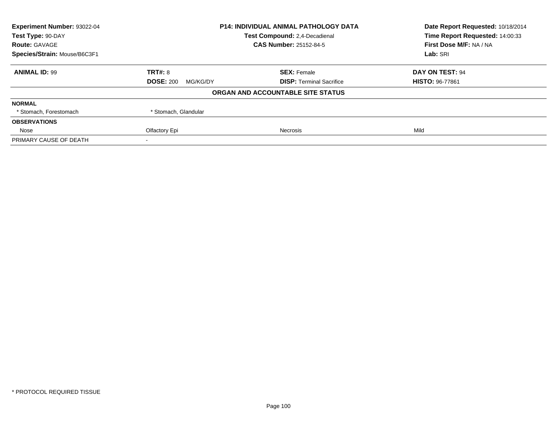| Experiment Number: 93022-04  | <b>P14: INDIVIDUAL ANIMAL PATHOLOGY DATA</b><br>Test Compound: 2,4-Decadienal |                                   | Date Report Requested: 10/18/2014 |
|------------------------------|-------------------------------------------------------------------------------|-----------------------------------|-----------------------------------|
| Test Type: 90-DAY            |                                                                               |                                   | Time Report Requested: 14:00:33   |
| <b>Route: GAVAGE</b>         |                                                                               | <b>CAS Number: 25152-84-5</b>     | First Dose M/F: NA / NA           |
| Species/Strain: Mouse/B6C3F1 |                                                                               |                                   | Lab: SRI                          |
| <b>ANIMAL ID: 99</b>         | <b>TRT#: 8</b>                                                                | <b>SEX: Female</b>                | DAY ON TEST: 94                   |
|                              | <b>DOSE: 200</b><br>MG/KG/DY                                                  | <b>DISP:</b> Terminal Sacrifice   | <b>HISTO: 96-77861</b>            |
|                              |                                                                               | ORGAN AND ACCOUNTABLE SITE STATUS |                                   |
| <b>NORMAL</b>                |                                                                               |                                   |                                   |
| * Stomach, Forestomach       | * Stomach, Glandular                                                          |                                   |                                   |
| <b>OBSERVATIONS</b>          |                                                                               |                                   |                                   |
| Nose                         | Olfactory Epi                                                                 | Necrosis                          | Mild                              |
| PRIMARY CAUSE OF DEATH       |                                                                               |                                   |                                   |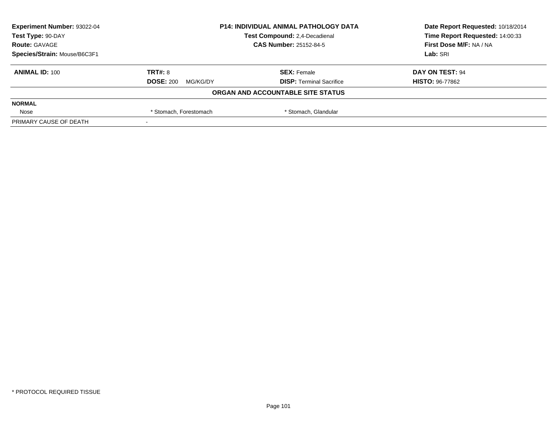| Experiment Number: 93022-04  | <b>P14: INDIVIDUAL ANIMAL PATHOLOGY DATA</b><br>Test Compound: 2,4-Decadienal<br><b>CAS Number: 25152-84-5</b> |                                   | Date Report Requested: 10/18/2014 |
|------------------------------|----------------------------------------------------------------------------------------------------------------|-----------------------------------|-----------------------------------|
| Test Type: 90-DAY            |                                                                                                                |                                   | Time Report Requested: 14:00:33   |
| <b>Route: GAVAGE</b>         |                                                                                                                |                                   | First Dose M/F: NA / NA           |
| Species/Strain: Mouse/B6C3F1 |                                                                                                                |                                   | Lab: SRI                          |
| <b>ANIMAL ID: 100</b>        | TRT#: 8                                                                                                        | <b>SEX: Female</b>                | DAY ON TEST: 94                   |
|                              | <b>DOSE: 200</b><br>MG/KG/DY                                                                                   | <b>DISP: Terminal Sacrifice</b>   | <b>HISTO: 96-77862</b>            |
|                              |                                                                                                                | ORGAN AND ACCOUNTABLE SITE STATUS |                                   |
| <b>NORMAL</b>                |                                                                                                                |                                   |                                   |
| Nose                         | * Stomach, Glandular<br>* Stomach, Forestomach                                                                 |                                   |                                   |
| PRIMARY CAUSE OF DEATH       |                                                                                                                |                                   |                                   |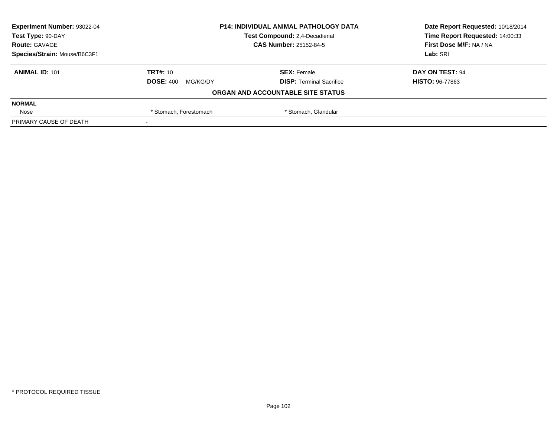| <b>Experiment Number: 93022-04</b> | <b>P14: INDIVIDUAL ANIMAL PATHOLOGY DATA</b><br>Test Compound: 2,4-Decadienal<br><b>CAS Number: 25152-84-5</b> |                                   | Date Report Requested: 10/18/2014 |
|------------------------------------|----------------------------------------------------------------------------------------------------------------|-----------------------------------|-----------------------------------|
| Test Type: 90-DAY                  |                                                                                                                |                                   | Time Report Requested: 14:00:33   |
| <b>Route: GAVAGE</b>               |                                                                                                                |                                   | First Dose M/F: NA / NA           |
| Species/Strain: Mouse/B6C3F1       |                                                                                                                |                                   | Lab: SRI                          |
| <b>ANIMAL ID: 101</b>              | <b>TRT#: 10</b>                                                                                                | <b>SEX: Female</b>                | DAY ON TEST: 94                   |
|                                    | <b>DOSE: 400</b><br>MG/KG/DY                                                                                   | <b>DISP: Terminal Sacrifice</b>   | <b>HISTO: 96-77863</b>            |
|                                    |                                                                                                                | ORGAN AND ACCOUNTABLE SITE STATUS |                                   |
| <b>NORMAL</b>                      |                                                                                                                |                                   |                                   |
| Nose                               | * Stomach, Glandular<br>* Stomach, Forestomach                                                                 |                                   |                                   |
| PRIMARY CAUSE OF DEATH             |                                                                                                                |                                   |                                   |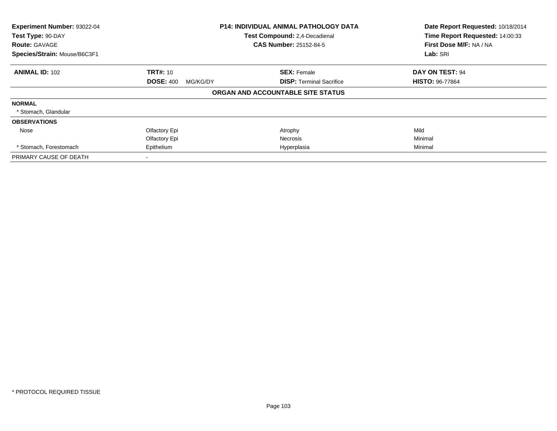| Experiment Number: 93022-04  | <b>P14: INDIVIDUAL ANIMAL PATHOLOGY DATA</b> |                                   | Date Report Requested: 10/18/2014 |  |
|------------------------------|----------------------------------------------|-----------------------------------|-----------------------------------|--|
| Test Type: 90-DAY            |                                              | Test Compound: 2,4-Decadienal     | Time Report Requested: 14:00:33   |  |
| <b>Route: GAVAGE</b>         |                                              | <b>CAS Number: 25152-84-5</b>     | First Dose M/F: NA / NA           |  |
| Species/Strain: Mouse/B6C3F1 |                                              |                                   | Lab: SRI                          |  |
| <b>ANIMAL ID: 102</b>        | <b>TRT#: 10</b>                              | <b>SEX: Female</b>                | DAY ON TEST: 94                   |  |
|                              | <b>DOSE: 400</b><br>MG/KG/DY                 | <b>DISP:</b> Terminal Sacrifice   | <b>HISTO: 96-77864</b>            |  |
|                              |                                              | ORGAN AND ACCOUNTABLE SITE STATUS |                                   |  |
| <b>NORMAL</b>                |                                              |                                   |                                   |  |
| * Stomach, Glandular         |                                              |                                   |                                   |  |
| <b>OBSERVATIONS</b>          |                                              |                                   |                                   |  |
| Nose                         | Olfactory Epi                                | Atrophy                           | Mild                              |  |
|                              | Olfactory Epi                                | Necrosis                          | Minimal                           |  |
| * Stomach, Forestomach       | Epithelium<br>Hyperplasia                    |                                   | Minimal                           |  |
| PRIMARY CAUSE OF DEATH       |                                              |                                   |                                   |  |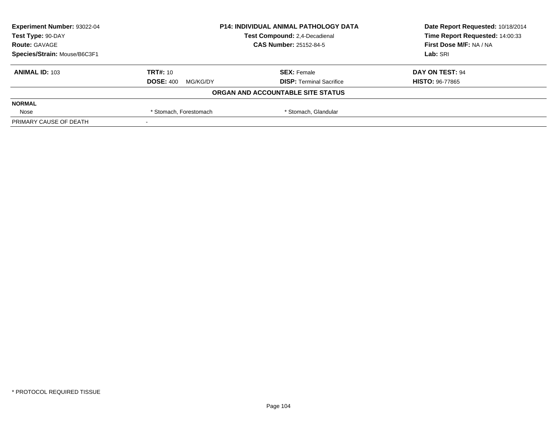| <b>Experiment Number: 93022-04</b> | <b>P14: INDIVIDUAL ANIMAL PATHOLOGY DATA</b><br>Test Compound: 2,4-Decadienal<br><b>CAS Number: 25152-84-5</b> |                                   | Date Report Requested: 10/18/2014 |
|------------------------------------|----------------------------------------------------------------------------------------------------------------|-----------------------------------|-----------------------------------|
| Test Type: 90-DAY                  |                                                                                                                |                                   | Time Report Requested: 14:00:33   |
| <b>Route: GAVAGE</b>               |                                                                                                                |                                   | First Dose M/F: NA / NA           |
| Species/Strain: Mouse/B6C3F1       |                                                                                                                |                                   | Lab: SRI                          |
| <b>ANIMAL ID: 103</b>              | <b>TRT#: 10</b>                                                                                                | <b>SEX: Female</b>                | DAY ON TEST: 94                   |
|                                    | <b>DOSE: 400</b><br>MG/KG/DY                                                                                   | <b>DISP: Terminal Sacrifice</b>   | <b>HISTO: 96-77865</b>            |
|                                    |                                                                                                                | ORGAN AND ACCOUNTABLE SITE STATUS |                                   |
| <b>NORMAL</b>                      |                                                                                                                |                                   |                                   |
| Nose                               | * Stomach, Glandular<br>* Stomach, Forestomach                                                                 |                                   |                                   |
| PRIMARY CAUSE OF DEATH             |                                                                                                                |                                   |                                   |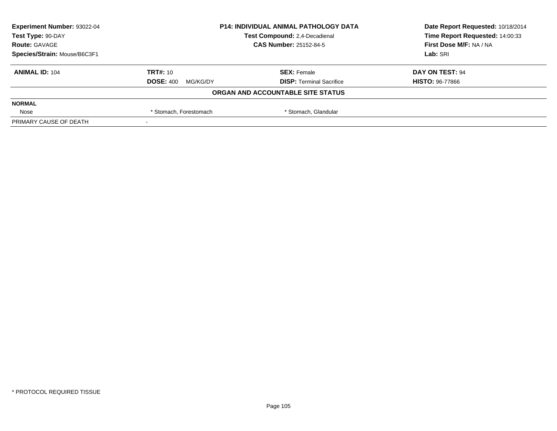| <b>Experiment Number: 93022-04</b> | <b>P14: INDIVIDUAL ANIMAL PATHOLOGY DATA</b><br>Test Compound: 2,4-Decadienal<br><b>CAS Number: 25152-84-5</b> |                                   | Date Report Requested: 10/18/2014 |
|------------------------------------|----------------------------------------------------------------------------------------------------------------|-----------------------------------|-----------------------------------|
| Test Type: 90-DAY                  |                                                                                                                |                                   | Time Report Requested: 14:00:33   |
| <b>Route: GAVAGE</b>               |                                                                                                                |                                   | First Dose M/F: NA / NA           |
| Species/Strain: Mouse/B6C3F1       |                                                                                                                |                                   | Lab: SRI                          |
| <b>ANIMAL ID: 104</b>              | <b>TRT#: 10</b>                                                                                                | <b>SEX: Female</b>                | DAY ON TEST: 94                   |
|                                    | <b>DOSE: 400</b><br>MG/KG/DY                                                                                   | <b>DISP: Terminal Sacrifice</b>   | <b>HISTO: 96-77866</b>            |
|                                    |                                                                                                                | ORGAN AND ACCOUNTABLE SITE STATUS |                                   |
| <b>NORMAL</b>                      |                                                                                                                |                                   |                                   |
| Nose                               | * Stomach, Glandular<br>* Stomach, Forestomach                                                                 |                                   |                                   |
| PRIMARY CAUSE OF DEATH             |                                                                                                                |                                   |                                   |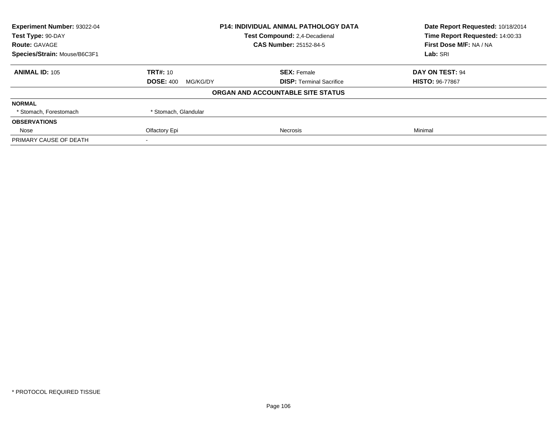| Experiment Number: 93022-04  | <b>P14: INDIVIDUAL ANIMAL PATHOLOGY DATA</b><br><b>Test Compound: 2.4-Decadienal</b> |                                   | Date Report Requested: 10/18/2014 |
|------------------------------|--------------------------------------------------------------------------------------|-----------------------------------|-----------------------------------|
| Test Type: 90-DAY            |                                                                                      |                                   | Time Report Requested: 14:00:33   |
| <b>Route: GAVAGE</b>         |                                                                                      | <b>CAS Number: 25152-84-5</b>     | First Dose M/F: NA / NA           |
| Species/Strain: Mouse/B6C3F1 |                                                                                      |                                   |                                   |
| <b>ANIMAL ID: 105</b>        | <b>TRT#: 10</b>                                                                      | <b>SEX: Female</b>                | DAY ON TEST: 94                   |
|                              | <b>DOSE: 400</b><br>MG/KG/DY                                                         | <b>DISP:</b> Terminal Sacrifice   | <b>HISTO: 96-77867</b>            |
|                              |                                                                                      | ORGAN AND ACCOUNTABLE SITE STATUS |                                   |
| <b>NORMAL</b>                |                                                                                      |                                   |                                   |
| * Stomach, Forestomach       | * Stomach, Glandular                                                                 |                                   |                                   |
| <b>OBSERVATIONS</b>          |                                                                                      |                                   |                                   |
| Nose                         | Olfactory Epi                                                                        | Necrosis                          | Minimal                           |
| PRIMARY CAUSE OF DEATH       |                                                                                      |                                   |                                   |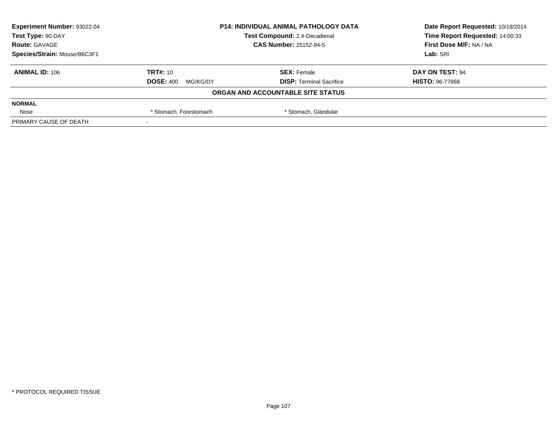| <b>Experiment Number: 93022-04</b> | <b>P14: INDIVIDUAL ANIMAL PATHOLOGY DATA</b><br>Test Compound: 2,4-Decadienal<br><b>CAS Number: 25152-84-5</b> |                                   | Date Report Requested: 10/18/2014 |
|------------------------------------|----------------------------------------------------------------------------------------------------------------|-----------------------------------|-----------------------------------|
| Test Type: 90-DAY                  |                                                                                                                |                                   | Time Report Requested: 14:00:33   |
| <b>Route: GAVAGE</b>               |                                                                                                                |                                   | First Dose M/F: NA / NA           |
| Species/Strain: Mouse/B6C3F1       |                                                                                                                |                                   | Lab: SRI                          |
| <b>ANIMAL ID: 106</b>              | <b>TRT#: 10</b>                                                                                                | <b>SEX: Female</b>                | DAY ON TEST: 94                   |
|                                    | <b>DOSE: 400</b><br>MG/KG/DY                                                                                   | <b>DISP: Terminal Sacrifice</b>   | <b>HISTO: 96-77868</b>            |
|                                    |                                                                                                                | ORGAN AND ACCOUNTABLE SITE STATUS |                                   |
| <b>NORMAL</b>                      |                                                                                                                |                                   |                                   |
| Nose                               | * Stomach, Glandular<br>* Stomach, Forestomach                                                                 |                                   |                                   |
| PRIMARY CAUSE OF DEATH             |                                                                                                                |                                   |                                   |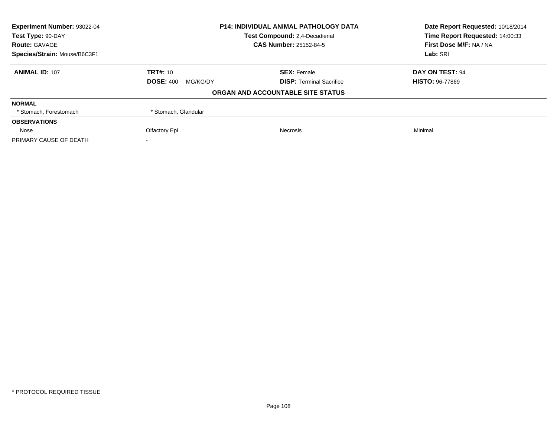| Experiment Number: 93022-04  | <b>P14: INDIVIDUAL ANIMAL PATHOLOGY DATA</b><br><b>Test Compound: 2.4-Decadienal</b> |                                   | Date Report Requested: 10/18/2014 |
|------------------------------|--------------------------------------------------------------------------------------|-----------------------------------|-----------------------------------|
| Test Type: 90-DAY            |                                                                                      |                                   | Time Report Requested: 14:00:33   |
| <b>Route: GAVAGE</b>         |                                                                                      | <b>CAS Number: 25152-84-5</b>     | First Dose M/F: NA / NA           |
| Species/Strain: Mouse/B6C3F1 |                                                                                      |                                   |                                   |
| <b>ANIMAL ID: 107</b>        | <b>TRT#: 10</b>                                                                      | <b>SEX: Female</b>                | DAY ON TEST: 94                   |
|                              | <b>DOSE: 400</b><br>MG/KG/DY                                                         | <b>DISP:</b> Terminal Sacrifice   | <b>HISTO: 96-77869</b>            |
|                              |                                                                                      | ORGAN AND ACCOUNTABLE SITE STATUS |                                   |
| <b>NORMAL</b>                |                                                                                      |                                   |                                   |
| * Stomach, Forestomach       | * Stomach, Glandular                                                                 |                                   |                                   |
| <b>OBSERVATIONS</b>          |                                                                                      |                                   |                                   |
| Nose                         | Olfactory Epi                                                                        | Necrosis                          | Minimal                           |
| PRIMARY CAUSE OF DEATH       |                                                                                      |                                   |                                   |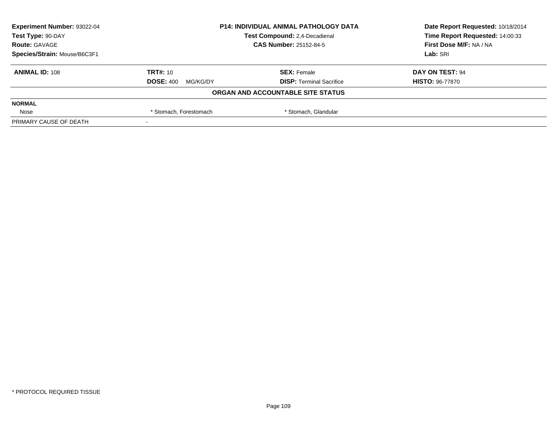| <b>Experiment Number: 93022-04</b><br><b>P14: INDIVIDUAL ANIMAL PATHOLOGY DATA</b> |                               | Date Report Requested: 10/18/2014 |                                 |
|------------------------------------------------------------------------------------|-------------------------------|-----------------------------------|---------------------------------|
| Test Type: 90-DAY                                                                  | Test Compound: 2,4-Decadienal |                                   | Time Report Requested: 14:00:33 |
| <b>Route: GAVAGE</b>                                                               |                               | <b>CAS Number: 25152-84-5</b>     | First Dose M/F: NA / NA         |
| Species/Strain: Mouse/B6C3F1                                                       |                               |                                   | Lab: SRI                        |
| <b>ANIMAL ID: 108</b>                                                              | <b>TRT#: 10</b>               | <b>SEX: Female</b>                | DAY ON TEST: 94                 |
|                                                                                    | <b>DOSE: 400</b><br>MG/KG/DY  | <b>DISP: Terminal Sacrifice</b>   | <b>HISTO: 96-77870</b>          |
|                                                                                    |                               | ORGAN AND ACCOUNTABLE SITE STATUS |                                 |
| <b>NORMAL</b>                                                                      |                               |                                   |                                 |
| Nose                                                                               | * Stomach, Forestomach        | * Stomach, Glandular              |                                 |
| PRIMARY CAUSE OF DEATH                                                             |                               |                                   |                                 |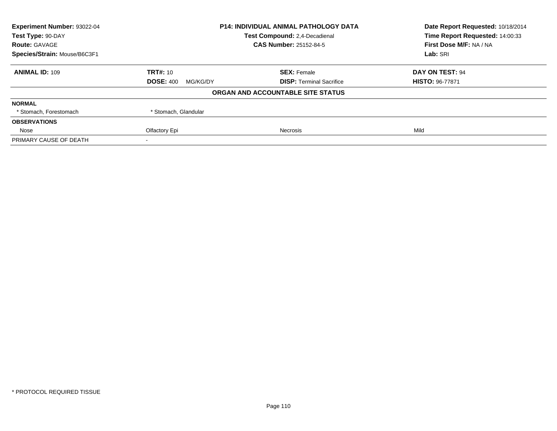| Experiment Number: 93022-04                        |                              | <b>P14: INDIVIDUAL ANIMAL PATHOLOGY DATA</b> | Date Report Requested: 10/18/2014 |  |
|----------------------------------------------------|------------------------------|----------------------------------------------|-----------------------------------|--|
| Test Compound: 2,4-Decadienal<br>Test Type: 90-DAY |                              | Time Report Requested: 14:00:33              |                                   |  |
| <b>Route: GAVAGE</b>                               |                              | <b>CAS Number: 25152-84-5</b>                | First Dose M/F: NA / NA           |  |
| Species/Strain: Mouse/B6C3F1                       |                              |                                              | Lab: SRI                          |  |
| <b>ANIMAL ID: 109</b>                              | <b>TRT#: 10</b>              | <b>SEX: Female</b>                           | DAY ON TEST: 94                   |  |
|                                                    | <b>DOSE: 400</b><br>MG/KG/DY | <b>DISP:</b> Terminal Sacrifice              | <b>HISTO: 96-77871</b>            |  |
|                                                    |                              | ORGAN AND ACCOUNTABLE SITE STATUS            |                                   |  |
| <b>NORMAL</b>                                      |                              |                                              |                                   |  |
| * Stomach, Forestomach                             | * Stomach, Glandular         |                                              |                                   |  |
| <b>OBSERVATIONS</b>                                |                              |                                              |                                   |  |
| Nose                                               | Olfactory Epi                | Necrosis                                     | Mild                              |  |
| PRIMARY CAUSE OF DEATH                             |                              |                                              |                                   |  |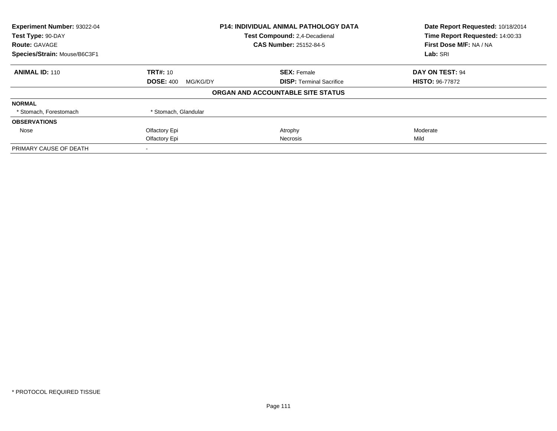| Experiment Number: 93022-04  |                               | <b>P14: INDIVIDUAL ANIMAL PATHOLOGY DATA</b> | Date Report Requested: 10/18/2014<br>Time Report Requested: 14:00:33 |  |
|------------------------------|-------------------------------|----------------------------------------------|----------------------------------------------------------------------|--|
| Test Type: 90-DAY            | Test Compound: 2,4-Decadienal |                                              |                                                                      |  |
| <b>Route: GAVAGE</b>         |                               | <b>CAS Number: 25152-84-5</b>                | First Dose M/F: NA / NA                                              |  |
| Species/Strain: Mouse/B6C3F1 |                               |                                              | Lab: SRI                                                             |  |
| <b>ANIMAL ID: 110</b>        | <b>TRT#: 10</b>               | <b>SEX: Female</b>                           | DAY ON TEST: 94                                                      |  |
|                              | <b>DOSE: 400</b><br>MG/KG/DY  | <b>DISP:</b> Terminal Sacrifice              | <b>HISTO: 96-77872</b>                                               |  |
|                              |                               | ORGAN AND ACCOUNTABLE SITE STATUS            |                                                                      |  |
| <b>NORMAL</b>                |                               |                                              |                                                                      |  |
| * Stomach, Forestomach       | * Stomach, Glandular          |                                              |                                                                      |  |
| <b>OBSERVATIONS</b>          |                               |                                              |                                                                      |  |
| Nose                         | Olfactory Epi                 | Atrophy                                      | Moderate                                                             |  |
|                              | Olfactory Epi                 | Necrosis                                     | Mild                                                                 |  |
| PRIMARY CAUSE OF DEATH       |                               |                                              |                                                                      |  |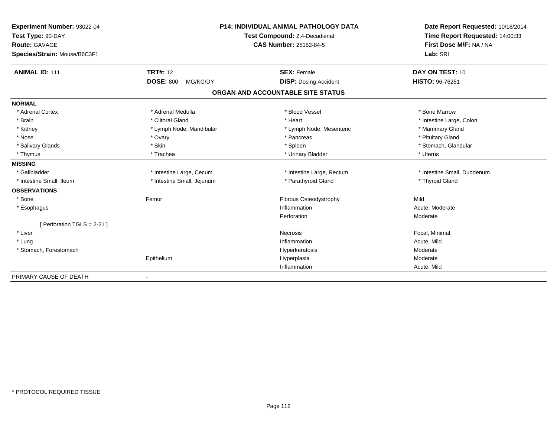| Experiment Number: 93022-04  |                              | <b>P14: INDIVIDUAL ANIMAL PATHOLOGY DATA</b> | Date Report Requested: 10/18/2014 |
|------------------------------|------------------------------|----------------------------------------------|-----------------------------------|
| Test Type: 90-DAY            |                              | Test Compound: 2,4-Decadienal                | Time Report Requested: 14:00:33   |
| <b>Route: GAVAGE</b>         |                              | <b>CAS Number: 25152-84-5</b>                | First Dose M/F: NA / NA           |
| Species/Strain: Mouse/B6C3F1 |                              |                                              | Lab: SRI                          |
| <b>ANIMAL ID: 111</b>        | <b>TRT#: 12</b>              | <b>SEX: Female</b>                           | DAY ON TEST: 10                   |
|                              | <b>DOSE: 800</b><br>MG/KG/DY | <b>DISP: Dosing Accident</b>                 | HISTO: 96-76251                   |
|                              |                              | ORGAN AND ACCOUNTABLE SITE STATUS            |                                   |
| <b>NORMAL</b>                |                              |                                              |                                   |
| * Adrenal Cortex             | * Adrenal Medulla            | * Blood Vessel                               | * Bone Marrow                     |
| * Brain                      | * Clitoral Gland             | * Heart                                      | * Intestine Large, Colon          |
| * Kidney                     | * Lymph Node, Mandibular     | * Lymph Node, Mesenteric                     | * Mammary Gland                   |
| * Nose                       | * Ovary                      | * Pancreas                                   | * Pituitary Gland                 |
| * Salivary Glands            | * Skin                       | * Spleen                                     | * Stomach, Glandular              |
| * Thymus                     | * Trachea                    | * Urinary Bladder                            | * Uterus                          |
| <b>MISSING</b>               |                              |                                              |                                   |
| * Gallbladder                | * Intestine Large, Cecum     | * Intestine Large, Rectum                    | * Intestine Small, Duodenum       |
| * Intestine Small, Ileum     | * Intestine Small, Jejunum   | * Parathyroid Gland                          | * Thyroid Gland                   |
| <b>OBSERVATIONS</b>          |                              |                                              |                                   |
| * Bone                       | Femur                        | Fibrous Osteodystrophy                       | Mild                              |
| * Esophagus                  |                              | Inflammation                                 | Acute, Moderate                   |
|                              |                              | Perforation                                  | Moderate                          |
| [ Perforation TGLS = 2-21 ]  |                              |                                              |                                   |
| * Liver                      |                              | Necrosis                                     | Focal, Minimal                    |
| * Lung                       |                              | Inflammation                                 | Acute, Mild                       |
| * Stomach, Forestomach       |                              | Hyperkeratosis                               | Moderate                          |
|                              | Epithelium                   | Hyperplasia                                  | Moderate                          |
|                              |                              | Inflammation                                 | Acute, Mild                       |
| PRIMARY CAUSE OF DEATH       |                              |                                              |                                   |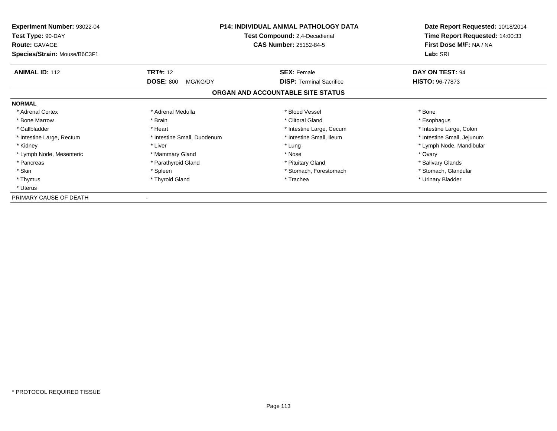| <b>Experiment Number: 93022-04</b><br>Test Type: 90-DAY<br><b>Route: GAVAGE</b> | <b>P14: INDIVIDUAL ANIMAL PATHOLOGY DATA</b><br>Test Compound: 2,4-Decadienal<br><b>CAS Number: 25152-84-5</b> |                                   | Date Report Requested: 10/18/2014<br>Time Report Requested: 14:00:33<br>First Dose M/F: NA / NA |
|---------------------------------------------------------------------------------|----------------------------------------------------------------------------------------------------------------|-----------------------------------|-------------------------------------------------------------------------------------------------|
| Species/Strain: Mouse/B6C3F1                                                    |                                                                                                                |                                   | Lab: SRI                                                                                        |
| <b>ANIMAL ID: 112</b>                                                           | <b>TRT#:</b> 12                                                                                                | <b>SEX: Female</b>                | DAY ON TEST: 94                                                                                 |
|                                                                                 | <b>DOSE: 800</b><br>MG/KG/DY                                                                                   | <b>DISP:</b> Terminal Sacrifice   | <b>HISTO: 96-77873</b>                                                                          |
|                                                                                 |                                                                                                                | ORGAN AND ACCOUNTABLE SITE STATUS |                                                                                                 |
| <b>NORMAL</b>                                                                   |                                                                                                                |                                   |                                                                                                 |
| * Adrenal Cortex                                                                | * Adrenal Medulla                                                                                              | * Blood Vessel                    | * Bone                                                                                          |
| * Bone Marrow                                                                   | * Brain                                                                                                        | * Clitoral Gland                  | * Esophagus                                                                                     |
| * Gallbladder                                                                   | * Heart                                                                                                        | * Intestine Large, Cecum          | * Intestine Large, Colon                                                                        |
| * Intestine Large, Rectum                                                       | * Intestine Small, Duodenum                                                                                    | * Intestine Small, Ileum          | * Intestine Small, Jejunum                                                                      |
| * Kidney                                                                        | * Liver                                                                                                        | * Lung                            | * Lymph Node, Mandibular                                                                        |
| * Lymph Node, Mesenteric                                                        | * Mammary Gland                                                                                                | * Nose                            | * Ovary                                                                                         |
| * Pancreas                                                                      | * Parathyroid Gland                                                                                            | * Pituitary Gland                 | * Salivary Glands                                                                               |
| * Skin                                                                          | * Spleen                                                                                                       | * Stomach, Forestomach            | * Stomach, Glandular                                                                            |
| * Thymus                                                                        | * Thyroid Gland                                                                                                | * Trachea                         | * Urinary Bladder                                                                               |
| * Uterus                                                                        |                                                                                                                |                                   |                                                                                                 |
| PRIMARY CAUSE OF DEATH                                                          |                                                                                                                |                                   |                                                                                                 |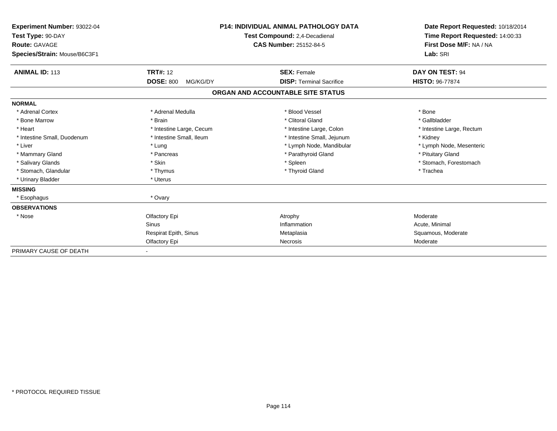| Experiment Number: 93022-04<br>Test Type: 90-DAY<br><b>Route: GAVAGE</b><br>Species/Strain: Mouse/B6C3F1 | <b>P14: INDIVIDUAL ANIMAL PATHOLOGY DATA</b><br>Test Compound: 2,4-Decadienal<br><b>CAS Number: 25152-84-5</b> |                                   | Date Report Requested: 10/18/2014<br>Time Report Requested: 14:00:33<br>First Dose M/F: NA / NA<br>Lab: SRI |  |
|----------------------------------------------------------------------------------------------------------|----------------------------------------------------------------------------------------------------------------|-----------------------------------|-------------------------------------------------------------------------------------------------------------|--|
| <b>ANIMAL ID: 113</b>                                                                                    | <b>TRT#: 12</b>                                                                                                | <b>SEX: Female</b>                | DAY ON TEST: 94                                                                                             |  |
|                                                                                                          | <b>DOSE: 800</b><br>MG/KG/DY                                                                                   | <b>DISP: Terminal Sacrifice</b>   | <b>HISTO: 96-77874</b>                                                                                      |  |
|                                                                                                          |                                                                                                                | ORGAN AND ACCOUNTABLE SITE STATUS |                                                                                                             |  |
| <b>NORMAL</b>                                                                                            |                                                                                                                |                                   |                                                                                                             |  |
| * Adrenal Cortex                                                                                         | * Adrenal Medulla                                                                                              | * Blood Vessel                    | * Bone                                                                                                      |  |
| * Bone Marrow                                                                                            | * Brain                                                                                                        | * Clitoral Gland                  | * Gallbladder                                                                                               |  |
| * Heart                                                                                                  | * Intestine Large, Cecum                                                                                       | * Intestine Large, Colon          | * Intestine Large, Rectum                                                                                   |  |
| * Intestine Small, Duodenum                                                                              | * Intestine Small, Ileum                                                                                       | * Intestine Small, Jejunum        | * Kidney                                                                                                    |  |
| * Liver                                                                                                  | * Lung                                                                                                         | * Lymph Node, Mandibular          | * Lymph Node, Mesenteric                                                                                    |  |
| * Mammary Gland                                                                                          | * Pancreas                                                                                                     | * Parathyroid Gland               | * Pituitary Gland                                                                                           |  |
| * Salivary Glands                                                                                        | * Skin                                                                                                         | * Spleen                          | * Stomach, Forestomach                                                                                      |  |
| * Stomach, Glandular                                                                                     | * Thymus                                                                                                       | * Thyroid Gland                   | * Trachea                                                                                                   |  |
| * Urinary Bladder                                                                                        | * Uterus                                                                                                       |                                   |                                                                                                             |  |
| <b>MISSING</b>                                                                                           |                                                                                                                |                                   |                                                                                                             |  |
| * Esophagus                                                                                              | * Ovary                                                                                                        |                                   |                                                                                                             |  |
| <b>OBSERVATIONS</b>                                                                                      |                                                                                                                |                                   |                                                                                                             |  |
| * Nose                                                                                                   | Olfactory Epi                                                                                                  | Atrophy                           | Moderate                                                                                                    |  |
|                                                                                                          | <b>Sinus</b>                                                                                                   | Inflammation                      | Acute, Minimal                                                                                              |  |
|                                                                                                          | Respirat Epith, Sinus                                                                                          | Metaplasia                        | Squamous, Moderate                                                                                          |  |
|                                                                                                          | Olfactory Epi                                                                                                  | <b>Necrosis</b>                   | Moderate                                                                                                    |  |
| PRIMARY CAUSE OF DEATH                                                                                   |                                                                                                                |                                   |                                                                                                             |  |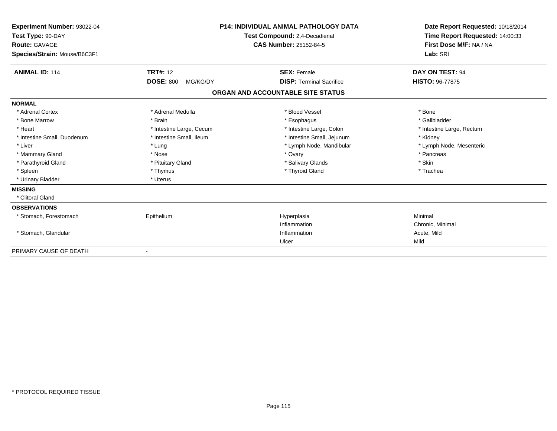| Experiment Number: 93022-04<br>Test Type: 90-DAY<br>Route: GAVAGE<br>Species/Strain: Mouse/B6C3F1 |                              | <b>P14: INDIVIDUAL ANIMAL PATHOLOGY DATA</b><br>Test Compound: 2,4-Decadienal<br><b>CAS Number: 25152-84-5</b> | Date Report Requested: 10/18/2014<br>Time Report Requested: 14:00:33<br>First Dose M/F: NA / NA<br>Lab: SRI |
|---------------------------------------------------------------------------------------------------|------------------------------|----------------------------------------------------------------------------------------------------------------|-------------------------------------------------------------------------------------------------------------|
| <b>ANIMAL ID: 114</b>                                                                             | <b>TRT#: 12</b>              | <b>SEX: Female</b>                                                                                             | DAY ON TEST: 94                                                                                             |
|                                                                                                   | <b>DOSE: 800</b><br>MG/KG/DY | <b>DISP: Terminal Sacrifice</b>                                                                                | HISTO: 96-77875                                                                                             |
|                                                                                                   |                              | ORGAN AND ACCOUNTABLE SITE STATUS                                                                              |                                                                                                             |
| <b>NORMAL</b>                                                                                     |                              |                                                                                                                |                                                                                                             |
| * Adrenal Cortex                                                                                  | * Adrenal Medulla            | * Blood Vessel                                                                                                 | * Bone                                                                                                      |
| * Bone Marrow                                                                                     | * Brain                      | * Esophagus                                                                                                    | * Gallbladder                                                                                               |
| * Heart                                                                                           | * Intestine Large, Cecum     | * Intestine Large, Colon                                                                                       | * Intestine Large, Rectum                                                                                   |
| * Intestine Small, Duodenum                                                                       | * Intestine Small, Ileum     | * Intestine Small, Jejunum                                                                                     | * Kidney                                                                                                    |
| * Liver                                                                                           | * Lung                       | * Lymph Node, Mandibular                                                                                       | * Lymph Node, Mesenteric                                                                                    |
| * Mammary Gland                                                                                   | * Nose                       | * Ovary                                                                                                        | * Pancreas                                                                                                  |
| * Parathyroid Gland                                                                               | * Pituitary Gland            | * Salivary Glands                                                                                              | * Skin                                                                                                      |
| * Spleen                                                                                          | * Thymus                     | * Thyroid Gland                                                                                                | * Trachea                                                                                                   |
| * Urinary Bladder                                                                                 | * Uterus                     |                                                                                                                |                                                                                                             |
| <b>MISSING</b>                                                                                    |                              |                                                                                                                |                                                                                                             |
| * Clitoral Gland                                                                                  |                              |                                                                                                                |                                                                                                             |
| <b>OBSERVATIONS</b>                                                                               |                              |                                                                                                                |                                                                                                             |
| * Stomach, Forestomach                                                                            | Epithelium                   | Hyperplasia                                                                                                    | Minimal                                                                                                     |
|                                                                                                   |                              | Inflammation                                                                                                   | Chronic, Minimal                                                                                            |
| * Stomach, Glandular                                                                              |                              | Inflammation                                                                                                   | Acute, Mild                                                                                                 |
|                                                                                                   |                              | Ulcer                                                                                                          | Mild                                                                                                        |
| PRIMARY CAUSE OF DEATH                                                                            |                              |                                                                                                                |                                                                                                             |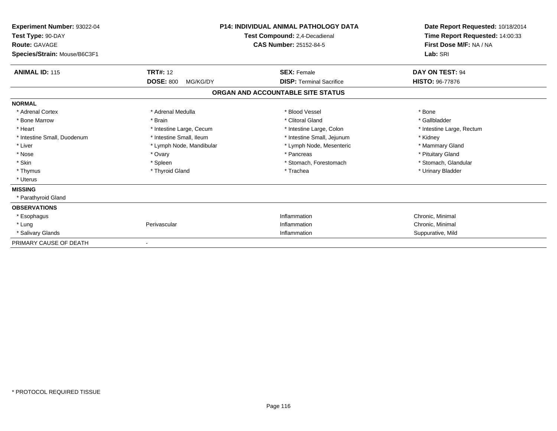| Experiment Number: 93022-04<br>Test Type: 90-DAY<br><b>Route: GAVAGE</b><br>Species/Strain: Mouse/B6C3F1 | <b>P14: INDIVIDUAL ANIMAL PATHOLOGY DATA</b><br>Test Compound: 2,4-Decadienal<br><b>CAS Number: 25152-84-5</b> |                                   | Date Report Requested: 10/18/2014<br>Time Report Requested: 14:00:33<br>First Dose M/F: NA / NA<br>Lab: SRI |
|----------------------------------------------------------------------------------------------------------|----------------------------------------------------------------------------------------------------------------|-----------------------------------|-------------------------------------------------------------------------------------------------------------|
| <b>ANIMAL ID: 115</b>                                                                                    | <b>TRT#: 12</b>                                                                                                | <b>SEX: Female</b>                | DAY ON TEST: 94                                                                                             |
|                                                                                                          | <b>DOSE: 800</b><br>MG/KG/DY                                                                                   | <b>DISP:</b> Terminal Sacrifice   | <b>HISTO: 96-77876</b>                                                                                      |
|                                                                                                          |                                                                                                                | ORGAN AND ACCOUNTABLE SITE STATUS |                                                                                                             |
| <b>NORMAL</b>                                                                                            |                                                                                                                |                                   |                                                                                                             |
| * Adrenal Cortex                                                                                         | * Adrenal Medulla                                                                                              | * Blood Vessel                    | * Bone                                                                                                      |
| * Bone Marrow                                                                                            | * Brain                                                                                                        | * Clitoral Gland                  | * Gallbladder                                                                                               |
| * Heart                                                                                                  | * Intestine Large, Cecum                                                                                       | * Intestine Large, Colon          | * Intestine Large, Rectum                                                                                   |
| * Intestine Small, Duodenum                                                                              | * Intestine Small, Ileum                                                                                       | * Intestine Small, Jejunum        | * Kidney                                                                                                    |
| * Liver                                                                                                  | * Lymph Node, Mandibular                                                                                       | * Lymph Node, Mesenteric          | * Mammary Gland                                                                                             |
| * Nose                                                                                                   | * Ovary                                                                                                        | * Pancreas                        | * Pituitary Gland                                                                                           |
| * Skin                                                                                                   | * Spleen                                                                                                       | * Stomach, Forestomach            | * Stomach, Glandular                                                                                        |
| * Thymus                                                                                                 | * Thyroid Gland                                                                                                | * Trachea                         | * Urinary Bladder                                                                                           |
| * Uterus                                                                                                 |                                                                                                                |                                   |                                                                                                             |
| <b>MISSING</b>                                                                                           |                                                                                                                |                                   |                                                                                                             |
| * Parathyroid Gland                                                                                      |                                                                                                                |                                   |                                                                                                             |
| <b>OBSERVATIONS</b>                                                                                      |                                                                                                                |                                   |                                                                                                             |
| * Esophagus                                                                                              |                                                                                                                | Inflammation                      | Chronic, Minimal                                                                                            |
| * Lung                                                                                                   | Perivascular                                                                                                   | Inflammation                      | Chronic, Minimal                                                                                            |
| * Salivary Glands                                                                                        |                                                                                                                | Inflammation                      | Suppurative, Mild                                                                                           |
| PRIMARY CAUSE OF DEATH                                                                                   | $\overline{\phantom{a}}$                                                                                       |                                   |                                                                                                             |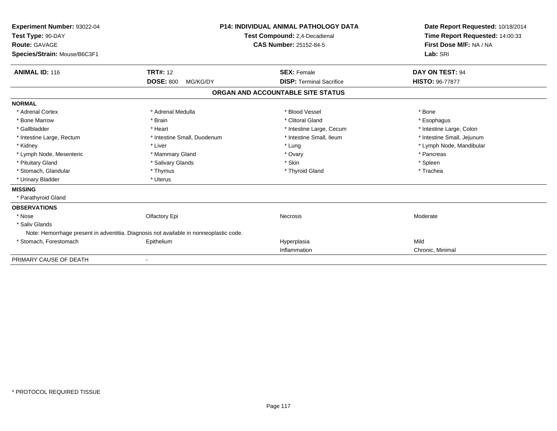| Experiment Number: 93022-04<br>Test Type: 90-DAY<br>Route: GAVAGE<br>Species/Strain: Mouse/B6C3F1 |                                                                                        | <b>P14: INDIVIDUAL ANIMAL PATHOLOGY DATA</b><br>Test Compound: 2,4-Decadienal<br><b>CAS Number: 25152-84-5</b> | Date Report Requested: 10/18/2014<br>Time Report Requested: 14:00:33<br>First Dose M/F: NA / NA<br>Lab: SRI |
|---------------------------------------------------------------------------------------------------|----------------------------------------------------------------------------------------|----------------------------------------------------------------------------------------------------------------|-------------------------------------------------------------------------------------------------------------|
| <b>ANIMAL ID: 116</b>                                                                             | <b>TRT#: 12</b>                                                                        | <b>SEX: Female</b>                                                                                             | DAY ON TEST: 94                                                                                             |
|                                                                                                   | <b>DOSE: 800</b><br>MG/KG/DY                                                           | <b>DISP: Terminal Sacrifice</b>                                                                                | <b>HISTO: 96-77877</b>                                                                                      |
|                                                                                                   |                                                                                        | ORGAN AND ACCOUNTABLE SITE STATUS                                                                              |                                                                                                             |
| <b>NORMAL</b>                                                                                     |                                                                                        |                                                                                                                |                                                                                                             |
| * Adrenal Cortex                                                                                  | * Adrenal Medulla                                                                      | * Blood Vessel                                                                                                 | * Bone                                                                                                      |
| * Bone Marrow                                                                                     | * Brain                                                                                | * Clitoral Gland                                                                                               | * Esophagus                                                                                                 |
| * Gallbladder                                                                                     | * Heart                                                                                | * Intestine Large, Cecum                                                                                       | * Intestine Large, Colon                                                                                    |
| * Intestine Large, Rectum                                                                         | * Intestine Small, Duodenum                                                            | * Intestine Small. Ileum                                                                                       | * Intestine Small, Jejunum                                                                                  |
| * Kidney                                                                                          | * Liver                                                                                | * Lung                                                                                                         | * Lymph Node, Mandibular                                                                                    |
| * Lymph Node, Mesenteric                                                                          | * Mammary Gland                                                                        | * Ovary                                                                                                        | * Pancreas                                                                                                  |
| * Pituitary Gland                                                                                 | * Salivary Glands                                                                      | * Skin                                                                                                         | * Spleen                                                                                                    |
| * Stomach, Glandular                                                                              | * Thymus                                                                               | * Thyroid Gland                                                                                                | * Trachea                                                                                                   |
| * Urinary Bladder                                                                                 | * Uterus                                                                               |                                                                                                                |                                                                                                             |
| <b>MISSING</b>                                                                                    |                                                                                        |                                                                                                                |                                                                                                             |
| * Parathyroid Gland                                                                               |                                                                                        |                                                                                                                |                                                                                                             |
| <b>OBSERVATIONS</b>                                                                               |                                                                                        |                                                                                                                |                                                                                                             |
| * Nose                                                                                            | Olfactory Epi                                                                          | <b>Necrosis</b>                                                                                                | Moderate                                                                                                    |
| * Saliv Glands                                                                                    |                                                                                        |                                                                                                                |                                                                                                             |
|                                                                                                   | Note: Hemorrhage present in adventitia. Diagnosis not available in nonneoplastic code. |                                                                                                                |                                                                                                             |
| * Stomach, Forestomach                                                                            | Epithelium                                                                             | Hyperplasia                                                                                                    | Mild                                                                                                        |
|                                                                                                   |                                                                                        | Inflammation                                                                                                   | Chronic, Minimal                                                                                            |
| PRIMARY CAUSE OF DEATH                                                                            |                                                                                        |                                                                                                                |                                                                                                             |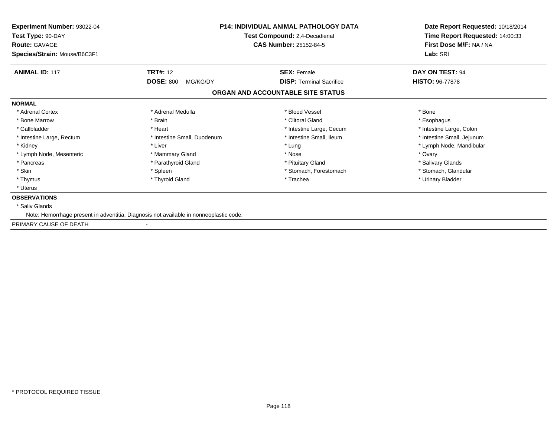| <b>Experiment Number: 93022-04</b><br>Test Type: 90-DAY<br><b>Route: GAVAGE</b>        | <b>P14: INDIVIDUAL ANIMAL PATHOLOGY DATA</b><br>Test Compound: 2,4-Decadienal<br><b>CAS Number: 25152-84-5</b> | Date Report Requested: 10/18/2014<br>Time Report Requested: 14:00:33<br>First Dose M/F: NA / NA |
|----------------------------------------------------------------------------------------|----------------------------------------------------------------------------------------------------------------|-------------------------------------------------------------------------------------------------|
| Species/Strain: Mouse/B6C3F1                                                           |                                                                                                                | Lab: SRI                                                                                        |
| <b>ANIMAL ID: 117</b><br><b>TRT#: 12</b>                                               | <b>SEX: Female</b>                                                                                             | DAY ON TEST: 94                                                                                 |
| <b>DOSE: 800</b><br>MG/KG/DY                                                           | <b>DISP:</b> Terminal Sacrifice                                                                                | <b>HISTO: 96-77878</b>                                                                          |
|                                                                                        | ORGAN AND ACCOUNTABLE SITE STATUS                                                                              |                                                                                                 |
| <b>NORMAL</b>                                                                          |                                                                                                                |                                                                                                 |
| * Adrenal Cortex<br>* Adrenal Medulla                                                  | * Blood Vessel                                                                                                 | * Bone                                                                                          |
| * Bone Marrow<br>* Brain                                                               | * Clitoral Gland                                                                                               | * Esophagus                                                                                     |
| * Gallbladder<br>* Heart                                                               | * Intestine Large, Cecum                                                                                       | * Intestine Large, Colon                                                                        |
| * Intestine Large, Rectum<br>* Intestine Small, Duodenum                               | * Intestine Small, Ileum                                                                                       | * Intestine Small, Jejunum                                                                      |
| * Kidney<br>* Liver                                                                    | * Lung                                                                                                         | * Lymph Node, Mandibular                                                                        |
| * Lymph Node, Mesenteric<br>* Mammary Gland                                            | * Nose                                                                                                         | * Ovary                                                                                         |
| * Parathyroid Gland<br>* Pancreas                                                      | * Pituitary Gland                                                                                              | * Salivary Glands                                                                               |
| * Skin<br>* Spleen                                                                     | * Stomach, Forestomach                                                                                         | * Stomach, Glandular                                                                            |
| * Thymus<br>* Thyroid Gland                                                            | * Trachea                                                                                                      | * Urinary Bladder                                                                               |
| * Uterus                                                                               |                                                                                                                |                                                                                                 |
| <b>OBSERVATIONS</b>                                                                    |                                                                                                                |                                                                                                 |
| * Saliv Glands                                                                         |                                                                                                                |                                                                                                 |
| Note: Hemorrhage present in adventitia. Diagnosis not available in nonneoplastic code. |                                                                                                                |                                                                                                 |
| PRIMARY CAUSE OF DEATH                                                                 |                                                                                                                |                                                                                                 |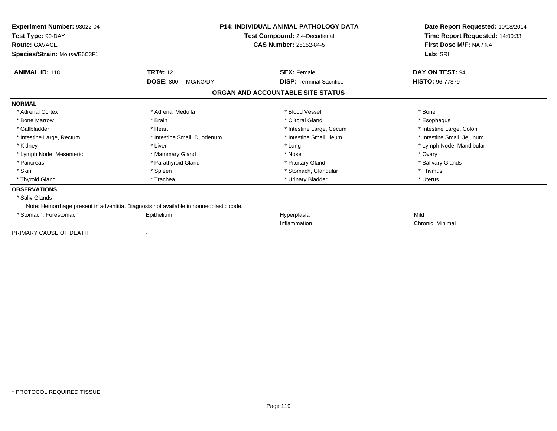| <b>Experiment Number: 93022-04</b><br>Test Type: 90-DAY<br><b>Route: GAVAGE</b><br>Species/Strain: Mouse/B6C3F1 | <b>P14: INDIVIDUAL ANIMAL PATHOLOGY DATA</b><br>Test Compound: 2,4-Decadienal<br><b>CAS Number: 25152-84-5</b> |                                   | Date Report Requested: 10/18/2014<br>Time Report Requested: 14:00:33<br>First Dose M/F: NA / NA<br>Lab: SRI |  |
|-----------------------------------------------------------------------------------------------------------------|----------------------------------------------------------------------------------------------------------------|-----------------------------------|-------------------------------------------------------------------------------------------------------------|--|
| <b>ANIMAL ID: 118</b>                                                                                           | <b>TRT#: 12</b>                                                                                                | <b>SEX: Female</b>                | DAY ON TEST: 94                                                                                             |  |
|                                                                                                                 | <b>DOSE: 800</b><br>MG/KG/DY                                                                                   | <b>DISP:</b> Terminal Sacrifice   | <b>HISTO: 96-77879</b>                                                                                      |  |
|                                                                                                                 |                                                                                                                | ORGAN AND ACCOUNTABLE SITE STATUS |                                                                                                             |  |
| <b>NORMAL</b>                                                                                                   |                                                                                                                |                                   |                                                                                                             |  |
| * Adrenal Cortex                                                                                                | * Adrenal Medulla                                                                                              | * Blood Vessel                    | * Bone                                                                                                      |  |
| * Bone Marrow                                                                                                   | * Brain                                                                                                        | * Clitoral Gland                  | * Esophagus                                                                                                 |  |
| * Gallbladder                                                                                                   | * Heart                                                                                                        | * Intestine Large, Cecum          | * Intestine Large, Colon                                                                                    |  |
| * Intestine Large, Rectum                                                                                       | * Intestine Small, Duodenum                                                                                    | * Intestine Small, Ileum          | * Intestine Small, Jejunum                                                                                  |  |
| * Kidney                                                                                                        | * Liver                                                                                                        | * Lung                            | * Lymph Node, Mandibular                                                                                    |  |
| * Lymph Node, Mesenteric                                                                                        | * Mammary Gland                                                                                                | * Nose                            | * Ovary                                                                                                     |  |
| * Pancreas                                                                                                      | * Parathyroid Gland                                                                                            | * Pituitary Gland                 | * Salivary Glands                                                                                           |  |
| * Skin                                                                                                          | * Spleen                                                                                                       | * Stomach, Glandular              | * Thymus                                                                                                    |  |
| * Thyroid Gland                                                                                                 | * Trachea                                                                                                      | * Urinary Bladder                 | * Uterus                                                                                                    |  |
| <b>OBSERVATIONS</b>                                                                                             |                                                                                                                |                                   |                                                                                                             |  |
| * Saliv Glands                                                                                                  |                                                                                                                |                                   |                                                                                                             |  |
|                                                                                                                 | Note: Hemorrhage present in adventitia. Diagnosis not available in nonneoplastic code.                         |                                   |                                                                                                             |  |
| * Stomach, Forestomach                                                                                          | Epithelium                                                                                                     | Hyperplasia                       | Mild                                                                                                        |  |
|                                                                                                                 |                                                                                                                | Inflammation                      | Chronic, Minimal                                                                                            |  |
| PRIMARY CAUSE OF DEATH                                                                                          |                                                                                                                |                                   |                                                                                                             |  |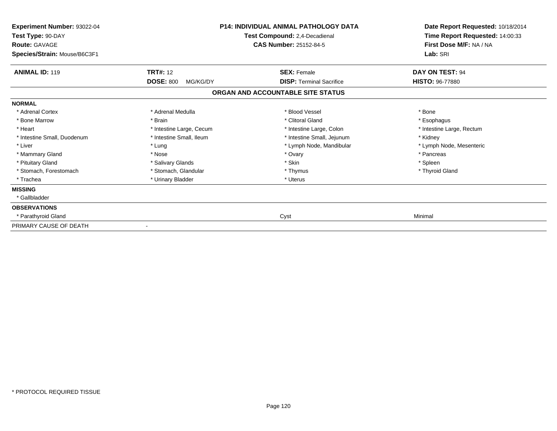| Experiment Number: 93022-04<br>Test Type: 90-DAY<br><b>Route: GAVAGE</b><br>Species/Strain: Mouse/B6C3F1 |                                                 | <b>P14: INDIVIDUAL ANIMAL PATHOLOGY DATA</b><br>Test Compound: 2,4-Decadienal<br><b>CAS Number: 25152-84-5</b> | Date Report Requested: 10/18/2014<br>Time Report Requested: 14:00:33<br>First Dose M/F: NA / NA<br>Lab: SRI |
|----------------------------------------------------------------------------------------------------------|-------------------------------------------------|----------------------------------------------------------------------------------------------------------------|-------------------------------------------------------------------------------------------------------------|
| <b>ANIMAL ID: 119</b>                                                                                    | <b>TRT#: 12</b><br><b>DOSE: 800</b><br>MG/KG/DY | <b>SEX: Female</b><br><b>DISP: Terminal Sacrifice</b>                                                          | DAY ON TEST: 94<br><b>HISTO: 96-77880</b>                                                                   |
|                                                                                                          |                                                 | ORGAN AND ACCOUNTABLE SITE STATUS                                                                              |                                                                                                             |
| <b>NORMAL</b>                                                                                            |                                                 |                                                                                                                |                                                                                                             |
| * Adrenal Cortex                                                                                         | * Adrenal Medulla                               | * Blood Vessel                                                                                                 | * Bone                                                                                                      |
| * Bone Marrow                                                                                            | * Brain                                         | * Clitoral Gland                                                                                               | * Esophagus                                                                                                 |
| * Heart                                                                                                  | * Intestine Large, Cecum                        | * Intestine Large, Colon                                                                                       | * Intestine Large, Rectum                                                                                   |
| * Intestine Small, Duodenum                                                                              | * Intestine Small, Ileum                        | * Intestine Small, Jejunum                                                                                     | * Kidney                                                                                                    |
| * Liver                                                                                                  | * Lung                                          | * Lymph Node, Mandibular                                                                                       | * Lymph Node, Mesenteric                                                                                    |
| * Mammary Gland                                                                                          | * Nose                                          | * Ovary                                                                                                        | * Pancreas                                                                                                  |
| * Pituitary Gland                                                                                        | * Salivary Glands                               | * Skin                                                                                                         | * Spleen                                                                                                    |
| * Stomach, Forestomach                                                                                   | * Stomach, Glandular                            | * Thymus                                                                                                       | * Thyroid Gland                                                                                             |
| * Trachea                                                                                                | * Urinary Bladder                               | * Uterus                                                                                                       |                                                                                                             |
| <b>MISSING</b>                                                                                           |                                                 |                                                                                                                |                                                                                                             |
| * Gallbladder                                                                                            |                                                 |                                                                                                                |                                                                                                             |
| <b>OBSERVATIONS</b>                                                                                      |                                                 |                                                                                                                |                                                                                                             |
| * Parathyroid Gland                                                                                      |                                                 | Cyst                                                                                                           | Minimal                                                                                                     |
| PRIMARY CAUSE OF DEATH                                                                                   |                                                 |                                                                                                                |                                                                                                             |